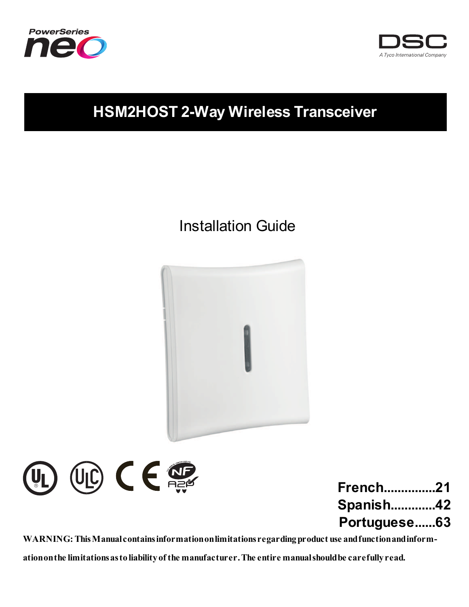



## **HSM2HOST 2-Way Wireless Transceiver**

## Installation Guide





| French21         |  |
|------------------|--|
| <b>Spanish42</b> |  |
| Portuguese63     |  |

**WARNING: ThisManualcontainsinformationonlimitations regardingproduct use andfunctionandinform-**

**ationonthe limitationsastoliabilityof the manufacturer.The entire manualshouldbe carefullyread.**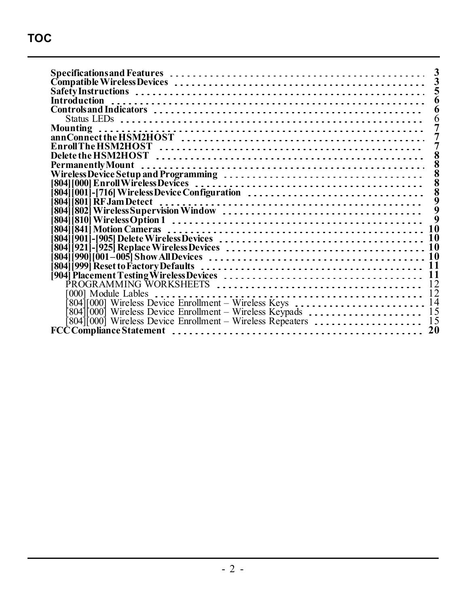| Mounting                                                       |  |  |  |  |    |
|----------------------------------------------------------------|--|--|--|--|----|
|                                                                |  |  |  |  |    |
|                                                                |  |  |  |  |    |
|                                                                |  |  |  |  |    |
|                                                                |  |  |  |  |    |
|                                                                |  |  |  |  |    |
|                                                                |  |  |  |  |    |
|                                                                |  |  |  |  |    |
|                                                                |  |  |  |  |    |
|                                                                |  |  |  |  |    |
|                                                                |  |  |  |  |    |
|                                                                |  |  |  |  |    |
|                                                                |  |  |  |  | 10 |
|                                                                |  |  |  |  | 10 |
| [804]                                                          |  |  |  |  | 10 |
|                                                                |  |  |  |  | 10 |
|                                                                |  |  |  |  | 11 |
|                                                                |  |  |  |  | 11 |
|                                                                |  |  |  |  |    |
|                                                                |  |  |  |  | 12 |
| 0001 Module Lables                                             |  |  |  |  |    |
| 804][000] Wireless Device Enrollment – Wireless Keys  14       |  |  |  |  |    |
| 804][000] Wireless Device Enrollment – Wireless Keypads        |  |  |  |  | 15 |
| [804][000] Wireless Device Enrollment - Wireless Repeaters  15 |  |  |  |  |    |
|                                                                |  |  |  |  | 20 |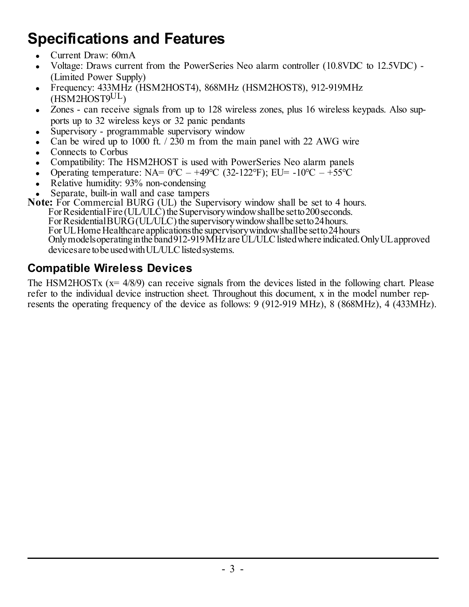## <span id="page-3-0"></span>**Specifications and Features**

- <sup>l</sup> Current Draw: 60mA
- <sup>l</sup> Voltage: Draws current from the PowerSeries Neo alarm controller (10.8VDC to 12.5VDC) (Limited Power Supply)
- <sup>l</sup> Frequency: 433MHz (HSM2HOST4), 868MHz (HSM2HOST8), 912-919MHz (HSM2HOST9UL)
- Zones can receive signals from up to 128 wireless zones, plus 16 wireless keypads. Also supports up to 32 wireless keys or 32 panic pendants
- Supervisory programmable supervisory window
- Can be wired up to 1000 ft.  $/$  230 m from the main panel with 22 AWG wire
- <sup>l</sup> Connects to Corbus
- Compatibility: The HSM2HOST is used with PowerSeries Neo alarm panels
- Operating temperature: NA=  $0^{\circ}$ C +49°C (32-122°F); EU= -10°C +55°C
- Relative humidity: 93% non-condensing
- Separate, built-in wall and case tampers

**Note:** For Commercial BURG (UL) the Supervisory window shall be set to 4 hours. For Residential Fire (UL/ULC) the Supervisory window shall be setto 200 seconds.

For Residential BURG (UL/ULC) the supervisory window shall be set to 24 hours. For UL Home Healthcare applications the supervisory window shall be set to 24 hours Onlymodels operating in the band 912-919 MHz are UL/ULC listed where indicated. Only UL approved devices are to be used with UL/ULC listed systems.

### <span id="page-3-1"></span>**Compatible Wireless Devices**

The HSM2HOSTx  $(x= 4/8/9)$  can receive signals from the devices listed in the following chart. Please refer to the individual device instruction sheet. Throughout this document, x in the model number represents the operating frequency of the device as follows: 9 (912-919 MHz), 8 (868MHz), 4 (433MHz).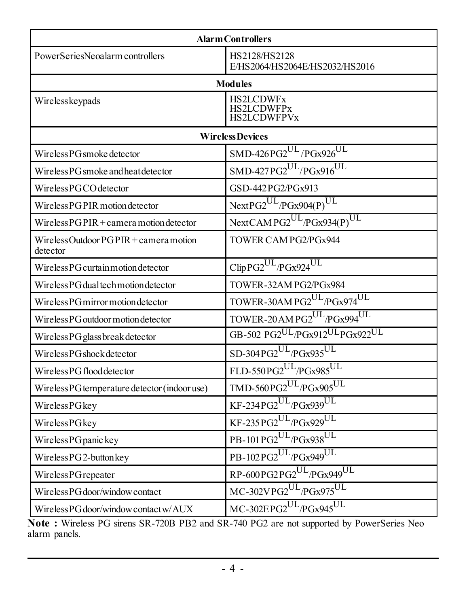| <b>Alarm Controllers</b>                                    |                                                                |  |  |  |
|-------------------------------------------------------------|----------------------------------------------------------------|--|--|--|
|                                                             |                                                                |  |  |  |
| PowerSeriesNeoalarm controllers                             | HS2128/HS2128<br>E/HS2064/HS2064E/HS2032/HS2016                |  |  |  |
|                                                             | <b>Modules</b>                                                 |  |  |  |
| Wirelesskeypads                                             | <b>HS2LCDWFx</b><br><b>HS2LCDWFPx</b><br><b>HS2LCDWFPVx</b>    |  |  |  |
|                                                             | <b>Wireless Devices</b>                                        |  |  |  |
| Wireless PG smoke detector                                  | $SMD-426PG2^{UL}/PGx926^{UL}$                                  |  |  |  |
| Wireless PG smoke and heat detector                         | $SMD-427PG2^{UL}/PGx916^{UL}$                                  |  |  |  |
| Wireless PGCO detector                                      | GSD-442PG2/PGx913                                              |  |  |  |
| Wireless PG PIR motion detector                             | $NextPG2^{UL}/PGx904(P)^{UL}$                                  |  |  |  |
| Wireless $PGPIR + \text{camera motion detector}$            | NextCAMPG2 <sup>UL</sup> /PGx934(P) <sup>UL</sup>              |  |  |  |
| Wireless Outdoor $PGPIR + \text{camera motion}$<br>detector | TOWER CAM PG2/PGx944                                           |  |  |  |
| Wireless PG curtain motion detector                         | ClipPG2UL/PGx924UL                                             |  |  |  |
| Wireless PG dual tech motion detector                       | TOWER-32AM PG2/PGx984                                          |  |  |  |
| Wireless PG mirror motion detector                          | TOWER-30AM PG2UL/PGx974UL                                      |  |  |  |
| Wireless PG outdoor motion detector                         | TOWER-20 AM PG2 <sup>UL</sup> /PGx994 <sup>UL</sup>            |  |  |  |
| Wireless PG glass break detector                            | GB-502 PG2UL/PGx912ULPGx922UL                                  |  |  |  |
| Wireless PG shock detector                                  | $SD-304PG2^{UL}/PGx935^{UL}$                                   |  |  |  |
| Wireless PG flood detector                                  | FLD-550PG2 <sup>UL</sup> /PGx985 <sup>UL</sup>                 |  |  |  |
| Wireless PG temperature detector (indoor use)               | $\overline{\mbox{TMD-560PG2}}^{\rm UL}/\text{PGx905}^{\rm UL}$ |  |  |  |
| <b>Wireless PG</b> key                                      | $KF-234PG2^{UL}/PGx939^{UL}$                                   |  |  |  |
| Wireless PG key                                             | $KF-235PG2^{UL}/PGx929^{UL}$                                   |  |  |  |
| Wireless PG panic key                                       | PB-101PG2UL/PGx938UL                                           |  |  |  |
| Wireless PG 2-button key                                    | PB-102PG2UL/PGx949UL                                           |  |  |  |
| Wireless PG repeater                                        | RP-600PG2PG2UL/PGx949UL                                        |  |  |  |
| Wireless PG door/window contact                             | MC-302VPG2 <sup>UL</sup> /PGx975 <sup>UL</sup>                 |  |  |  |
| Wireless PG door/window contact w/AUX                       | MC-302EPG2UL/PGx945UL                                          |  |  |  |

**Note :** Wireless PG sirens SR-720B PB2 and SR-740 PG2 are not supported by PowerSeries Neo alarm panels.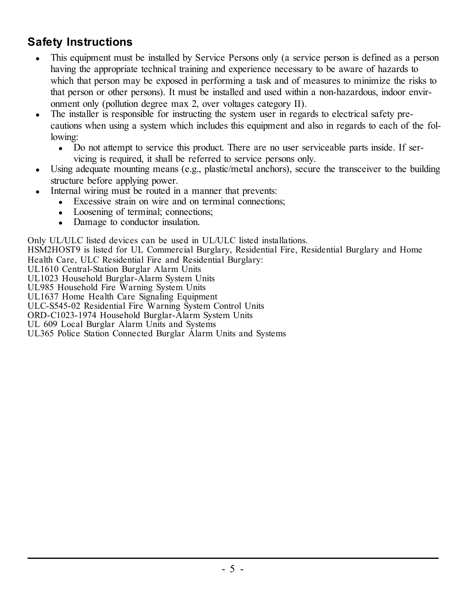### <span id="page-5-0"></span>**Safety Instructions**

- <sup>l</sup> This equipment must be installed by Service Persons only (a service person is defined as a person having the appropriate technical training and experience necessary to be aware of hazards to which that person may be exposed in performing a task and of measures to minimize the risks to that person or other persons). It must be installed and used within a non-hazardous, indoor environment only (pollution degree max 2, over voltages category II).
- The installer is responsible for instructing the system user in regards to electrical safety precautions when using a system which includes this equipment and also in regards to each of the following:
	- Do not attempt to service this product. There are no user serviceable parts inside. If servicing is required, it shall be referred to service persons only.
- $\bullet$  Using adequate mounting means (e.g., plastic/metal anchors), secure the transceiver to the building structure before applying power.
- Internal wiring must be routed in a manner that prevents:
	- Excessive strain on wire and on terminal connections:
	- Loosening of terminal; connections;
	- Damage to conductor insulation.

Only UL/ULC listed devices can be used in UL/ULC listed installations.

HSM2HOST9 is listed for UL Commercial Burglary, Residential Fire, Residential Burglary and Home

Health Care, ULC Residential Fire and Residential Burglary:

UL1610 Central-Station Burglar Alarm Units

UL1023 Household Burglar-Alarm System Units UL985 Household Fire Warning System Units

UL1637 Home Health Care Signaling Equipment

ULC-S545-02 Residential Fire Warning System Control Units

ORD-C1023-1974 Household Burglar-Alarm System Units

UL 609 Local Burglar Alarm Units and Systems

UL365 Police Station Connected Burglar Alarm Units and Systems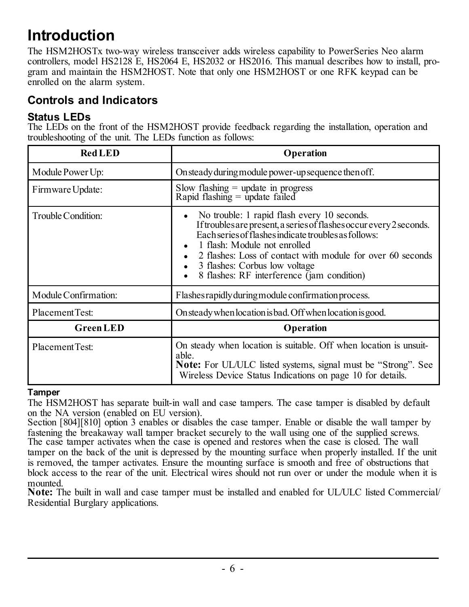## <span id="page-6-0"></span>**Introduction**

The HSM2HOSTx two-way wireless transceiver adds wireless capability to PowerSeries Neo alarm controllers, model HS2128 E, HS2064 E, HS2032 or HS2016. This manual describes how to install, program and maintain the HSM2HOST. Note that only one HSM2HOST or one RFK keypad can be enrolled on the alarm system.

### <span id="page-6-2"></span><span id="page-6-1"></span>**Controls and Indicators**

### **Status LEDs**

The LEDs on the front of the HSM2HOST provide feedback regarding the installation, operation and troubleshooting of the unit. The LEDs function as follows:

| <b>Red LED</b>       | Operation                                                                                                                                                                                                                                                                                                                                               |
|----------------------|---------------------------------------------------------------------------------------------------------------------------------------------------------------------------------------------------------------------------------------------------------------------------------------------------------------------------------------------------------|
| Module Power Up:     | On steady during module power-up sequence then off.                                                                                                                                                                                                                                                                                                     |
| Firmware Update:     | Slow flashing $=$ update in progress<br>Rapid flashing $=$ update failed                                                                                                                                                                                                                                                                                |
| Trouble Condition:   | No trouble: 1 rapid flash every 10 seconds.<br>If troubles are present, a series of flashes occur every 2 seconds.<br>Each series of flashes indicate troubles as follows:<br>1 flash: Module not enrolled<br>2 flashes: Loss of contact with module for over 60 seconds<br>3 flashes: Corbus low voltage<br>8 flashes: RF interference (jam condition) |
| Module Confirmation: | Flashes rapidly during module confirmation process.                                                                                                                                                                                                                                                                                                     |
| Placement Test:      | On steady when location is bad. Off when location is good.                                                                                                                                                                                                                                                                                              |
| <b>Green LED</b>     | Operation                                                                                                                                                                                                                                                                                                                                               |
| Placement Test:      | On steady when location is suitable. Off when location is unsuit-<br>able<br><b>Note:</b> For UL/ULC listed systems, signal must be "Strong". See<br>Wireless Device Status Indications on page 10 for details.                                                                                                                                         |

### **Tamper**

The HSM2HOST has separate built-in wall and case tampers. The case tamper is disabled by default on the NA version (enabled on EU version).

Section [804][810] option 3 enables or disables the case tamper. Enable or disable the wall tamper by fastening the breakaway wall tamper bracket securely to the wall using one of the supplied screws. The case tamper activates when the case is opened and restores when the case is closed. The wall tamper on the back of the unit is depressed by the mounting surface when properly installed. If the unit is removed, the tamper activates. Ensure the mounting surface is smooth and free of obstructions that block access to the rear of the unit. Electrical wires should not run over or under the module when it is mounted.

**Note:** The built in wall and case tamper must be installed and enabled for UL/ULC listed Commercial/ Residential Burglary applications.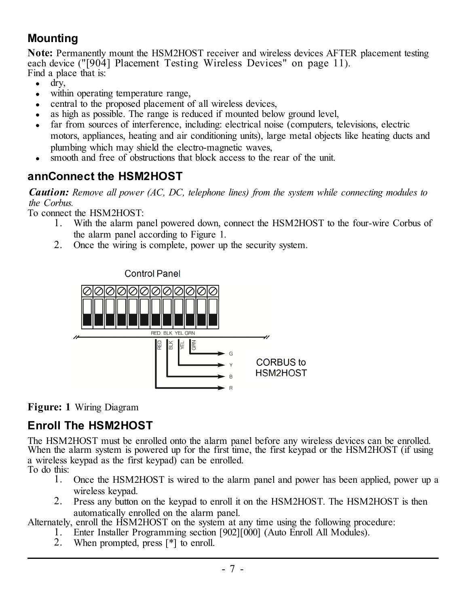### <span id="page-7-0"></span>**Mounting**

**Note:** Permanently mount the HSM2HOST receiver and wireless devices AFTER placement testing each device ("[904] [Placement](#page-11-1) Testing Wireless Devices" on page 11). Find a place that is:

- $\cdot$  dry,
- within operating temperature range.
- central to the proposed placement of all wireless devices.
- as high as possible. The range is reduced if mounted below ground level.
- <sup>l</sup> far from sources of interference, including: electrical noise (computers, televisions, electric motors, appliances, heating and air conditioning units), large metal objects like heating ducts and plumbing which may shield the electro-magnetic waves,
- smooth and free of obstructions that block access to the rear of the unit.

### <span id="page-7-1"></span>**annConnect the HSM2HOST**

*Caution: Remove all power (AC, DC, telephone lines) from the system while connecting modules to the Corbus.*

To connect the HSM2HOST:

- 1. With the alarm panel powered down, connect the HSM2HOST to the four-wire Corbus of the alarm panel according to Figure 1.
- 2. Once the wiring is complete, power up the security system.



**Figure: 1** Wiring Diagram

### <span id="page-7-2"></span>**Enroll The HSM2HOST**

The HSM2HOST must be enrolled onto the alarm panel before any wireless devices can be enrolled. When the alarm system is powered up for the first time, the first keypad or the HSM2HOST (if using a wireless keypad as the first keypad) can be enrolled. To do this:

- 1. Once the HSM2HOST is wired to the alarm panel and power has been applied, power up a wireless keypad.
- 2. Press any button on the keypad to enroll it on the HSM2HOST. The HSM2HOST is then automatically enrolled on the alarm panel.

Alternately, enroll the HSM2HOST on the system at any time using the following procedure:

- 1. Enter Installer Programming section [902][000] (Auto Enroll All Modules).
- 2. When prompted, press [\*] to enroll.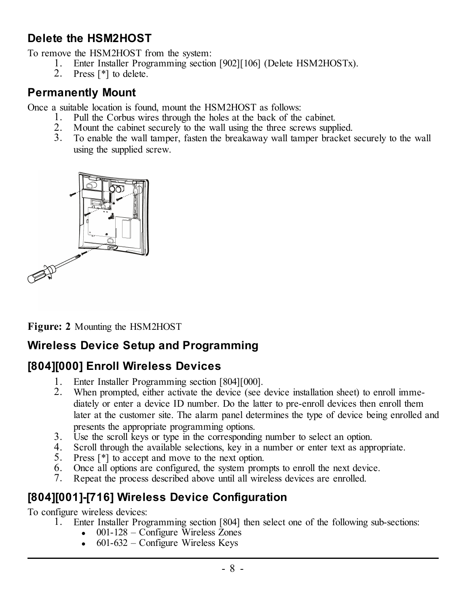### <span id="page-8-0"></span>**Delete the HSM2HOST**

To remove the HSM2HOST from the system:

- 1. Enter Installer Programming section [902][106] (Delete HSM2HOSTx).
- 2. Press [\*] to delete.

### <span id="page-8-1"></span>**Permanently Mount**

Once a suitable location is found, mount the HSM2HOST as follows:

- 1. Pull the Corbus wires through the holes at the back of the cabinet.
- 2. Mount the cabinet securely to the wall using the three screws supplied.
- 3. To enable the wall tamper, fasten the breakaway wall tamper bracket securely to the wall using the supplied screw.



**Figure: 2** Mounting the HSM2HOST

### <span id="page-8-2"></span>**Wireless Device Setup and Programming**

### <span id="page-8-3"></span>**[804][000] Enroll Wireless Devices**

- 1. Enter Installer Programming section [804][000].
- 2. When prompted, either activate the device (see device installation sheet) to enroll immediately or enter a device ID number. Do the latter to pre-enroll devices then enroll them later at the customer site. The alarm panel determines the type of device being enrolled and presents the appropriate programming options.
- 3. Use the scroll keys or type in the corresponding number to select an option.
- 4. Scroll through the available selections, key in a number or enter text as appropriate.
- 5. Press [\*] to accept and move to the next option.
- 6. Once all options are configured, the system prompts to enroll the next device.<br> $\overline{7}$  Repeat the process described above until all wireless devices are enrolled
- Repeat the process described above until all wireless devices are enrolled.

### <span id="page-8-4"></span>**[804][001]-[716] Wireless Device Configuration**

To configure wireless devices:

- 1. Enter Installer Programming section [804] then select one of the following sub-sections:
	- $\bullet$  001-128 Configure Wireless Zones
	- $\bullet$  601-632 Configure Wireless Keys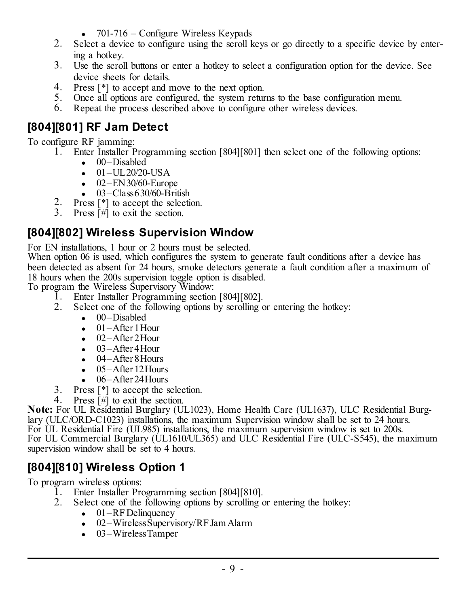- $\bullet$  701-716 Configure Wireless Keypads
- 2. Select a device to configure using the scroll keys or go directly to a specific device by entering a hotkey.
- 3. Use the scroll buttons or enter a hotkey to select a configuration option for the device. See device sheets for details.
- 4. Press [\*] to accept and move to the next option.
- 5. Once all options are configured, the system returns to the base configuration menu.
- 6. Repeat the process described above to configure other wireless devices.

### <span id="page-9-0"></span>**[804][801] RF Jam Detect**

To configure RF jamming:

- 1. Enter Installer Programming section [804][801] then select one of the following options:
	- 00–Disabled
	- $-01 UL20/20 USA$
	- $\bullet$  02–EN30/60-Europe
	- $-$  03–Class 630/60-British
- Press [<sup>\*</sup>] to accept the selection.
- 3. Press [#] to exit the section.

### <span id="page-9-1"></span>**[804][802] Wireless Supervision Window**

For EN installations, 1 hour or 2 hours must be selected.

When option 06 is used, which configures the system to generate fault conditions after a device has been detected as absent for 24 hours, smoke detectors generate a fault condition after a maximum of 18 hours when the 200s supervision toggle option is disabled.

To program the Wireless Supervisory Window:

- 1. Enter Installer Programming section [804][802].
- 2. Select one of the following options by scrolling or entering the hotkey:
	- 00–Disabled
	- $\bullet$  01 After 1 Hour
	- $-$  02–After 2Hour
	- $-03-A$ fter 4 Hour
	- $-$  04–After 8 Hours
	- $.05-$ After 12 Hours
	- $-06-$ After 24 Hours
- 3. Press [\*] to accept the selection.
- 4. Press [#] to exit the section.

**Note:** For UL Residential Burglary (UL1023), Home Health Care (UL1637), ULC Residential Burglary (ULC/ORD-C1023) installations, the maximum Supervision window shall be set to 24 hours. For UL Residential Fire (UL985) installations, the maximum supervision window is set to 200s. For UL Commercial Burglary (UL1610/UL365) and ULC Residential Fire (ULC-S545), the maximum supervision window shall be set to 4 hours.

### <span id="page-9-2"></span>**[804][810] Wireless Option 1**

To program wireless options:

- 1. Enter Installer Programming section [804][810].
- 2. Select one of the following options by scrolling or entering the hotkey:
	- $\bullet$  01–RF Delinquency
	- $\cdot$  02–Wireless Supervisory/RF Jam Alarm
	- $-03-Wireless Tameer$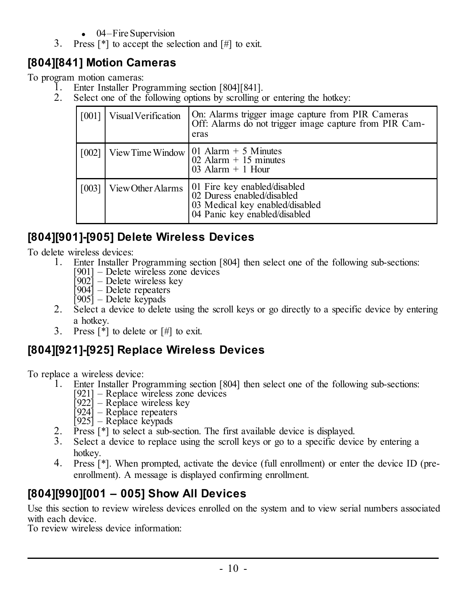- $-04$ –Fire Supervision
- 3. Press [\*] to accept the selection and [#] to exit.

### <span id="page-10-0"></span>**[804][841] Motion Cameras**

To program motion cameras:

- 1. Enter Installer Programming section [804][841].
- 2. Select one of the following options by scrolling or entering the hotkey:

|       | [001] Visual Verification | On: Alarms trigger image capture from PIR Cameras<br>Off: Alarms do not trigger image capture from PIR Cam-<br>eras            |
|-------|---------------------------|--------------------------------------------------------------------------------------------------------------------------------|
|       |                           | [002] View Time Window   01 Alarm + 5 Minutes<br>02 Alarm $+$ 15 minutes<br>03 Alarm $+$ 1 Hour                                |
| [003] | View Other Alarms         | 01 Fire key enabled/disabled<br>02 Duress enabled/disabled<br>03 Medical key enabled/disabled<br>04 Panic key enabled/disabled |

### <span id="page-10-1"></span>**[804][901]-[905] Delete Wireless Devices**

To delete wireless devices:<br>1. Enter Installer I

- 1. Enter Installer Programming section [804] then select one of the following sub-sections:
	- [901] Delete wireless zone devices
		- [902] Delete wireless key
		- [904] Delete repeaters
	- [905] Delete keypads
- 2. Select a device to delete using the scroll keys or go directly to a specific device by entering a hotkey.
- 3. Press  $\lceil * \rceil$  to delete or  $\lceil # \rceil$  to exit.

### <span id="page-10-2"></span>**[804][921]-[925] Replace Wireless Devices**

To replace a wireless device:<br>1. Enter Installer Pro

- 1. Enter Installer Programming section [804] then select one of the following sub-sections:
	- [921] Replace wireless zone devices
	- [922] Replace wireless key [924] Replace repeaters
	-
	- $|925|$  Replace keypads
- 2. Press  $[$ <sup>\*</sup>] to select a sub-section. The first available device is displayed.<br><sup>3</sup> Select a device to replace using the scroll keys or go to a specific device
- Select a device to replace using the scroll keys or go to a specific device by entering a hotkey.
- 4. Press [\*]. When prompted, activate the device (full enrollment) or enter the device ID (preenrollment). A message is displayed confirming enrollment.

### <span id="page-10-3"></span>**[804][990][001 – 005] Show All Devices**

Use this section to review wireless devices enrolled on the system and to view serial numbers associated with each device.

To review wireless device information: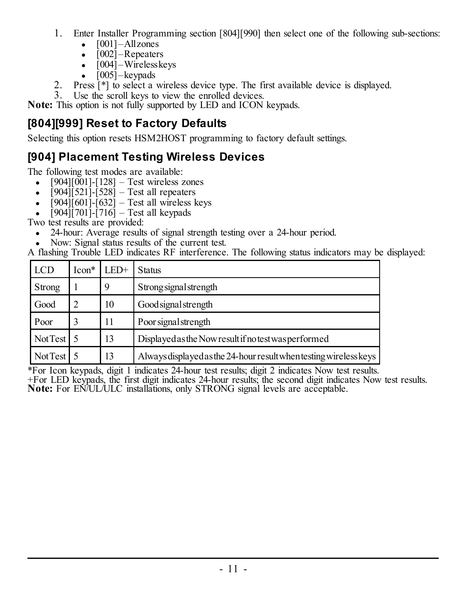- 1. Enter Installer Programming section [804][990] then select one of the following sub-sections:
	- $\bullet$   $[001]$  Allzones
	- $\cdot$  [002] Repeaters
	- $\cdot$  [004] Wireless keys
	- $\bullet$  [005] keypads
- 2. Press [\*] to select a wireless device type. The first available device is displayed.
- 3. Use the scroll keys to view the enrolled devices.

**Note:** This option is not fully supported by LED and ICON keypads.

### <span id="page-11-0"></span>**[804][999] Reset to Factory Defaults**

Selecting this option resets HSM2HOST programming to factory default settings.

### <span id="page-11-1"></span>**[904] Placement Testing Wireless Devices**

The following test modes are available:

- $[904][001] [128] Test wireless zones$
- $\bullet$  [904][521]-[528] Test all repeaters
- $\cdot$  [904][601]-[632] Test all wireless keys
- $\int 904 \int 701 \cdot 716 =$  Test all keypads

Two test results are provided:

- 24-hour: Average results of signal strength testing over a 24-hour period.
- Now: Signal status results of the current test.

A flashing Trouble LED indicates RF interference. The following status indicators may be displayed:

| <b>LCD</b> | $Icon*$ | $LED+$ | <b>Status</b>                                                     |
|------------|---------|--------|-------------------------------------------------------------------|
| Strong     |         | 9      | Strong signal strength                                            |
| Good       |         | 10     | Good signal strength                                              |
| Poor       |         | 11     | Poor signal strength                                              |
| Not Test   |         | 13     | Displayed as the Now result if no test was performed              |
| Not Test   |         | 13     | Always displayed as the 24-hour result when testing wireless keys |

\*For Icon keypads, digit 1 indicates 24-hour test results; digit 2 indicates Now test results.

+For LED keypads, the first digit indicates 24-hour results; the second digit indicates Now test results. **Note:** For EN/UL/ULC installations, only STRONG signal levels are acceptable.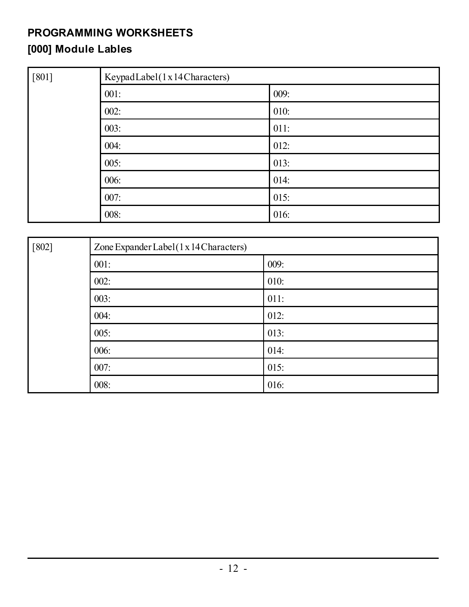# <span id="page-12-0"></span>**PROGRAMMING WORKSHEETS**

## <span id="page-12-1"></span>**[000] Module Lables**

| $[801]$ | KeypadLabel(1x14Characters) |      |  |
|---------|-----------------------------|------|--|
|         | 001:                        | 009: |  |
|         | 002:                        | 010: |  |
|         | 003:                        | 011: |  |
|         | 004:                        | 012: |  |
|         | 005:                        | 013: |  |
|         | 006:                        | 014: |  |
|         | 007:                        | 015: |  |
|         | 008:                        | 016: |  |

| $[802]$ | Zone Expander Label (1 x 14 Characters) |      |  |
|---------|-----------------------------------------|------|--|
|         | 001:                                    | 009: |  |
|         | 002:                                    | 010: |  |
|         | 003:                                    | 011: |  |
|         | 004:                                    | 012: |  |
|         | 005:                                    | 013: |  |
|         | 006:                                    | 014: |  |
|         | 007:                                    | 015: |  |
|         | 008:                                    | 016: |  |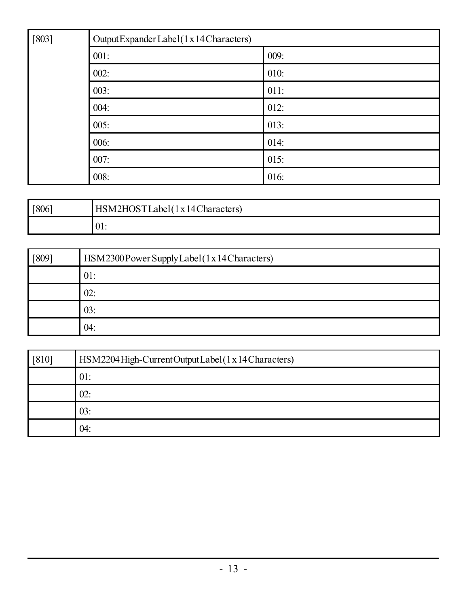| $[803]$ | Output Expander Label (1 x 14 Characters) |      |  |
|---------|-------------------------------------------|------|--|
|         | 001:                                      | 009: |  |
|         | 002:                                      | 010: |  |
|         | 003:                                      | 011: |  |
|         | 004:                                      | 012: |  |
|         | 005:                                      | 013: |  |
|         | 006:                                      | 014: |  |
|         | 007:                                      | 015: |  |
|         | 008:                                      | 016: |  |

| [806] | HSM2HOSTLabel(1x14Characters) |
|-------|-------------------------------|
|       | VI.                           |

| F809 | HSM2300 Power Supply Label (1 x 14 Characters) |
|------|------------------------------------------------|
|      | 01:                                            |
|      | 02:                                            |
|      | 03:                                            |
|      | 04:                                            |

| $[810]$ | HSM2204 High-CurrentOutputLabel(1x14 Characters) |
|---------|--------------------------------------------------|
|         | 01:                                              |
|         | 02:                                              |
|         | 03:                                              |
|         | 04:                                              |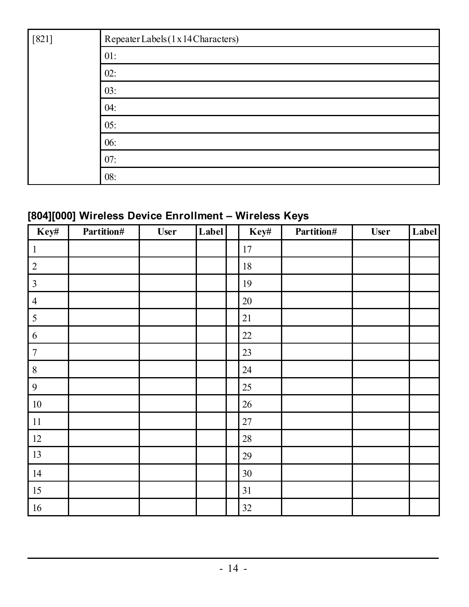| $[821]$ | Repeater Labels (1 x 14 Characters) |
|---------|-------------------------------------|
|         | 01:                                 |
|         | 02:                                 |
|         | 03:                                 |
|         | 04:                                 |
|         | 05:                                 |
|         | 06:                                 |
|         | 07:                                 |
|         | 08:                                 |

### <span id="page-14-0"></span>**[804][000] Wireless Device Enrollment – Wireless Keys**

| Key#           | Partition# | <b>User</b> | Label | Key#   | Partition# | User | Label |
|----------------|------------|-------------|-------|--------|------------|------|-------|
| $\mathbf{1}$   |            |             |       | 17     |            |      |       |
| $\sqrt{2}$     |            |             |       | 18     |            |      |       |
| $\mathfrak{Z}$ |            |             |       | 19     |            |      |       |
| $\sqrt{4}$     |            |             |       | $20\,$ |            |      |       |
| 5              |            |             |       | 21     |            |      |       |
| $\sqrt{6}$     |            |             |       | $22\,$ |            |      |       |
| $\overline{7}$ |            |             |       | 23     |            |      |       |
| 8              |            |             |       | 24     |            |      |       |
| 9              |            |             |       | 25     |            |      |       |
| $10\,$         |            |             |       | $26\,$ |            |      |       |
| $11\,$         |            |             |       | $27\,$ |            |      |       |
| $12\,$         |            |             |       | $28\,$ |            |      |       |
| 13             |            |             |       | 29     |            |      |       |
| 14             |            |             |       | 30     |            |      |       |
| 15             |            |             |       | 31     |            |      |       |
| 16             |            |             |       | 32     |            |      |       |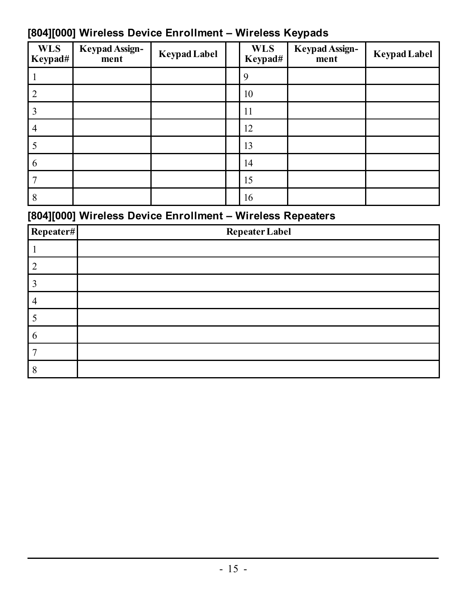| --                    |                               |                     |                       | . .                           |                     |
|-----------------------|-------------------------------|---------------------|-----------------------|-------------------------------|---------------------|
| <b>WLS</b><br>Keypad# | <b>Keypad Assign-</b><br>ment | <b>Keypad Label</b> | <b>WLS</b><br>Keypad# | <b>Keypad Assign-</b><br>ment | <b>Keypad Label</b> |
|                       |                               |                     | 9                     |                               |                     |
| $\overline{2}$        |                               |                     | 10                    |                               |                     |
|                       |                               |                     | 11                    |                               |                     |
| $\overline{4}$        |                               |                     | 12                    |                               |                     |
|                       |                               |                     | 13                    |                               |                     |
| 6                     |                               |                     | 14                    |                               |                     |
|                       |                               |                     | 15                    |                               |                     |
| 8                     |                               |                     | 16                    |                               |                     |

### <span id="page-15-0"></span>**[804][000] Wireless Device Enrollment – Wireless Keypads**

### <span id="page-15-1"></span>**[804][000] Wireless Device Enrollment – Wireless Repeaters**

| Repeater# | <b>Repeater Label</b> |
|-----------|-----------------------|
|           |                       |
|           |                       |
|           |                       |
|           |                       |
|           |                       |
| 6         |                       |
|           |                       |
|           |                       |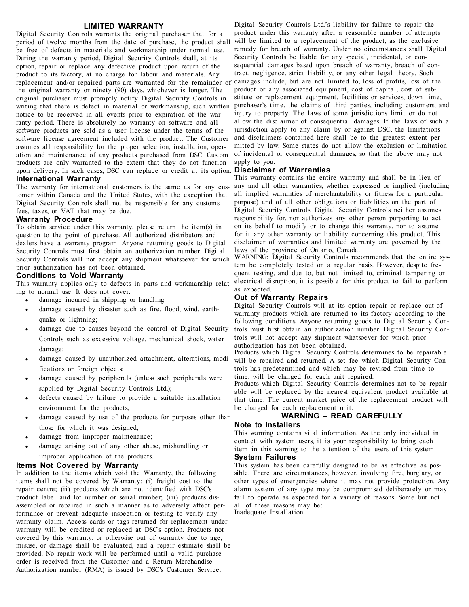#### **LIMITED WARRANTY**

Digital Security Controls warrants the original purchaser that for a period of twelve months from the date of purchase, the product shall be free of defects in materials and workmanship under normal use. During the warranty period, Digital Security Controls shall, at its option, repair or replace any defective product upon return of the product to its factory, at no charge for labour and materials. Any replacement and/or repaired parts are warranted for the remainder of the original warranty or ninety (90) days, whichever is longer. The original purchaser must promptly notify Digital Security Controls in writing that there is defect in material or workmanship, such written notice to be received in all events prior to expiration of the warranty period. There is absolutely no warranty on software and all software products are sold as a user license under the terms of the software license agreement included with the product. The Customer assumes all responsibility for the proper selection, installation, operation and maintenance of any products purchased from DSC. Custom products are only warranted to the extent that they do not function upon delivery. In such cases, DSC can replace or credit at its option. **International Warranty**

The warranty for international customers is the same as for any customer within Canada and the United States, with the exception that Digital Security Controls shall not be responsible for any customs fees, taxes, or VAT that may be due.

#### **Warranty Procedure**

To obtain service under this warranty, please return the item(s) in question to the point of purchase. All authorized distributors and dealers have a warranty program. Anyone returning goods to Digital Security Controls must first obtain an authorization number. Digital Security Controls will not accept any shipment whatsoever for which prior authorization has not been obtained.

#### **Conditions to Void Warranty**

ing to normal use. It does not cover:

- $\bullet$  damage incurred in shipping or handling
- damage caused by disaster such as fire, flood, wind, earthquake or lightning;
- damage due to causes beyond the control of Digital Security Controls such as excessive voltage, mechanical shock, water damage;
- damage caused by unauthorized attachment, alterations, modifications or foreign objects;
- damage caused by peripherals (unless such peripherals were supplied by Digital Security Controls Ltd.);
- defects caused by failure to provide a suitable installation environment for the products;
- damage caused by use of the products for purposes other than those for which it was designed;
- damage from improper maintenance:
- damage arising out of any other abuse, mishandling or improper application of the products.

#### **Items Not Covered by Warranty**

In addition to the items which void the Warranty, the following items shall not be covered by Warranty: (i) freight cost to the repair centre; (ii) products which are not identified with DSC's product label and lot number or serial number; (iii) products disassembled or repaired in such a manner as to adversely affect performance or prevent adequate inspection or testing to verify any warranty claim. Access cards or tags returned for replacement under warranty will be credited or replaced at DSC's option. Products not covered by this warranty, or otherwise out of warranty due to age, misuse, or damage shall be evaluated, and a repair estimate shall be provided. No repair work will be performed until a valid purchase order is received from the Customer and a Return Merchandise Authorization number (RMA) is issued by DSC's Customer Service.

Digital Security Controls Ltd.'s liability for failure to repair the product under this warranty after a reasonable number of attempts will be limited to a replacement of the product, as the exclusive remedy for breach of warranty. Under no circumstances shall Digital Security Controls be liable for any special, incidental, or consequential damages based upon breach of warranty, breach of contract, negligence, strict liability, or any other legal theory. Such damages include, but are not limited to, loss of profits, loss of the product or any associated equipment, cost of capital, cost of substitute or replacement equipment, facilities or services, down time, purchaser's time, the claims of third parties, including customers, and injury to property. The laws of some jurisdictions limit or do not allow the disclaimer of consequential damages. If the laws of such a jurisdiction apply to any claim by or against DSC, the limitations and disclaimers contained here shall be to the greatest extent permitted by law. Some states do not allow the exclusion or limitation of incidental or consequential damages, so that the above may not apply to you.

#### **Disclaimer of Warranties**

This warranty contains the entire warranty and shall be in lieu of any and all other warranties, whether expressed or implied (including all implied warranties of merchantability or fitness for a particular purpose) and of all other obligations or liabilities on the part of Digital Security Controls. Digital Security Controls neither assumes responsibility for, nor authorizes any other person purporting to act on its behalf to modify or to change this warranty, nor to assume for it any other warranty or liability concerning this product. This disclaimer of warranties and limited warranty are governed by the laws of the province of Ontario, Canada.

This warranty applies only to defects in parts and workmanship relat-electrical disruption, it is possible for this product to fail to perform WARNING: Digital Security Controls recommends that the entire system be completely tested on a regular basis. However, despite frequent testing, and due to, but not limited to, criminal tampering or as expected.

#### **Out of Warranty Repairs**

Digital Security Controls will at its option repair or replace out-ofwarranty products which are returned to its factory according to the following conditions. Anyone returning goods to Digital Security Controls must first obtain an authorization number. Digital Security Controls will not accept any shipment whatsoever for which prior authorization has not been obtained.

Products which Digital Security Controls determines to be repairable will be repaired and returned. A set fee which Digital Security Controls has predetermined and which may be revised from time to time, will be charged for each unit repaired.

Products which Digital Security Controls determines not to be repairable will be replaced by the nearest equivalent product available at that time. The current market price of the replacement product will be charged for each replacement unit.

#### **WARNING – READ CAREFULLY**

#### **Note to Installers**

This warning contains vital information. As the only individual in contact with system users, it is your responsibility to bring each item in this warning to the attention of the users of this system. **System Failures**

This system has been carefully designed to be as effective as possible. There are circumstances, however, involving fire, burglary, or other types of emergencies where it may not provide protection. Any alarm system of any type may be compromised deliberately or may fail to operate as expected for a variety of reasons. Some but not all of these reasons may be: Inadequate Installation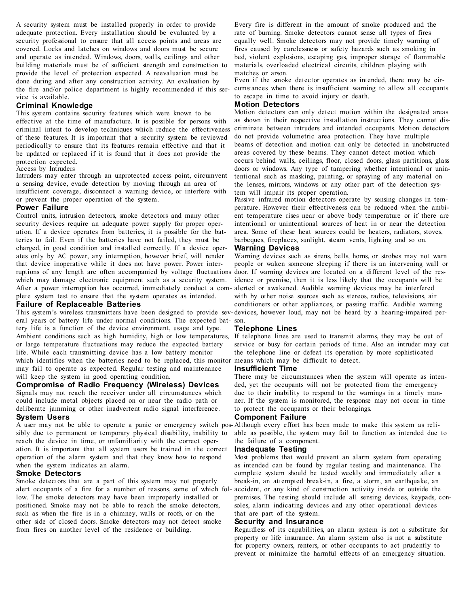A security system must be installed properly in order to provide adequate protection. Every installation should be evaluated by a security professional to ensure that all access points and areas are covered. Locks and latches on windows and doors must be secure and operate as intended. Windows, doors, walls, ceilings and other building materials must be of sufficient strength and construction to provide the level of protection expected. A reevaluation must be done during and after any construction activity. An evaluation by the fire and/or police department is highly recommended if this service is available.

#### **Criminal Knowledge**

This system contains security features which were known to be effective at the time of manufacture. It is possible for persons with criminal intent to develop techniques which reduce the effectiveness of these features. It is important that a security system be reviewed periodically to ensure that its features remain effective and that it be updated or replaced if it is found that it does not provide the protection expected.

Access by Intruders

Intruders may enter through an unprotected access point, circumvent a sensing device, evade detection by moving through an area of insufficient coverage, disconnect a warning device, or interfere with or prevent the proper operation of the system.

#### **Power Failure**

Control units, intrusion detectors, smoke detectors and many other security devices require an adequate power supply for proper operation. If a device operates from batteries, it is possible for the batteries to fail. Even if the batteries have not failed, they must be charged, in good condition and installed correctly. If a device operates only by AC power, any interruption, however brief, will render that device inoperative while it does not have power. Power interruptions of any length are often accompanied by voltage fluctuations door. If warning devices are located on a different level of the reswhich may damage electronic equipment such as a security system. After a power interruption has occurred, immediately conduct a com-alerted or awakened. Audible warning devices may be interfered plete system test to ensure that the system operates as intended. **Failure of Replaceable Batteries**

eral years of battery life under normal conditions. The expected bat-son. tery life is a function of the device environment, usage and type. Ambient conditions such as high humidity, high or low temperatures, or large temperature fluctuations may reduce the expected battery life. While each transmitting device has a low battery monitor which identifies when the batteries need to be replaced, this monitor means which may be difficult to detect. may fail to operate as expected. Regular testing and maintenance will keep the system in good operating condition.

#### **Compromise of Radio Frequency (Wireless) Devices**

Signals may not reach the receiver under all circumstances which could include metal objects placed on or near the radio path or deliberate jamming or other inadvertent radio signal interference. **System Users**

A user may not be able to operate a panic or emergency switch pos-Although every effort has been made to make this system as relisibly due to permanent or temporary physical disability, inability to reach the device in time, or unfamiliarity with the correct operation. It is important that all system users be trained in the correct operation of the alarm system and that they know how to respond when the system indicates an alarm.

#### **Smoke Detectors**

Smoke detectors that are a part of this system may not properly alert occupants of a fire for a number of reasons, some of which fol-accident, or any kind of construction activity inside or outside the low. The smoke detectors may have been improperly installed or positioned. Smoke may not be able to reach the smoke detectors, such as when the fire is in a chimney, walls or roofs, or on the other side of closed doors. Smoke detectors may not detect smoke from fires on another level of the residence or building.

Every fire is different in the amount of smoke produced and the rate of burning. Smoke detectors cannot sense all types of fires equally well. Smoke detectors may not provide timely warning of fires caused by carelessness or safety hazards such as smoking in bed, violent explosions, escaping gas, improper storage of flammable materials, overloaded electrical circuits, children playing with matches or arson.

Even if the smoke detector operates as intended, there may be circumstances when there is insufficient warning to allow all occupants to escape in time to avoid injury or death.

#### **Motion Detectors**

Motion detectors can only detect motion within the designated areas as shown in their respective installation instructions. They cannot discriminate between intruders and intended occupants. Motion detectors do not provide volumetric area protection. They have multiple beams of detection and motion can only be detected in unobstructed areas covered by these beams. They cannot detect motion which occurs behind walls, ceilings, floor, closed doors, glass partitions, glass doors or windows. Any type of tampering whether intentional or unintentional such as masking, painting, or spraying of any material on the lenses, mirrors, windows or any other part of the detection system will impair its proper operation.

Passive infrared motion detectors operate by sensing changes in temperature. However their effectiveness can be reduced when the ambient temperature rises near or above body temperature or if there are intentional or unintentional sources of heat in or near the detection area. Some of these heat sources could be heaters, radiators, stoves, barbeques, fireplaces, sunlight, steam vents, lighting and so on. **Warning Devices**

### Warning devices such as sirens, bells, horns, or strobes may not warn people or waken someone sleeping if there is an intervening wall or idence or premise, then it is less likely that the occupants will be with by other noise sources such as stereos, radios, televisions, air conditioners or other appliances, or passing traffic. Audible warning

This system's wireless transmitters have been designed to provide sev-devices, however loud, may not be heard by a hearing-impaired per-

#### **Telephone Lines**

If telephone lines are used to transmit alarms, they may be out of service or busy for certain periods of time. Also an intruder may cut the telephone line or defeat its operation by more sophisticated

#### **Insufficient Time**

There may be circumstances when the system will operate as intended, yet the occupants will not be protected from the emergency due to their inability to respond to the warnings in a timely manner. If the system is monitored, the response may not occur in time to protect the occupants or their belongings.

#### **Component Failure**

able as possible, the system may fail to function as intended due to the failure of a component.

#### **Inadequate Testing**

Most problems that would prevent an alarm system from operating as intended can be found by regular testing and maintenance. The complete system should be tested weekly and immediately after a break-in, an attempted break-in, a fire, a storm, an earthquake, an premises. The testing should include all sensing devices, keypads, consoles, alarm indicating devices and any other operational devices that are part of the system.

#### **Security and Insurance**

Regardless of its capabilities, an alarm system is not a substitute for property or life insurance. An alarm system also is not a substitute for property owners, renters, or other occupants to act prudently to prevent or minimize the harmful effects of an emergency situation.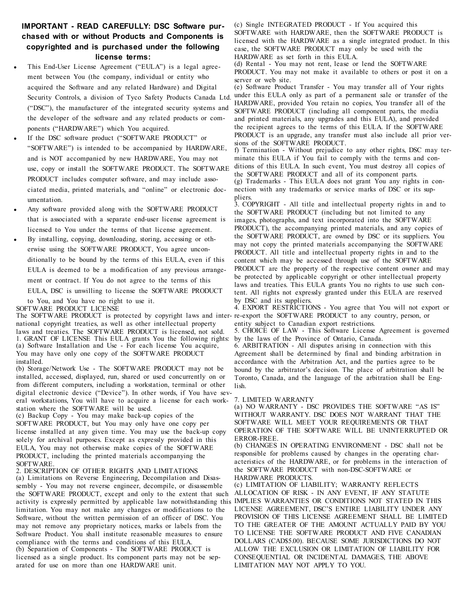#### **IMPORTANT - READ CAREFULLY: DSC Software purchased with or without Products and Components is copyrighted and is purchased under the following license terms:**

#### This End-User License Agreement ("EULA") is a legal agreement between You (the company, individual or entity who acquired the Software and any related Hardware) and Digital Security Controls, a division of Tyco Safety Products Canada Ltd. ("DSC"), the manufacturer of the integrated security systems and the developer of the software and any related products or components ("HARDWARE") which You acquired.

- <sup>l</sup> If the DSC software product ("SOFTWARE PRODUCT" or "SOFTWARE") is intended to be accompanied by HARDWARE, and is NOT accompanied by new HARDWARE, You may not use, copy or install the SOFTWARE PRODUCT. The SOFTWARE PRODUCT includes computer software, and may include associated media, printed materials, and "online" or electronic documentation.
- Any software provided along with the SOFTWARE PRODUCT that is associated with a separate end-user license agreement is licensed to You under the terms of that license agreement.
- <sup>l</sup> By installing, copying, downloading, storing, accessing or otherwise using the SOFTWARE PRODUCT, You agree unconditionally to be bound by the terms of this EULA, even if this EULA is deemed to be a modification of any previous arrangement or contract. If You do not agree to the terms of this EULA, DSC is unwilling to license the SOFTWARE PRODUCT to You, and You have no right to use it.

#### SOFTWARE PRODUCT LICENSE

The SOFTWARE PRODUCT is protected by copyright laws and inter-re-export the SOFTWARE PRODUCT to any country, person, or national copyright treaties, as well as other intellectual property laws and treaties. The SOFTWARE PRODUCT is licensed, not sold. 1. GRANT OF LICENSE This EULA grants You the following rights: (a) Software Installation and Use - For each license You acquire, You may have only one copy of the SOFTWARE PRODUCT installed.

(b) Storage/Network Use - The SOFTWARE PRODUCT may not be installed, accessed, displayed, run, shared or used concurrently on or from different computers, including a workstation, terminal or other digital electronic device ("Device"). In other words, if You have several workstations, You will have to acquire a license for each workstation where the SOFTWARE will be used.

(c) Backup Copy - You may make back-up copies of the SOFTWARE PRODUCT, but You may only have one copy per license installed at any given time. You may use the back-up copy solely for archival purposes. Except as expressly provided in this EULA, You may not otherwise make copies of the SOFTWARE PRODUCT, including the printed materials accompanying the SOFTWARE.

2. DESCRIPTION OF OTHER RIGHTS AND LIMITATIONS (a) Limitations on Reverse Engineering, Decompilation and Disassembly - You may not reverse engineer, decompile, or disassemble the SOFTWARE PRODUCT, except and only to the extent that such activity is expressly permitted by applicable law notwithstanding this IMPLIES WARRANTIES OR CONDITIONS NOT STATED IN THIS limitation. You may not make any changes or modifications to the Software, without the written permission of an officer of DSC. You may not remove any proprietary notices, marks or labels from the Software Product. You shall institute reasonable measures to ensure compliance with the terms and conditions of this EULA. (b) Separation of Components - The SOFTWARE PRODUCT is licensed as a single product. Its component parts may not be separated for use on more than one HARDWARE unit.

(c) Single INTEGRATED PRODUCT - If You acquired this SOFTWARE with HARDWARE, then the SOFTWARE PRODUCT is licensed with the HARDWARE as a single integrated product. In this case, the SOFTWARE PRODUCT may only be used with the HARDWARE as set forth in this EULA.

(d) Rental - You may not rent, lease or lend the SOFTWARE PRODUCT. You may not make it available to others or post it on a server or web site.

(e) Software Product Transfer - You may transfer all of Your rights under this EULA only as part of a permanent sale or transfer of the HARDWARE, provided You retain no copies, You transfer all of the SOFTWARE PRODUCT (including all component parts, the media and printed materials, any upgrades and this EULA), and provided the recipient agrees to the terms of this EULA. If the SOFTWARE PRODUCT is an upgrade, any transfer must also include all prior versions of the SOFTWARE PRODUCT.

f) Termination - Without prejudice to any other rights, DSC may terminate this EULA if You fail to comply with the terms and conditions of this EULA. In such event, You must destroy all copies of the SOFTWARE PRODUCT and all of its component parts. (g) Trademarks - This EULA does not grant You any rights in connection with any trademarks or service marks of DSC or its suppliers.

3. COPYRIGHT - All title and intellectual property rights in and to the SOFTWARE PRODUCT (including but not limited to any images, photographs, and text incorporated into the SOFTWARE PRODUCT), the accompanying printed materials, and any copies of the SOFTWARE PRODUCT, are owned by DSC or its suppliers. You may not copy the printed materials accompanying the SOFTWARE PRODUCT. All title and intellectual property rights in and to the content which may be accessed through use of the SOFTWARE PRODUCT are the property of the respective content owner and may be protected by applicable copyright or other intellectual property laws and treaties. This EULA grants You no rights to use such content. All rights not expressly granted under this EULA are reserved by DSC and its suppliers.

4. EXPORT RESTRICTIONS - You agree that You will not export or entity subject to Canadian export restrictions.

5. CHOICE OF LAW - This Software License Agreement is governed by the laws of the Province of Ontario, Canada.

6. ARBITRATION - All disputes arising in connection with this Agreement shall be determined by final and binding arbitration in accordance with the Arbitration Act, and the parties agree to be bound by the arbitrator's decision. The place of arbitration shall be Toronto, Canada, and the language of the arbitration shall be English.

#### 7. LIMITED WARRANTY

(a) NO WARRANTY - DSC PROVIDES THE SOFTWARE "AS IS" WITHOUT WARRANTY. DSC DOES NOT WARRANT THAT THE SOFTWARE WILL MEET YOUR REQUIREMENTS OR THAT OPERATION OF THE SOFTWARE WILL BE UNINTERRUPTED OR ERROR-FREE.

(b) CHANGES IN OPERATING ENVIRONMENT - DSC shall not be responsible for problems caused by changes in the operating characteristics of the HARDWARE, or for problems in the interaction of the SOFTWARE PRODUCT with non-DSC-SOFTWARE or HARDWARE PRODUCTS.

(c) LIMITATION OF LIABILITY; WARRANTY REFLECTS ALLOCATION OF RISK - IN ANY EVENT, IF ANY STATUTE LICENSE AGREEMENT, DSC'S ENTIRE LIABILITY UNDER ANY PROVISION OF THIS LICENSE AGREEMENT SHALL BE LIMITED TO THE GREATER OF THE AMOUNT ACTUALLY PAID BY YOU TO LICENSE THE SOFTWARE PRODUCT AND FIVE CANADIAN DOLLARS (CAD\$5.00). BECAUSE SOME JURISDICTIONS DO NOT ALLOW THE EXCLUSION OR LIMITATION OF LIABILITY FOR CONSEQUENTIAL OR INCIDENTAL DAMAGES, THE ABOVE LIMITATION MAY NOT APPLY TO YOU.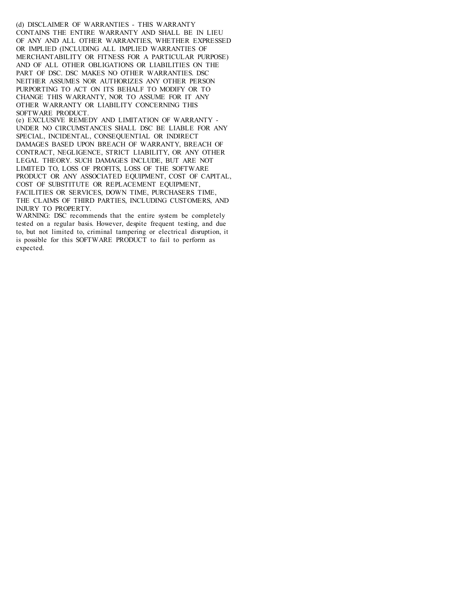(d) DISCLAIMER OF WARRANTIES - THIS WARRANTY CONTAINS THE ENTIRE WARRANTY AND SHALL BE IN LIEU OF ANY AND ALL OTHER WARRANTIES, WHETHER EXPRESSED OR IMPLIED (INCLUDING ALL IMPLIED WARRANTIES OF MERCHANTABILITY OR FITNESS FOR A PARTICULAR PURPOSE) AND OF ALL OTHER OBLIGATIONS OR LIABILITIES ON THE PART OF DSC. DSC MAKES NO OTHER WARRANTIES. DSC NEITHER ASSUMES NOR AUTHORIZES ANY OTHER PERSON PURPORTING TO ACT ON ITS BEHALF TO MODIFY OR TO CHANGE THIS WARRANTY, NOR TO ASSUME FOR IT ANY OTHER WARRANTY OR LIABILITY CONCERNING THIS SOFTWARE PRODUCT.

(e) EXCLUSIVE REMEDY AND LIMITATION OF WARRANTY - UNDER NO CIRCUMSTANCES SHALL DSC BE LIABLE FOR ANY SPECIAL, INCIDENTAL, CONSEQUENTIAL OR INDIRECT DAMAGES BASED UPON BREACH OF WARRANTY, BREACH OF CONTRACT, NEGLIGENCE, STRICT LIABILITY, OR ANY OTHER LEGAL THEORY. SUCH DAMAGES INCLUDE, BUT ARE NOT LIMITED TO, LOSS OF PROFITS, LOSS OF THE SOFTWARE PRODUCT OR ANY ASSOCIATED EQUIPMENT, COST OF CAPITAL, COST OF SUBSTITUTE OR REPLACEMENT EQUIPMENT, FACILITIES OR SERVICES, DOWN TIME, PURCHASERS TIME, THE CLAIMS OF THIRD PARTIES, INCLUDING CUSTOMERS, AND INJURY TO PROPERTY.

WARNING: DSC recommends that the entire system be completely tested on a regular basis. However, despite frequent testing, and due to, but not limited to, criminal tampering or electrical disruption, it is possible for this SOFTWARE PRODUCT to fail to perform as expected.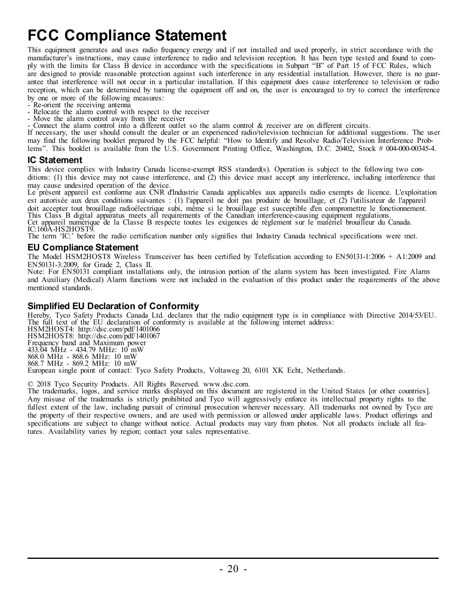## <span id="page-20-0"></span>**FCC Compliance Statement**

This equipment generates and uses radio frequency energy and if not installed and used properly, in strict accordance with the manufacturer's instructions, may cause interference to radio and television reception. It has been type tested and found to comply with the limits for Class B device in accordance with the specifications in Subpart "B" of Part 15 of FCC Rules, which are designed to provide reasonable protection against such interference in any residential installation. However, there is no guarantee that interference will not occur in a particular installation. If this equipment does cause interference to television or radio reception, which can be determined by turning the equipment off and on, the user is encouraged to try to correct the interference by one or more of the following measures:

- Re-orient the receiving antenna
- Relocate the alarm control with respect to the receiver
- Move the alarm control away from the receiver
- Connect the alarm control into a different outlet so the alarm control & receiver are on different circuits.

If necessary, the user should consult the dealer or an experienced radio/television technician for additional suggestions. The user may find the following booklet prepared by the FCC helpful: "How to Identify and Resolve Radio/Television Interference Problems". This booklet is available from the U.S. Government Printing Office, Washington, D.C. 20402, Stock # 004-000-00345-4.

#### **IC Statement**

This device complies with Industry Canada license-exempt RSS standard(s). Operation is subject to the following two conditions: (1) this device may not cause interference, and (2) this device must accept any interference, including interference that may cause undesired operation of the device.

Le présent appareil est conforme aux CNR d'Industrie Canada applicables aux appareils radio exempts de licence. L'exploitation est autorisée aux deux conditions suivantes : (1) l'appareil ne doit pas produire de brouillage, et (2) l'utilisateur de l'appareil doit accepter tout brouillage radioélectrique subi, même si le brouillage est susceptible d'en compromettre le fonctionnement.<br>This Class B digital apparatus meets all requirements of the Canadian interference-causing equi Cet appareil numérique de la Classe B respecte toutes les exigences de règlement sur le matériel brouilleur du Canada. IC:160A-HS2HOST9.

The term 'IC:' before the radio certification number only signifies that Industry Canada technical specifications were met.

#### **EU Compliance Statement**

The Model HSM2HOST8 Wireless Transceiver has been certified by Telefication according to EN50131-1:2006 + A1:2009 and EN50131-3:2009, for Grade 2, Class II.

Note: For EN50131 compliant installations only, the intrusion portion of the alarm system has been investigated. Fire Alarm and Auxiliary (Medical) Alarm functions were not included in the evaluation of this product under the requirements of the above mentioned standards.

#### **Simplified EU Declaration of Conformity**

Hereby, Tyco Safety Products Canada Ltd. declares that the radio equipment type is in compliance with Directive 2014/53/EU. The full text of the EU declaration of conformity is available at the following internet address:

HSM2HOST4: http://dsc.com/pdf/1401066 HSM2HOST8: http://dsc.com/pdf/1401067 Frequency band and Maximum power 433.04 MHz - 434.79 MHz: 10 mW 868.0 MHz - 868.6 MHz: 10 mW 868.7 MHz - 869.2 MHz: 10 mW European single point of contact: Tyco Safety Products, Voltaweg 20, 6101 XK Echt, Netherlands.

© 2018 Tyco Security Products. All Rights Reserved. www.dsc.com.

The trademarks, logos, and service marks displayed on this document are registered in the United States [or other countries]. Any misuse of the trademarks is strictly prohibited and Tyco will aggressively enforce its intellectual property rights to the fullest extent of the law, including pursuit of criminal prosecution wherever necessary. All trademarks not owned by Tyco are the property of their respective owners, and are used with permission or allowed under applicable laws. Product offerings and specifications are subject to change without notice. Actual products may vary from photos. Not all products include all features. Availability varies by region; contact your sales representative.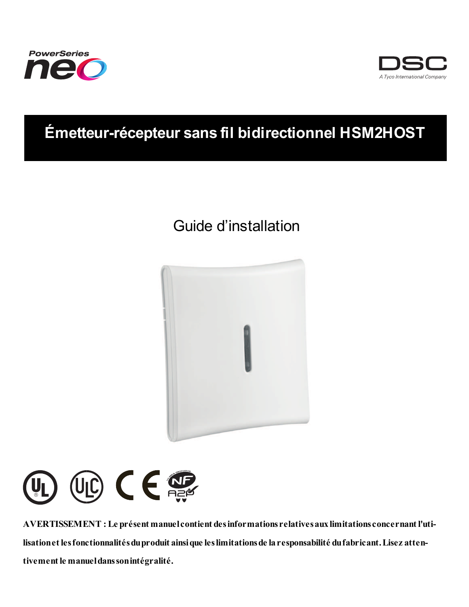



## **Émetteur-récepteur sans fil bidirectionnel HSM2HOST**

## Guide d'installation





**AVERTISSEMENT : Le présent manuelcontient desinformations relativesauxlimitations concernant l'utilisationet lesfonctionnalitésduproduit ainsique leslimitationsde laresponsabilité dufabricant.Lisez attentivement le manueldanssonintégralité.**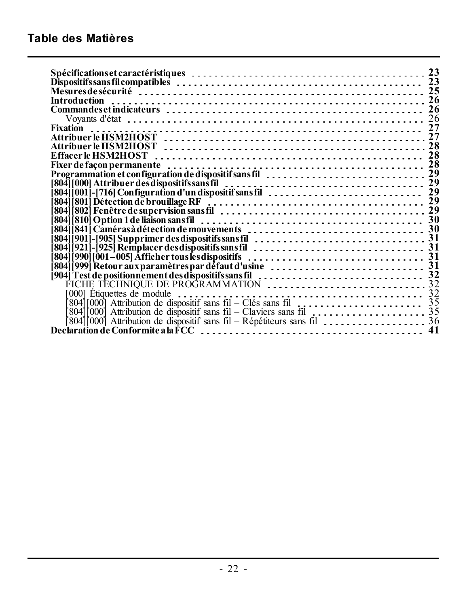| 23                                                                                                                                                            |
|---------------------------------------------------------------------------------------------------------------------------------------------------------------|
| 23                                                                                                                                                            |
|                                                                                                                                                               |
| 26                                                                                                                                                            |
| 26                                                                                                                                                            |
| 26                                                                                                                                                            |
|                                                                                                                                                               |
| 27                                                                                                                                                            |
|                                                                                                                                                               |
| 28                                                                                                                                                            |
|                                                                                                                                                               |
| Programmation et configuration de dispositif sans fil<br>29                                                                                                   |
| 804] [000] Attribuer desdispositifs sans fil<br>  804] [000] Attribuer desdispositifs sans fil<br>  804] [001] - [716] Configuration d'un dispositif sans fil |
|                                                                                                                                                               |
|                                                                                                                                                               |
| 804    801    Détection de brouillage RF<br>  804    802    Fenêtre de supervision sans fil                                                                   |
|                                                                                                                                                               |
|                                                                                                                                                               |
|                                                                                                                                                               |
|                                                                                                                                                               |
|                                                                                                                                                               |
|                                                                                                                                                               |
|                                                                                                                                                               |
| [904] Test de positionnement des dispositifs sans fil<br>FICHE TECHNIQUE DE PROGRAMMATION<br>FICHE TECHNIQUE DE PROGRAMMATION                                 |
|                                                                                                                                                               |
| $804$ [000] Attribution de dispositif sans fil – Clés sans fil $\ldots$ $\ldots$ $\ldots$ $\ldots$ $\ldots$ $\ldots$ 35                                       |
|                                                                                                                                                               |
|                                                                                                                                                               |
|                                                                                                                                                               |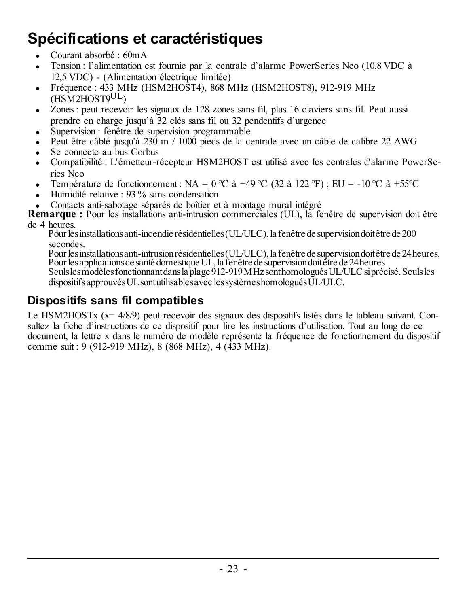# <span id="page-23-0"></span>**Spécifications et caractéristiques**

- Courant absorbé : 60mA
- <sup>l</sup> Tension : l'alimentation est fournie par la centrale d'alarme PowerSeries Neo (10,8 VDC à 12,5 VDC) - (Alimentation électrique limitée)
- <sup>l</sup> Fréquence : 433 MHz (HSM2HOST4), 868 MHz (HSM2HOST8), 912-919 MHz (HSM2HOST9UL)
- Zones : peut recevoir les signaux de 128 zones sans fil, plus 16 claviers sans fil. Peut aussi prendre en charge jusqu'à 32 clés sans fil ou 32 pendentifs d'urgence
- Supervision : fenêtre de supervision programmable
- <sup>l</sup> Peut être câblé jusqu'à 230 m / 1000 pieds de la centrale avec un câble de calibre 22 AWG
- Se connecte au bus Corbus
- <sup>l</sup> Compatibilité : L'émetteur-récepteur HSM2HOST est utilisé avec les centrales d'alarme PowerSeries Neo
- Femperature de fonctionnement : NA =  $0^{\circ}$ C à +49 °C (32 à 122 °F) ; EU = -10 °C à +55°C
- Humidité relative :  $93\%$  sans condensation
- <sup>l</sup> Contacts anti-sabotage séparés de boîtier et à montage mural intégré

**Remarque :** Pour les installations anti-intrusion commerciales (UL), la fenêtre de supervision doit être de 4 heures.

Pour les installations anti-incendie résidentielles (UL/ULC), la fenêtre de supervision doit être de 200 secondes.

Pourlesinstallationsanti-intrusionrésidentielles(UL/ULC),la fenêtre de supervisiondoitêtre de 24heures. Pourlesapplicationsde santé domestiqueUL,la fenêtre de supervisiondoitêtre de 24heures Seulslesmodèlesfonctionnantdansla plage 912-919MHz sonthomologuésUL/ULCsiprécisé.Seulsles dispositifs approuvés UL sont utilisables avec les systèmes homologués UL/ULC.

### <span id="page-23-1"></span>**Dispositifs sans fil compatibles**

Le HSM2HOSTx (x= 4/8/9) peut recevoir des signaux des dispositifs listés dans le tableau suivant. Consultez la fiche d'instructions de ce dispositif pour lire les instructions d'utilisation. Tout au long de ce document, la lettre x dans le numéro de modèle représente la fréquence de fonctionnement du dispositif comme suit : 9 (912-919 MHz), 8 (868 MHz), 4 (433 MHz).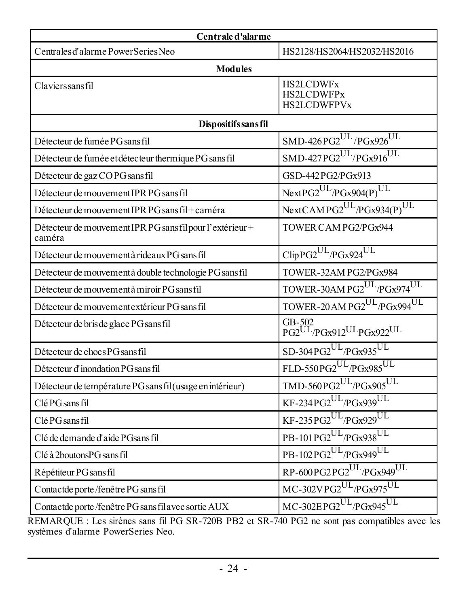| Centrale d'alarme                                                   |                                                                        |  |  |  |  |
|---------------------------------------------------------------------|------------------------------------------------------------------------|--|--|--|--|
| Centrales d'alarme PowerSeries Neo                                  | HS2128/HS2064/HS2032/HS2016                                            |  |  |  |  |
| <b>Modules</b>                                                      |                                                                        |  |  |  |  |
| <b>Claviers sans fil</b>                                            | <b>HS2LCDWFx</b><br><b>HS2LCDWFPx</b><br><b>HS2LCDWFPVx</b>            |  |  |  |  |
| Dispositifs sans fil                                                |                                                                        |  |  |  |  |
| Détecteur de fumée PG sans fil                                      | $SMD-426PG2^{UL}/PGx926^{UL}$                                          |  |  |  |  |
| Détecteur de fumée et détecteur thermique PG sans fil               | $SMD-427PG2^{UL}/PGx916^{UL}$                                          |  |  |  |  |
| Détecteur de gaz COPG sans fil                                      | GSD-442PG2/PGx913                                                      |  |  |  |  |
| Détecteur de mouvement IPR PG sans fil                              | $NextPG2^{UL}/PGx904(P)^{UL}$                                          |  |  |  |  |
| Détecteur de mouvement IPR PG sans fil+caméra                       | NextCAMPG2UL/PGx934(P)UL                                               |  |  |  |  |
| Détecteur de mouvement IPR PG sans fil pour l'extérieur +<br>caméra | TOWER CAM PG2/PGx944                                                   |  |  |  |  |
| Détecteur de mouvement à rideaux PG sans fil                        | $\text{ClipPG2}^{\text{UL}}\text{/PGx924}^{\text{UL}}$                 |  |  |  |  |
| Détecteur de mouvement à double technologie PG sans fil             | TOWER-32AM PG2/PGx984                                                  |  |  |  |  |
| Détecteur de mouvement à miroir PG sans fil                         | TOWER-30AM PG2UL/PGx974UL                                              |  |  |  |  |
| Détecteur de mouvement extérieur PG sans fil                        | TOWER-20 AM PG2UL/PGx994UL                                             |  |  |  |  |
| Détecteur de bris de glace PG sans fil                              | GB-502<br>PG2 <sup>UL</sup> /PGx912 <sup>UL</sup> PGx922 <sup>UL</sup> |  |  |  |  |
| Détecteur de chocs PG sans fil                                      | SD-304PG2UL/PGx935UL                                                   |  |  |  |  |
| Détecteur d'inondation PG sans fil                                  | FLD-550PG2 <sup>UL</sup> /PGx985 <sup>UL</sup>                         |  |  |  |  |
| Détecteur de température PG sans fil (usage en intérieur)           | $\text{TMD-560PG2}^{\text{UL}}\text{/PGx905}^{\text{UL}}$              |  |  |  |  |
| Clé PG sans fil                                                     | KF-234PG2UL/PGx939UL                                                   |  |  |  |  |
| Clé PG sans fil                                                     | $KF-235PG2^{UL}/PGx929^{UL}$                                           |  |  |  |  |
| Clé de demande d'aide PGsans fil                                    | PB-101PG2 <sup>UL</sup> /PGx938 <sup>UL</sup>                          |  |  |  |  |
| Clé à 2boutonsPG sans fil                                           | PB-102PG2UL/PGx949UL                                                   |  |  |  |  |
| Répétiteur PG sans fil                                              | $RP-600PG2PG2^{UL}/PGx949^{UL}$                                        |  |  |  |  |
| Contactde porte/fenêtre PG sans fil                                 | MC-302VPG2UL/PGx975UL                                                  |  |  |  |  |
| Contactde porte/fenêtre PG sans fil avec sortie AUX                 | $MC - 302 EPG2^{UL}/PGx945^{UL}$                                       |  |  |  |  |

REMARQUE : Les sirènes sans fil PG SR-720B PB2 et SR-740 PG2 ne sont pas compatibles avec les systèmes d'alarme PowerSeries Neo.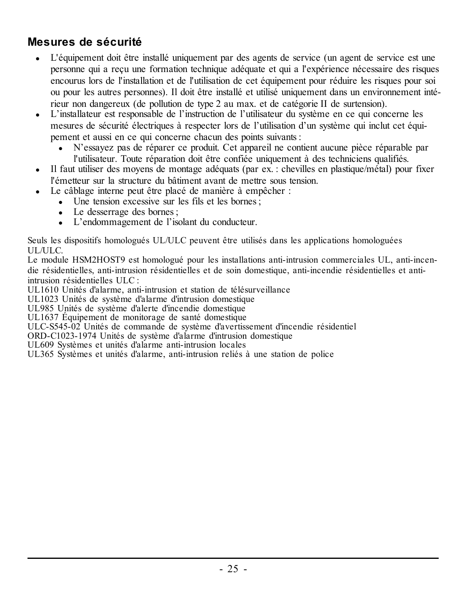### <span id="page-25-0"></span>**Mesures de sécurité**

- L'équipement doit être installé uniquement par des agents de service (un agent de service est une personne qui a reçu une formation technique adéquate et qui a l'expérience nécessaire des risques encourus lors de l'installation et de l'utilisation de cet équipement pour réduire les risques pour soi ou pour les autres personnes). Il doit être installé et utilisé uniquement dans un environnement intérieur non dangereux (de pollution de type 2 au max. et de catégorie II de surtension).
- <sup>l</sup> L'installateur est responsable de l'instruction de l'utilisateur du système en ce qui concerne les mesures de sécurité électriques à respecter lors de l'utilisation d'un système qui inclut cet équipement et aussi en ce qui concerne chacun des points suivants :
	- <sup>l</sup> N'essayez pas de réparer ce produit. Cet appareil ne contient aucune pièce réparable par l'utilisateur. Toute réparation doit être confiée uniquement à des techniciens qualifiés.
- <sup>l</sup> Il faut utiliser des moyens de montage adéquats (par ex. : chevilles en plastique/métal) pour fixer l'émetteur sur la structure du bâtiment avant de mettre sous tension.
- Le câblage interne peut être placé de manière à empêcher :
	- $\bullet$  Une tension excessive sur les fils et les bornes :
	- Le desserrage des bornes ;
	- <sup>l</sup> L'endommagement de l'isolant du conducteur.

Seuls les dispositifs homologués UL/ULC peuvent être utilisés dans les applications homologuées UL/ULC.

Le module HSM2HOST9 est homologué pour les installations anti-intrusion commerciales UL, anti-incendie résidentielles, anti-intrusion résidentielles et de soin domestique, anti-incendie résidentielles et antiintrusion résidentielles ULC :

UL1610 Unités d'alarme, anti-intrusion et station de télésurveillance

UL1023 Unités de système d'alarme d'intrusion domestique

UL985 Unités de système d'alerte d'incendie domestique

UL1637 Équipement de monitorage de santé domestique

ULC-S545-02 Unités de commande de système d'avertissement d'incendie résidentiel

ORD-C1023-1974 Unités de système d'alarme d'intrusion domestique

UL609 Systèmes et unités d'alarme anti-intrusion locales

UL365 Systèmes et unités d'alarme, anti-intrusion reliés à une station de police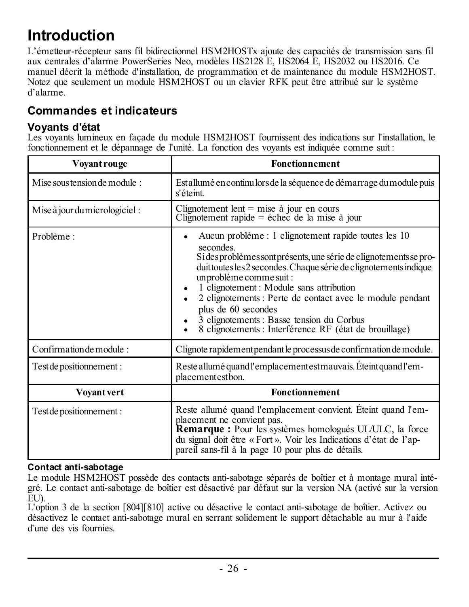## <span id="page-26-0"></span>**Introduction**

L'émetteur-récepteur sans fil bidirectionnel HSM2HOSTx ajoute des capacités de transmission sans fil aux centrales d'alarme PowerSeries Neo, modèles HS2128 E, HS2064 E, HS2032 ou HS2016. Ce manuel décrit la méthode d'installation, de programmation et de maintenance du module HSM2HOST. Notez que seulement un module HSM2HOST ou un clavier RFK peut être attribué sur le système d'alarme.

### <span id="page-26-2"></span><span id="page-26-1"></span>**Commandes et indicateurs**

### **Voyants d'état**

Les voyants lumineux en façade du module HSM2HOST fournissent des indications sur l'installation, le fonctionnement et le dépannage de l'unité. La fonction des voyants est indiquée comme suit :

| Voyant rouge                  | <b>Fonctionnement</b>                                                                                                                                                                                                                                                                                                                                                                                                                                                          |
|-------------------------------|--------------------------------------------------------------------------------------------------------------------------------------------------------------------------------------------------------------------------------------------------------------------------------------------------------------------------------------------------------------------------------------------------------------------------------------------------------------------------------|
| Mise sous tension de module:  | Estallumé en continulors de la séquence de démarrage du module puis<br>s'éteint.                                                                                                                                                                                                                                                                                                                                                                                               |
| Mise à jour du micrologiciel: | Clignotement lent = mise $\dot{a}$ jour en cours<br>Clignotement rapide = échec de la mise à jour                                                                                                                                                                                                                                                                                                                                                                              |
| Problème :                    | Aucun problème : 1 clignotement rapide toutes les 10<br>secondes<br>Si des problèmes sont présents, une série de clignotements se pro-<br>duit toutes les 2 secondes. Chaque série de clignotements indique<br>un problème comme suit :<br>1 clignotement : Module sans attribution<br>2 clignotements : Perte de contact avec le module pendant<br>plus de 60 secondes<br>3 clignotements : Basse tension du Corbus<br>8 clignotements : Interférence RF (état de brouillage) |
| Confirmation de module:       | Clignote rapidement pendant le processus de confirmation de module.                                                                                                                                                                                                                                                                                                                                                                                                            |
| Test de positionnement :      | Reste allumé quand l'emplacement est mauvais. Éteint quand l'em-<br>placementestbon.                                                                                                                                                                                                                                                                                                                                                                                           |
| <b>Voyant vert</b>            | <b>Fonctionnement</b>                                                                                                                                                                                                                                                                                                                                                                                                                                                          |
| Test de positionnement :      | Reste allumé quand l'emplacement convient. Éteint quand l'em-<br>placement ne convient pas.<br><b>Remarque :</b> Pour les systèmes homologués UL/ULC, la force<br>du signal doit être « Fort ». Voir les Indications d'état de l'ap-<br>pareil sans-fil à la page 10 pour plus de détails.                                                                                                                                                                                     |

### **Contact anti-sabotage**

Le module HSM2HOST possède des contacts anti-sabotage séparés de boîtier et à montage mural intégré. Le contact anti-sabotage de boîtier est désactivé par défaut sur la version NA (activé sur la version EU).

L'option 3 de la section [804][810] active ou désactive le contact anti-sabotage de boîtier. Activez ou désactivez le contact anti-sabotage mural en serrant solidement le support détachable au mur à l'aide d'une des vis fournies.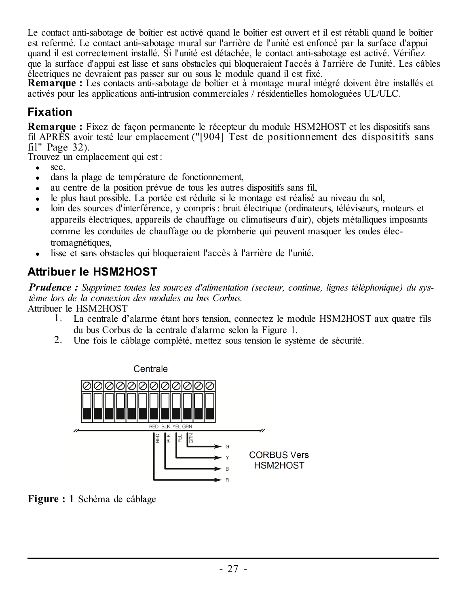Le contact anti-sabotage de boîtier est activé quand le boîtier est ouvert et il est rétabli quand le boîtier est refermé. Le contact anti-sabotage mural sur l'arrière de l'unité est enfoncé par la surface d'appui quand il est correctement installé. Si l'unité est détachée, le contact anti-sabotage est activé. Vérifiez que la surface d'appui est lisse et sans obstacles qui bloqueraient l'accès à l'arrière de l'unité. Les câbles électriques ne devraient pas passer sur ou sous le module quand il est fixé.

**Remarque :** Les contacts anti-sabotage de boîtier et à montage mural intégré doivent être installés et activés pour les applications anti-intrusion commerciales / résidentielles homologuées UL/ULC.

### <span id="page-27-0"></span>**Fixation**

**Remarque :** Fixez de façon permanente le récepteur du module HSM2HOST et les dispositifs sans fil APRÈS avoir testé leur emplacement ("[904] Test de [positionnement](#page-32-0) des dispositifs sans fil" [Page](#page-32-0) 32).

Trouvez un emplacement qui est :

- $\bullet$  sec.
- $\bullet$  dans la plage de température de fonctionnement.
- au centre de la position prévue de tous les autres dispositifs sans fil.
- le plus haut possible. La portée est réduite si le montage est réalisé au niveau du sol,
- loin des sources d'interférence, y compris : bruit électrique (ordinateurs, téléviseurs, moteurs et appareils électriques, appareils de chauffage ou climatiseurs d'air), objets métalliques imposants comme les conduites de chauffage ou de plomberie qui peuvent masquer les ondes électromagnétiques,
- lisse et sans obstacles qui bloqueraient l'accès à l'arrière de l'unité.

### <span id="page-27-1"></span>**Attribuer le HSM2HOST**

*Prudence : Supprimez toutes les sources d'alimentation (secteur, continue, lignes téléphonique) du système lors de la connexion des modules au bus Corbus.*

Attribuer le HSM2HOST

- 1. La centrale d'alarme étant hors tension, connectez le module HSM2HOST aux quatre fils du bus Corbus de la centrale d'alarme selon la Figure 1.
- 2. Une fois le câblage complété, mettez sous tension le système de sécurité.



**Figure : 1** Schéma de câblage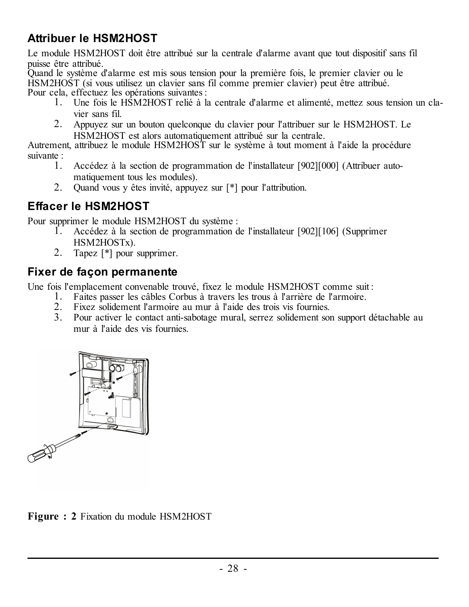### <span id="page-28-0"></span>**Attribuer le HSM2HOST**

Le module HSM2HOST doit être attribué sur la centrale d'alarme avant que tout dispositif sans fil puisse être attribué.

Quand le système d'alarme est mis sous tension pour la première fois, le premier clavier ou le HSM2HOST (si vous utilisez un clavier sans fil comme premier clavier) peut être attribué. Pour cela, effectuez les opérations suivantes :

- 1. Une fois le HSM2HOST relié à la centrale d'alarme et alimenté, mettez sous tension un clavier sans fil.
- 2. Appuyez sur un bouton quelconque du clavier pour l'attribuer sur le HSM2HOST. Le HSM2HOST est alors automatiquement attribué sur la centrale.

Autrement, attribuez le module HSM2HOST sur le système à tout moment à l'aide la procédure suivante :

- 1. Accédez à la section de programmation de l'installateur [902][000] (Attribuer automatiquement tous les modules).
- 2. Quand vous y êtes invité, appuyez sur [\*] pour l'attribution.

### <span id="page-28-1"></span>**Effacer le HSM2HOST**

Pour supprimer le module HSM2HOST du système :

- 1. Accédez à la section de programmation de l'installateur [902][106] (Supprimer HSM2HOSTx).
- 2. Tapez [\*] pour supprimer.

### <span id="page-28-2"></span>**Fixer de façon permanente**

Une fois l'emplacement convenable trouvé, fixez le module HSM2HOST comme suit :

- 1. Faites passer les câbles Corbus à travers les trous à l'arrière de l'armoire.
- 2. Fixez solidement l'armoire au mur à l'aide des trois vis fournies.
- 3. Pour activer le contact anti-sabotage mural, serrez solidement son support détachable au mur à l'aide des vis fournies.



**Figure : 2** Fixation du module HSM2HOST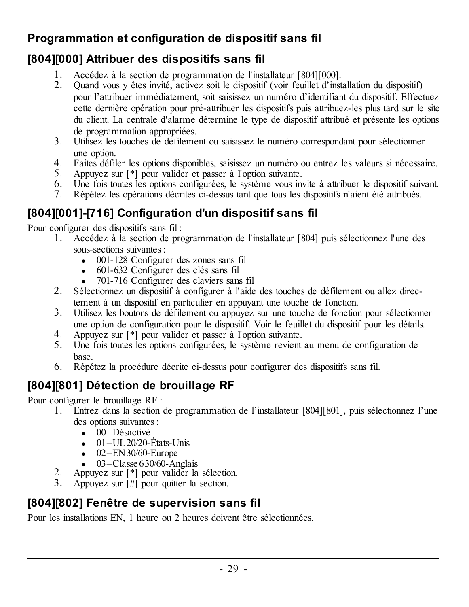### <span id="page-29-0"></span>**Programmation et configuration de dispositif sans fil**

### <span id="page-29-1"></span>**[804][000] Attribuer des dispositifs sans fil**

- 1. Accédez à la section de programmation de l'installateur [804][000].
- 2. Quand vous y êtes invité, activez soit le dispositif (voir feuillet d'installation du dispositif) pour l'attribuer immédiatement, soit saisissez un numéro d'identifiant du dispositif. Effectuez cette dernière opération pour pré-attribuer les dispositifs puis attribuez-les plus tard sur le site du client. La centrale d'alarme détermine le type de dispositif attribué et présente les options de programmation appropriées.
- 3. Utilisez les touches de défilement ou saisissez le numéro correspondant pour sélectionner une option.
- 4. Faites défiler les options disponibles, saisissez un numéro ou entrez les valeurs si nécessaire.
- 5. Appuyez sur [\*] pour valider et passer à l'option suivante.
- 6. Une fois toutes les options configurées, le système vous invite à attribuer le dispositif suivant.
- 7. Répétez les opérations décrites ci-dessus tant que tous les dispositifs n'aient été attribués.

## <span id="page-29-2"></span>**[804][001]-[716] Configuration d'un dispositif sans fil**

Pour configurer des dispositifs sans fil :

- 1. Accédez à la section de programmation de l'installateur [804] puis sélectionnez l'une des sous-sections suivantes :
	- 001-128 Configurer des zones sans fil
	- 601-632 Configurer des clés sans fil
	- 701-716 Configurer des claviers sans fil
- 2. Sélectionnez un dispositif à configurer à l'aide des touches de défilement ou allez directement à un dispositif en particulier en appuyant une touche de fonction.
- 3. Utilisez les boutons de défilement ou appuyez sur une touche de fonction pour sélectionner une option de configuration pour le dispositif. Voir le feuillet du dispositif pour les détails.
- 4. Appuyez sur [\*] pour valider et passer à l'option suivante.
- 5. Une fois toutes les options configurées, le système revient au menu de configuration de base.
- 6. Répétez la procédure décrite ci-dessus pour configurer des dispositifs sans fil.

## <span id="page-29-3"></span>**[804][801] Détection de brouillage RF**

Pour configurer le brouillage RF :

- 1. Entrez dans la section de programmation de l'installateur [804][801], puis sélectionnez l'une des options suivantes :
	- $\cdot$  00–Désactivé
	- $\bullet$  01–UL20/20-États-Unis
	- $\bullet$  02–EN30/60-Europe
	- $\bullet$  03–Classe 630/60-Anglais
- 2. Appuyez sur [\*] pour valider la sélection.
- 3. Appuyez sur [#] pour quitter la section.

## <span id="page-29-4"></span>**[804][802] Fenêtre de supervision sans fil**

Pour les installations EN, 1 heure ou 2 heures doivent être sélectionnées.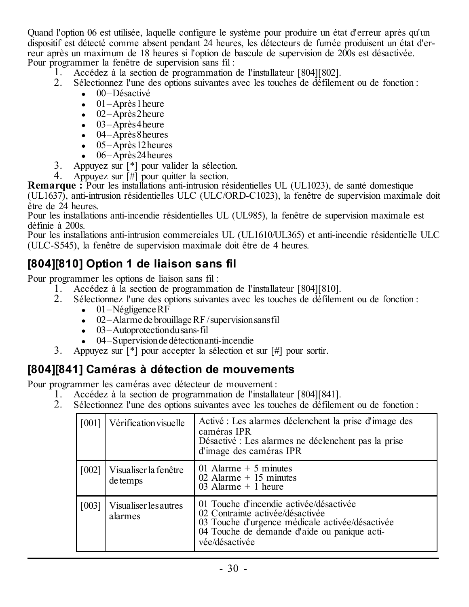Quand l'option 06 est utilisée, laquelle configure le système pour produire un état d'erreur après qu'un dispositif est détecté comme absent pendant 24 heures, les détecteurs de fumée produisent un état d'erreur après un maximum de 18 heures si l'option de bascule de supervision de 200s est désactivée. Pour programmer la fenêtre de supervision sans fil :

- 1. Accédez à la section de programmation de l'installateur [804][802].
- 2. Sélectionnez l'une des options suivantes avec les touches de défilement ou de fonction :
	- $\bullet$  00–Désactivé
	- $\bullet$  01–Après 1 heure
	- $\bullet$  02–Après2heure
	- $\bullet$  03–Après4heure
	- $-04$ –Après 8 heures
	- $\bullet$  05–Après 12 heures
	- $\bullet$  06–Après 24 heures
- 3. Appuyez sur [\*] pour valider la sélection.
- 4. Appuyez sur [#] pour quitter la section.

**Remarque :** Pour les installations anti-intrusion résidentielles UL (UL1023), de santé domestique (UL1637), anti-intrusion résidentielles ULC (ULC/ORD-C1023), la fenêtre de supervision maximale doit être de 24 heures.

Pour les installations anti-incendie résidentielles UL (UL985), la fenêtre de supervision maximale est définie à 200s.

Pour les installations anti-intrusion commerciales UL (UL1610/UL365) et anti-incendie résidentielle ULC (ULC-S545), la fenêtre de supervision maximale doit être de 4 heures.

### <span id="page-30-0"></span>**[804][810] Option 1 de liaison sans fil**

Pour programmer les options de liaison sans fil :

- 1. Accédez à la section de programmation de l'installateur [804][810].
- 2. Sélectionnez l'une des options suivantes avec les touches de défilement ou de fonction :
	- $\bullet$  01–Négligence RF
	- $\bullet$  02–Alarme de brouillage RF/supervision sans fil
	- $\bullet$  03–Autoprotection dusans-fil
	- <sup>l</sup> 04–Supervisionde détectionanti-incendie
- 3. Appuyez sur [\*] pour accepter la sélection et sur [#] pour sortir.

### <span id="page-30-1"></span>**[804][841] Caméras à détection de mouvements**

Pour programmer les caméras avec détecteur de mouvement :

- 1. Accédez à la section de programmation de l'installateur [804][841].
- 2. Sélectionnez l'une des options suivantes avec les touches de défilement ou de fonction :

| [001] | Vérification visuelle             | Activé : Les alarmes déclenchent la prise d'image des<br>caméras IPR<br>Désactivé : Les alarmes ne déclenchent pas la prise<br>d'image des caméras IPR                                           |
|-------|-----------------------------------|--------------------------------------------------------------------------------------------------------------------------------------------------------------------------------------------------|
| [002] | Visualiser la fenêtre<br>de temps | 01 Alarme $+5$ minutes<br>02 Alarme + $15$ minutes<br>03 Alarme + $1$ heure                                                                                                                      |
| [003] | Visualiser les autres<br>alarmes  | 01 Touche d'incendie activée/désactivée<br>02 Contrainte activée/désactivée<br>03 Touche d'urgence médicale activée/désactivée<br>04 Touche de demande d'aide ou panique acti-<br>vée/désactivée |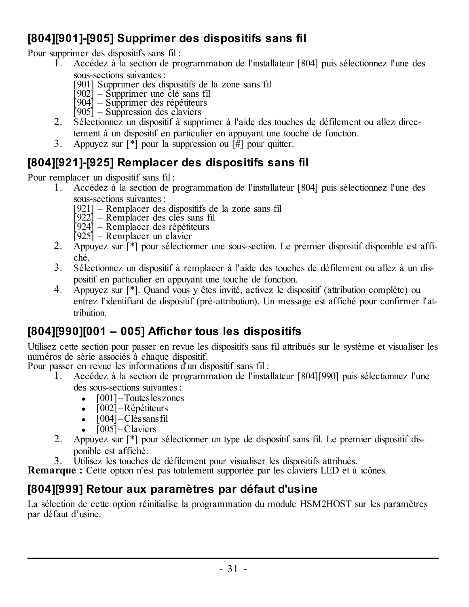### <span id="page-31-0"></span>**[804][901]-[905] Supprimer des dispositifs sans fil**

Pour supprimer des dispositifs sans fil :<br> $\frac{1}{2}$  Accédez à la section de pro

- 1. Accédez à la section de programmation de l'installateur [804] puis sélectionnez l'une des sous-sections suivantes :
	- [901] Supprimer des dispositifs de la zone sans fil [902] Supprimer une clé sans fil [904] Supprimer des répétiteurs
	-
	-
	- [905] Suppression des claviers
- 2. Sélectionnez un dispositif à supprimer à l'aide des touches de défilement ou allez directement à un dispositif en particulier en appuyant une touche de fonction.
- 3. Appuyez sur  $[\ast]$  pour la suppression ou  $[\hat{H}]$  pour quitter.

### <span id="page-31-1"></span>**[804][921]-[925] Remplacer des dispositifs sans fil**

Pour remplacer un dispositif sans fil :

- 1. Accédez à la section de programmation de l'installateur [804] puis sélectionnez l'une des sous-sections suivantes :
	- [921] Remplacer des dispositifs de la zone sans fil [922] Remplacer des clés sans fil [924] Remplacer des répétiteurs
	-
	-
	- [925] Remplacer un clavier
- 2. Appuyez sur [\*] pour sélectionner une sous-section. Le premier dispositif disponible est affiché.
- 3. Sélectionnez un dispositif à remplacer à l'aide des touches de défilement ou allez à un dispositif en particulier en appuyant une touche de fonction.
- 4. Appuyez sur [\*]. Quand vous y êtes invité, activez le dispositif (attribution complète) ou entrez l'identifiant de dispositif (pré-attribution). Un message est affiché pour confirmer l'attribution.

### <span id="page-31-2"></span>**[804][990][001 – 005] Afficher tous les dispositifs**

Utilisez cette section pour passer en revue les dispositifs sans fil attribués sur le système et visualiser les numéros de série associés à chaque dispositif.

Pour passer en revue les informations d'un dispositif sans fil :

- 1. Accédez à la section de programmation de l'installateur [804][990] puis sélectionnez l'une des sous-sections suivantes :
	- $\bullet$  [001] Toutes les zones
	- $\bullet$  [002] Répétiteurs
	- $\cdot$  [004] Cléssans fil
	- $\cdot$  [005] Claviers
- 2. Appuyez sur [\*] pour sélectionner un type de dispositif sans fil. Le premier dispositif disponible est affiché.
- 3. Utilisez les touches de défilement pour visualiser les dispositifs attribués.

**Remarque :** Cette option n'est pas totalement supportée par les claviers LED et à icônes.

### <span id="page-31-3"></span>**[804][999] Retour aux paramètres par défaut d'usine**

La sélection de cette option réinitialise la programmation du module HSM2HOST sur les paramètres par défaut d'usine.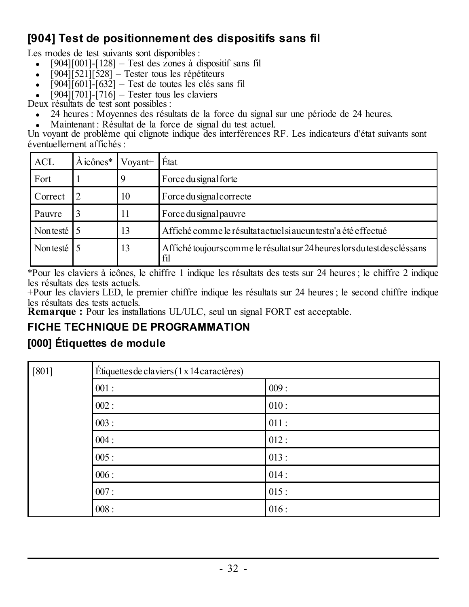### <span id="page-32-0"></span>**[904] Test de positionnement des dispositifs sans fil**

Les modes de test suivants sont disponibles :

- $[904][001]$ - $[128]$  Test des zones à dispositif sans fil
- $[904]$ [521][528] Tester tous les répétiteurs
- $\left[ 904\right]$ [601]- $\left[ 632\right]$  Test de toutes les clés sans fil
- $\left[ 904\right]$ [701]-[716] Tester tous les claviers

Deux résultats de test sont possibles :

- 24 heures : Moyennes des résultats de la force du signal sur une période de 24 heures.
- Maintenant : Résultat de la force de signal du test actuel.

Un voyant de problème qui clignote indique des interférences RF. Les indicateurs d'état suivants sont éventuellement affichés :

| <b>ACL</b> | $A$ icônes <sup><math>*</math></sup> | Vovant+ | État                                                                               |
|------------|--------------------------------------|---------|------------------------------------------------------------------------------------|
| Fort       |                                      |         | Force du signal forte                                                              |
| Correct    |                                      | 10      | Force dusignal correcte                                                            |
| Pauvre     |                                      | 11      | Force du signal pauvre                                                             |
| Nontesté 5 |                                      | 13      | Affiché comme le résultat actuel si aucun test n'a été effectué                    |
| Nontesté 5 |                                      | 13      | Affiché toujours comme le résultat sur 24 heures lors du test des clés sans<br>fil |

\*Pour les claviers à icônes, le chiffre 1 indique les résultats des tests sur 24 heures ; le chiffre 2 indique les résultats des tests actuels.

+Pour les claviers LED, le premier chiffre indique les résultats sur 24 heures ; le second chiffre indique les résultats des tests actuels.

<span id="page-32-1"></span>**Remarque :** Pour les installations UL/ULC, seul un signal FORT est acceptable.

### <span id="page-32-2"></span>**FICHE TECHNIQUE DE PROGRAMMATION**

### **[000] Étiquettes de module**

| $[801]$ | Étiquettes de claviers (1 x 14 caractères) |      |  |  |  |
|---------|--------------------------------------------|------|--|--|--|
|         | 001:                                       | 009: |  |  |  |
|         | 002:                                       | 010: |  |  |  |
|         | 003:                                       | 011: |  |  |  |
|         | 004:                                       | 012: |  |  |  |
|         | 005:                                       | 013: |  |  |  |
|         | 006:                                       | 014: |  |  |  |
|         | 007:                                       | 015: |  |  |  |
|         | 008:                                       | 016: |  |  |  |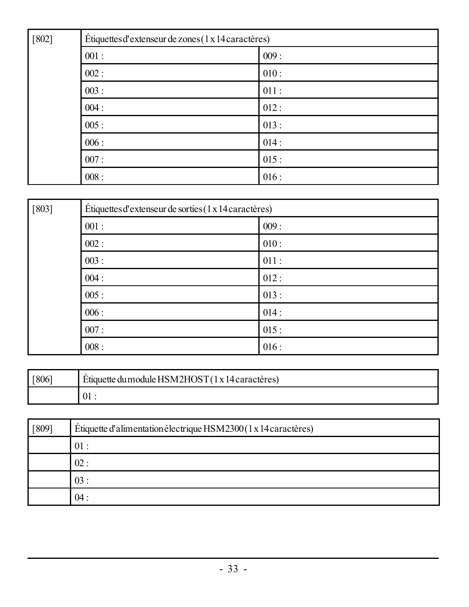| $[802]$ | Étiquettes d'extenseur de zones (1 x 14 caractères) |      |  |  |  |
|---------|-----------------------------------------------------|------|--|--|--|
|         | 001:                                                | 009: |  |  |  |
|         | 002:                                                | 010: |  |  |  |
|         | 003:                                                | 011: |  |  |  |
|         | 004:                                                | 012: |  |  |  |
|         | 005:                                                | 013: |  |  |  |
|         | 006:                                                | 014: |  |  |  |
|         | 007:                                                | 015: |  |  |  |
|         | 008:                                                | 016: |  |  |  |

| $[803]$ | Étiquettes d'extenseur de sorties (1 x 14 caractères) |      |  |  |  |
|---------|-------------------------------------------------------|------|--|--|--|
|         | 001:                                                  | 009: |  |  |  |
|         | 002:                                                  | 010: |  |  |  |
|         | 003:                                                  | 011: |  |  |  |
|         | 004:                                                  | 012: |  |  |  |
|         | 005:                                                  | 013: |  |  |  |
|         | 006:                                                  | 014: |  |  |  |
|         | 007:                                                  | 015: |  |  |  |
|         | 008:                                                  | 016: |  |  |  |

| <sup>F</sup> 8061 | Étiquette du module HSM2HOST (1 x 14 caractères) |  |  |  |  |  |
|-------------------|--------------------------------------------------|--|--|--|--|--|
|                   |                                                  |  |  |  |  |  |

| [809] | Étiquette d'alimentation électrique HSM2300 (1 x 14 caractères) |  |  |  |  |  |
|-------|-----------------------------------------------------------------|--|--|--|--|--|
|       | $01 -$                                                          |  |  |  |  |  |
|       | 02:                                                             |  |  |  |  |  |
|       | 03:                                                             |  |  |  |  |  |
|       | 04:                                                             |  |  |  |  |  |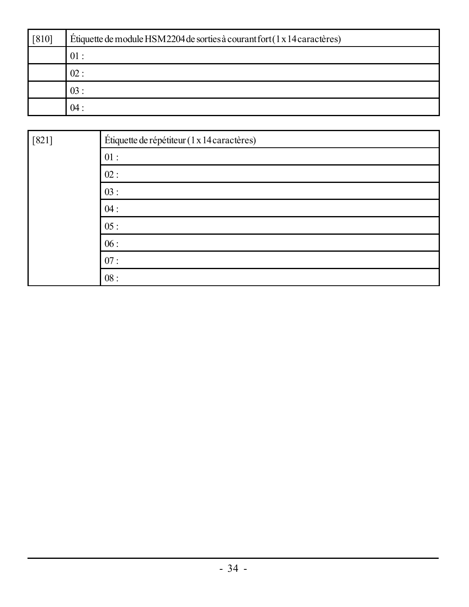| $[810]$ | Étiquette de module HSM2204 de sorties à courant fort (1 x 14 caractères) |  |  |  |  |  |
|---------|---------------------------------------------------------------------------|--|--|--|--|--|
|         | 01:                                                                       |  |  |  |  |  |
|         | 02:                                                                       |  |  |  |  |  |
|         | 03:                                                                       |  |  |  |  |  |
|         | 04:                                                                       |  |  |  |  |  |

| $[821]$ | Étiquette de répétiteur (1 x 14 caractères) |  |  |  |  |  |
|---------|---------------------------------------------|--|--|--|--|--|
|         | 01:                                         |  |  |  |  |  |
|         | 02:                                         |  |  |  |  |  |
|         | 03:                                         |  |  |  |  |  |
|         | 04:                                         |  |  |  |  |  |
|         | 05:                                         |  |  |  |  |  |
|         | 06:                                         |  |  |  |  |  |
|         | 07:                                         |  |  |  |  |  |
|         | 08:                                         |  |  |  |  |  |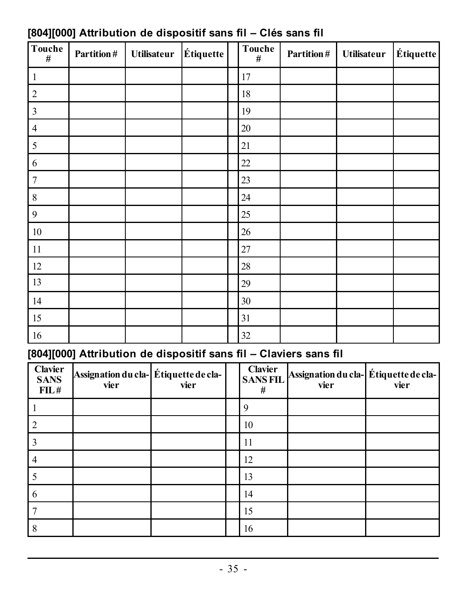| Touche<br>#             | Partition# | <b>Utilisateur</b> | Étiquette | Touche<br># | Partition# | <b>Utilisateur</b> | $\acute{\text{E}}$ tiquette |
|-------------------------|------------|--------------------|-----------|-------------|------------|--------------------|-----------------------------|
| $\mathbf{1}$            |            |                    |           | 17          |            |                    |                             |
| $\overline{c}$          |            |                    |           | 18          |            |                    |                             |
| $\overline{\mathbf{3}}$ |            |                    |           | 19          |            |                    |                             |
| $\overline{4}$          |            |                    |           | 20          |            |                    |                             |
| 5                       |            |                    |           | 21          |            |                    |                             |
| 6                       |            |                    |           | 22          |            |                    |                             |
| $\overline{7}$          |            |                    |           | 23          |            |                    |                             |
| $\,$ 8 $\,$             |            |                    |           | 24          |            |                    |                             |
| 9                       |            |                    |           | 25          |            |                    |                             |
| $10\,$                  |            |                    |           | 26          |            |                    |                             |
| $11\,$                  |            |                    |           | 27          |            |                    |                             |
| 12                      |            |                    |           | 28          |            |                    |                             |
| 13                      |            |                    |           | 29          |            |                    |                             |
| 14                      |            |                    |           | 30          |            |                    |                             |
| 15                      |            |                    |           | 31          |            |                    |                             |
| 16                      |            |                    |           | 32          |            |                    |                             |

### <span id="page-35-0"></span>**[804][000] Attribution de dispositif sans fil – Clés sans fil**

### <span id="page-35-1"></span>**[804][000] Attribution de dispositif sans fil – Claviers sans fil**

| Clavier<br><b>SANS</b><br>FIL# | Assignation du cla-Étiquette de cla-<br>vier | vier | Clavier<br><b>SANSFIL</b><br># | Assignation du cla-Étiquette de cla-<br>vier | vier |
|--------------------------------|----------------------------------------------|------|--------------------------------|----------------------------------------------|------|
|                                |                                              |      | a                              |                                              |      |
|                                |                                              |      | 10                             |                                              |      |
|                                |                                              |      | 11                             |                                              |      |
| 4                              |                                              |      | 12                             |                                              |      |
|                                |                                              |      | 13                             |                                              |      |
| 6                              |                                              |      | 14                             |                                              |      |
|                                |                                              |      | 15                             |                                              |      |
|                                |                                              |      | 16                             |                                              |      |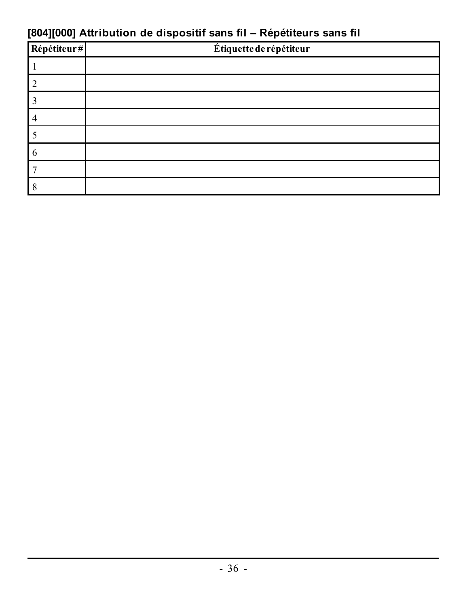### **[804][000] Attribution de dispositif sans fil – Répétiteurs sans fil**

| Répétiteur# | Étiquette de répétiteur |
|-------------|-------------------------|
|             |                         |
|             |                         |
|             |                         |
|             |                         |
|             |                         |
|             |                         |
|             |                         |
|             |                         |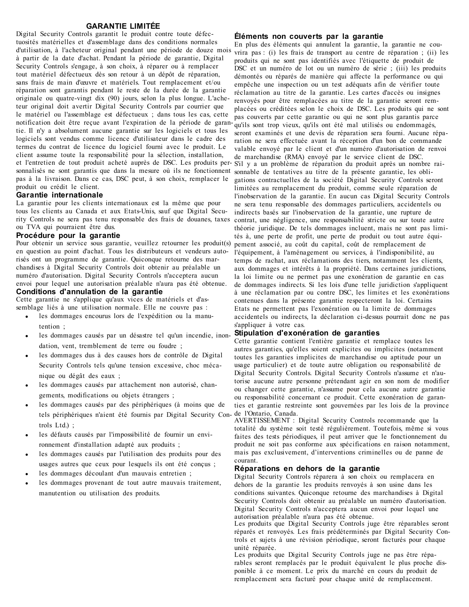#### **GARANTIE LIMITÉE**

Digital Security Controls garantit le produit contre toute défectuosités matérielles et d'assemblage dans des conditions normales d'utilisation, à l'acheteur original pendant une période de douze mois à partir de la date d'achat. Pendant la période de garantie, Digital Security Controls s'engage, à son choix, à réparer ou à remplacer tout matériel défectueux dès son retour à un dépôt de réparation, sans frais de main d'œuvre et matériels. Tout remplacement et/ou réparation sont garantis pendant le reste de la durée de la garantie originale ou quatre-vingt dix (90) jours, selon la plus longue. L'acheteur original doit avertir Digital Security Controls par courrier que le matériel ou l'assemblage est défectueux ; dans tous les cas, cette notification doit être reçue avant l'expiration de la période de garan-qu'ils sont trop vieux, qu'ils ont été mal utilisés ou endommagés, tie. Il n'y a absolument aucune garantie sur les logiciels et tous les logiciels sont vendus comme licence d'utilisateur dans le cadre des termes du contrat de licence du logiciel fourni avec le produit. Le client assume toute la responsabilité pour la sélection, installation, et l'entretien de tout produit acheté auprès de DSC. Les produits per-S'il y a un problème de réparation du produit après un nombre raisonnalisés ne sont garantis que dans la mesure où ils ne fonctionnent sonnable de tentatives au titre de la présente garantie, les oblipas à la livraison. Dans ce cas, DSC peut, à son choix, remplacer le produit ou crédit le client.

#### **Garantie internationale**

La garantie pour les clients internationaux est la même que pour tous les clients au Canada et aux Etats-Unis, sauf que Digital Security Controls ne sera pas tenu responsable des frais de douanes, taxes contrat, une négligence, une responsabilité stricte ou sur toute autre ou TVA qui pourraient être dus.

#### **Procédure pour la garantie**

Pour obtenir un service sous garantie, veuillez retourner les produit(s) en question au point d'achat. Tous les distributeurs et vendeurs autorisés ont un programme de garantie. Quiconque retourne des marchandises à Digital Security Controls doit obtenir au préalable un numéro d'autorisation. Digital Security Controls n'acceptera aucun envoi pour lequel une autorisation préalable n'aura pas été obtenue. **Conditions d'annulation de la garantie**

Cette garantie ne s'applique qu'aux vices de matériels et d'assemblage liés à une utilisation normale. Elle ne couvre pas :

- $\bullet$  les dommages encourus lors de l'expédition ou la manutention ;
- $\bullet$  les dommages causés par un désastre tel qu'un incendie, inondation, vent, tremblement de terre ou foudre ;
- les dommages dus à des causes hors de contrôle de Digital Security Controls tels qu'une tension excessive, choc mécanique ou dégât des eaux ;
- les dommages causés par attachement non autorisé, changements, modifications ou objets étrangers ;
- <sup>l</sup> les dommages causés par des périphériques (à moins que de tels périphériques n'aient été fournis par Digital Security Controls Ltd.) ;
- les défauts causés par l'impossibilité de fournir un environnement d'installation adapté aux produits ;
- les dommages causés par l'utilisation des produits pour des usages autres que ceux pour lesquels ils ont été conçus ;
- les dommages découlant d'un mauvais entretien :
- les dommages provenant de tout autre mauvais traitement. manutention ou utilisation des produits.

#### **Éléments non couverts par la garantie**

En plus des éléments qui annulent la garantie, la garantie ne couvrira pas : (i) les frais de transport au centre de réparation ; (ii) les produits qui ne sont pas identifiés avec l'étiquette de produit de DSC et un numéro de lot ou un numéro de série ; (iii) les produits démontés ou réparés de manière qui affecte la performance ou qui empêche une inspection ou un test adéquats afin de vérifier toute réclamation au titre de la garantie. Les cartes d'accès ou insignes renvoyés pour être remplacées au titre de la garantie seront remplacées ou créditées selon le choix de DSC. Les produits qui ne sont pas couverts par cette garantie ou qui ne sont plus garantis parce seront examinés et une devis de réparation sera fourni. Aucune réparation ne sera effectuée avant la réception d'un bon de commande valable envoyé par le client et d'un numéro d'autorisation de renvoi de marchandise (RMA) envoyé par le service client de DSC. gations contractuelles de la société Digital Security Controls seront limitées au remplacement du produit, comme seule réparation de l'inobservation de la garantie. En aucun cas Digital Security Controls ne sera tenu responsable des dommages particuliers, accidentels ou indirects basés sur l'inobservation de la garantie, une rupture de théorie juridique. De tels dommages incluent, mais ne sont pas limités à, une perte de profit, une perte de produit ou tout autre équipement associé, au coût du capital, coût de remplacement de l'équipement, à l'aménagement ou services, à l'indisponibilité, au temps de rachat, aux réclamations des tiers, notamment les clients, aux dommages et intérêts à la propriété. Dans certaines juridictions, la loi limite ou ne permet pas une exonération de garantie en cas de dommages indirects. Si les lois d'une telle juridiction s'appliquent à une réclamation par ou contre DSC, les limites et les exonérations contenues dans la présente garantie respecteront la loi. Certains Etats ne permettent pas l'exonération ou la limite de dommages accidentels ou indirects, la déclaration ci-dessus pourrait donc ne pas s'appliquer à votre cas.

#### **Stipulation d'exonération de garanties**

Cette garantie contient l'entière garantie et remplace toutes les autres garanties, qu'elles soient explicites ou implicites (notamment toutes les garanties implicites de marchandise ou aptitude pour un usage particulier) et de toute autre obligation ou responsabilité de Digital Security Controls. Digital Security Controls n'assume et n'autorise aucune autre personne prétendant agir en son nom de modifier ou changer cette garantie, n'assume pour cela aucune autre garantie ou responsabilité concernant ce produit. Cette exonération de garanties et garantie restreinte sont gouvernées par les lois de la province de l'Ontario, Canada.

AVERTISSEMENT : Digital Security Controls recommande que la totalité du système soit testé régulièrement. Toutefois, même si vous faites des tests périodiques, il peut arriver que le fonctionnement du produit ne soit pas conforme aux spécifications en raison notamment, mais pas exclusivement, d'interventions criminelles ou de panne de courant.

#### **Réparations en dehors de la garantie**

Digital Security Controls réparera à son choix ou remplacera en dehors de la garantie les produits renvoyés à son usine dans les conditions suivantes. Quiconque retourne des marchandises à Digital Security Controls doit obtenir au préalable un numéro d'autorisation. Digital Security Controls n'acceptera aucun envoi pour lequel une autorisation préalable n'aura pas été obtenue.

Les produits que Digital Security Controls juge être réparables seront réparés et renvoyés. Les frais prédéterminés par Digital Security Controls et sujets à une révision périodique, seront facturés pour chaque unité réparée.

Les produits que Digital Security Controls juge ne pas être réparables seront remplacés par le produit équivalent le plus proche disponible à ce moment. Le prix du marché en cours du produit de remplacement sera facturé pour chaque unité de remplacement.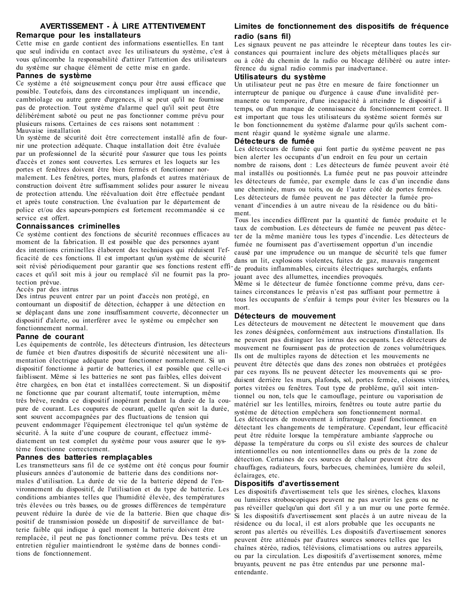#### **AVERTISSEMENT - À LIRE ATTENTIVEMENT Remarque pour les installateurs**

Cette mise en garde contient des informations essentielles. En tant que seul individu en contact avec les utilisateurs du système, c'est à vous qu'incombe la responsabilité d'attirer l'attention des utilisateurs du système sur chaque élément de cette mise en garde.

#### **Pannes de système**

Ce système a été soigneusement conçu pour être aussi efficace que possible. Toutefois, dans des circonstances impliquant un incendie, cambriolage ou autre genre d'urgences, il se peut qu'il ne fournisse pas de protection. Tout système d'alarme quel qu'il soit peut être délibérément saboté ou peut ne pas fonctionner comme prévu pour plusieurs raisons. Certaines de ces raisons sont notamment : Mauvaise installation

Un système de sécurité doit être correctement installé afin de fournir une protection adéquate. Chaque installation doit être évaluée par un professionnel de la sécurité pour s'assurer que tous les points d'accès et zones sont couvertes. Les serrures et les loquets sur les portes et fenêtres doivent être bien fermés et fonctionner normalement. Les fenêtres, portes, murs, plafonds et autres matériaux de construction doivent être suffisamment solides pour assurer le niveau de protection attendu. Une réévaluation doit être effectuée pendant et après toute construction. Une évaluation par le département de police et/ou des sapeurs-pompiers est fortement recommandée si ce service est offert.

#### **Connaissances criminelles**

Ce système contient des fonctions de sécurité reconnues efficaces au moment de la fabrication. Il est possible que des personnes ayant des intentions criminelles élaborent des techniques qui réduisent l'efficacité de ces fonctions. Il est important qu'un système de sécurité soit révisé périodiquement pour garantir que ses fonctions restent efficaces et qu'il soit mis à jour ou remplacé s'il ne fournit pas la protection prévue.

Accès par des intrus

Des intrus peuvent entrer par un point d'accès non protégé, en contournant un dispositif de détection, échapper à une détection en se déplaçant dans une zone insuffisamment couverte, déconnecter un dispositif d'alerte, ou interférer avec le système ou empêcher son fonctionnement normal.

#### **Panne de courant**

Les équipements de contrôle, les détecteurs d'intrusion, les détecteurs de fumée et bien d'autres dispositifs de sécurité nécessitent une alimentation électrique adéquate pour fonctionner normalement. Si un dispositif fonctionne à partir de batteries, il est possible que celle-ci faiblissent. Même si les batteries ne sont pas faibles, elles doivent être chargées, en bon état et installées correctement. Si un dispositif ne fonctionne que par courant alternatif, toute interruption, même très brève, rendra ce dispositif inopérant pendant la durée de la coupure de courant. Les coupures de courant, quelle qu'en soit la durée, sont souvent accompagnées par des fluctuations de tension qui peuvent endommager l'équipement électronique tel qu'un système de sécurité. À la suite d'une coupure de courant, effectuez immédiatement un test complet du système pour vous assurer que le système fonctionne correctement.

#### **Pannes des batteries remplaçables**

Les transmetteurs sans fil de ce système ont été conçus pour fournir plusieurs années d'autonomie de batterie dans des conditions normales d'utilisation. La durée de vie de la batterie dépend de l'environnement du dispositif, de l'utilisation et du type de batterie. Les conditions ambiantes telles que l'humidité élevée, des températures très élevées ou très basses, ou de grosses différences de température peuvent réduire la durée de vie de la batterie. Bien que chaque dispositif de transmission possède un dispositif de surveillance de batterie faible qui indique à quel moment la batterie doivent être remplacée, il peut ne pas fonctionner comme prévu. Des tests et un entretien régulier maintiendront le système dans de bonnes conditions de fonctionnement.

#### **Limites de fonctionnement des dispositifs de fréquence radio (sans fil)**

Les signaux peuvent ne pas atteindre le récepteur dans toutes les circonstances qui pourraient inclure des objets métalliques placés sur ou à côté du chemin de la radio ou blocage délibéré ou autre interférence du signal radio commis par inadvertance.

#### **Utilisateurs du système**

Un utilisateur peut ne pas être en mesure de faire fonctionner un interrupteur de panique ou d'urgence à cause d'une invalidité permanente ou temporaire, d'une incapacité à atteindre le dispositif à temps, ou d'un manque de connaissance du fonctionnement correct. Il est important que tous les utilisateurs du système soient formés sur le bon fonctionnement du système d'alarme pour qu'ils sachent comment réagir quand le système signale une alarme.

#### **Détecteurs de fumée**

Les détecteurs de fumée qui font partie du système peuvent ne pas bien alerter les occupants d'un endroit en feu pour un certain nombre de raisons, dont : Les détecteurs de fumée peuvent avoir été mal installés ou positionnés. La fumée peut ne pas pouvoir atteindre les détecteurs de fumée, par exemple dans le cas d'un incendie dans une cheminée, murs ou toits, ou de l'autre côté de portes fermées. Les détecteurs de fumée peuvent ne pas détecter la fumée provenant d'incendies à un autre niveau de la résidence ou du bâtiment.

Tous les incendies diffèrent par la quantité de fumée produite et le taux de combustion. Les détecteurs de fumée ne peuvent pas détecter de la même manière tous les types d'incendie. Les détecteurs de fumée ne fournissent pas d'avertissement opportun d'un incendie causé par une imprudence ou un manque de sécurité tels que fumer dans un lit, explosions violentes, fuites de gaz, mauvais rangement de produits inflammables, circuits électriques surchargés, enfants jouant avec des allumettes, incendies provoqués.

Même si le détecteur de fumée fonctionne comme prévu, dans certaines circonstances le préavis n'est pas suffisant pour permettre à tous les occupants de s'enfuir à temps pour éviter les blessures ou la mort.

#### **Détecteurs de mouvement**

Les détecteurs de mouvement ne détectent le mouvement que dans les zones désignées, conformément aux instructions d'installation. Ils ne peuvent pas distinguer les intrus des occupants. Les détecteurs de mouvement ne fournissent pas de protection de zones volumétriques. Ils ont de multiples rayons de détection et les mouvements ne peuvent être détectés que dans des zones non obstruées et protégées par ces rayons. Ils ne peuvent détecter les mouvements qui se produisent derrière les murs, plafonds, sol, portes fermée, cloisons vitrées, portes vitrées ou fenêtres. Tout type de problème, qu'il soit intentionnel ou non, tels que le camouflage, peinture ou vaporisation de matériel sur les lentilles, miroirs, fenêtres ou toute autre partie du système de détection empêchera son fonctionnement normal. Les détecteurs de mouvement à infrarouge passif fonctionnent en détectant les changements de température. Cependant, leur efficacité peut être réduite lorsque la température ambiante s'approche ou dépasse la température du corps ou s'il existe des sources de chaleur intentionnelles ou non intentionnelles dans ou près de la zone de détection. Certaines de ces sources de chaleur peuvent être des chauffages, radiateurs, fours, barbecues, cheminées, lumière du soleil, éclairages, etc.

#### **Dispositifs d'avertissement**

Les dispositifs d'avertissement tels que les sirènes, cloches, klaxons ou lumières stroboscopiques peuvent ne pas avertir les gens ou ne pas réveiller quelqu'un qui dort s'il y a un mur ou une porte fermée. Si les dispositifs d'avertissement sont placés à un autre niveau de la résidence ou du local, il est alors probable que les occupants ne seront pas alertés ou réveillés. Les dispositifs d'avertissement sonores peuvent être atténués par d'autres sources sonores telles que les chaînes stéréo, radios, télévisions, climatisations ou autres appareils, ou par la circulation. Les dispositifs d'avertissement sonores, même bruyants, peuvent ne pas être entendus par une personne malentendante.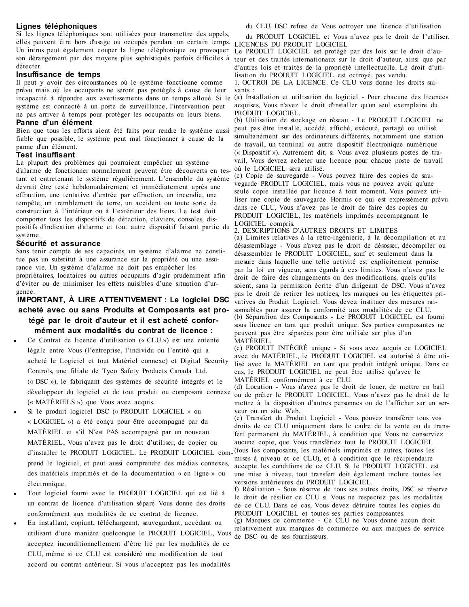#### **Lignes téléphoniques**

Si les lignes téléphoniques sont utilisées pour transmettre des appels, elles peuvent être hors d'usage ou occupés pendant un certain temps. LICENCES DU PRODUIT LOGICIEL Un intrus peut également couper la ligne téléphonique ou provoquer Le PRODUIT LOGICIEL est protégé par des lois sur le droit d'audétecter.

#### **Insuffisance de temps**

Il peut y avoir des circonstances où le système fonctionne comme prévu mais où les occupants ne seront pas protégés à cause de leur incapacité à répondre aux avertissements dans un temps alloué. Si le système est connecté à un poste de surveillance, l'intervention peut ne pas arriver à temps pour protéger les occupants ou leurs biens.

#### **Panne d'un élément**

Bien que tous les efforts aient été faits pour rendre le système aussi fiable que possible, le système peut mal fonctionner à cause de la panne d'un élément.

#### **Test insuffisant**

La plupart des problèmes qui pourraient empêcher un système d'alarme de fonctionner normalement peuvent être découverts en testant et entretenant le système régulièrement. L'ensemble du système devrait être testé hebdomadairement et immédiatement après une effraction, une tentative d'entrée par effraction, un incendie, une tempête, un tremblement de terre, un accident ou toute sorte de construction à l'intérieur ou à l'extérieur des lieux. Le test doit comporter tous les dispositifs de détection, claviers, consoles, dispositifs d'indication d'alarme et tout autre dispositif faisant partie du système.

#### **Sécurité et assurance**

Sans tenir compte de ses capacités, un système d'alarme ne constitue pas un substitut à une assurance sur la propriété ou une assurance vie. Un système d'alarme ne doit pas empêcher les propriétaires, locataires ou autres occupants d'agir prudemment afin d'éviter ou de minimiser les effets nuisibles d'une situation d'urgence.

#### **IMPORTANT, À LIRE ATTENTIVEMENT : Le logiciel DSC acheté avec ou sans Produits et Composants est protégé par le droit d'auteur et il est acheté conformément aux modalités du contrat de licence :**

- <sup>l</sup> Ce Contrat de licence d'utilisation (« CLU ») est une entente légale entre Vous (l'entreprise, l'individu ou l'entité qui a acheté le Logiciel et tout Matériel connexe) et Digital Security Controls, une filiale de Tyco Safety Products Canada Ltd. (« DSC »), le fabriquant des systèmes de sécurité intégrés et le développeur du logiciel et de tout produit ou composant connexe (« MATÉRIELS ») que Vous avez acquis.
- Si le produit logiciel DSC (« PRODUIT LOGICIEL » ou « LOGICIEL ») a été conçu pour être accompagné par du MATÉRIEL et s'il N'est PAS accompagné par un nouveau MATÉRIEL, Vous n'avez pas le droit d'utiliser, de copier ou d'installer le PRODUIT LOGICIEL. Le PRODUIT LOGICIEL com-(tous les composants, les matériels imprimés et autres, toutes les prend le logiciel, et peut aussi comprendre des médias connexes, des matériels imprimés et de la documentation « en ligne » ou électronique.
- <sup>l</sup> Tout logiciel fourni avec le PRODUIT LOGICIEL qui est lié à un contrat de licence d'utilisation séparé Vous donne des droits conformément aux modalités de ce contrat de licence.
- <sup>l</sup> En installant, copiant, téléchargeant, sauvegardant, accédant ou utilisant d'une manière quelconque le PRODUIT LOGICIEL, Vous de DSC ou de ses fournisseurs. acceptez inconditionnellement d'être lié par les modalités de ce CLU, même si ce CLU est considéré une modification de tout accord ou contrat antérieur. Si vous n'acceptez pas les modalités

du CLU, DSC refuse de Vous octroyer une licence d'utilisation

du PRODUIT LOGICIEL et Vous n'avez pas le droit de l'utiliser.

son dérangement par des moyens plus sophistiqués parfois difficiles à teur et des traités internationaux sur le droit d'auteur, ainsi que par d'autres lois et traités de la propriété intellectuelle. Le droit d'utilisation du PRODUIT LOGICIEL est octroyé, pas vendu.

1. OCTROI DE LA LICENCE. Ce CLU vous donne les droits suivants :

(a) Installation et utilisation du logiciel - Pour chacune des licences acquises, Vous n'avez le droit d'installer qu'un seul exemplaire du PRODUIT LOGICIEL.

(b) Utilisation de stockage en réseau - Le PRODUIT LOGICIEL ne peut pas être installé, accédé, affiché, exécuté, partagé ou utilisé simultanément sur des ordinateurs différents, notamment une station de travail, un terminal ou autre dispositif électronique numérique (« Dispositif »). Autrement dit, si Vous avez plusieurs postes de travail, Vous devrez acheter une licence pour chaque poste de travail où le LOGICIEL sera utilisé.

(c) Copie de sauvegarde - Vous pouvez faire des copies de sauvegarde PRODUIT LOGICIEL, mais vous ne pouvez avoir qu'une seule copie installée par licence à tout moment. Vous pouvez utiliser une copie de sauvegarde. Hormis ce qui est expressément prévu dans ce CLU, Vous n'avez pas le droit de faire des copies du PRODUIT LOGICIEL, les matériels imprimés accompagnant le LOGICIEL compris.

2. DESCRIPTIONS D'AUTRES DROITS ET LIMITES (a) Limites relatives à la rétro-ingénierie, à la décompilation et au désassemblage - Vous n'avez pas le droit de désosser, décompiler ou désassembler le PRODUIT LOGICIEL, sauf et seulement dans la mesure dans laquelle une telle activité est explicitement permise par la loi en vigueur, sans égards à ces limites. Vous n'avez pas le droit de faire des changements ou des modifications, quels qu'ils soient, sans la permission écrite d'un dirigeant de DSC. Vous n'avez pas le droit de retirer les notices, les marques ou les étiquettes privatives du Produit Logiciel. Vous devez instituer des mesures raisonnables pour assurer la conformité aux modalités de ce CLU. (b) Séparation des Composants - Le PRODUIT LOGICIEL est fourni sous licence en tant que produit unique. Ses parties composantes ne peuvent pas être séparées pour être utilisée sur plus d'un MATÉRIEL.

(c) PRODUIT INTÉGRÉ unique - Si vous avez acquis ce LOGICIEL avec du MATÉRIEL, le PRODUIT LOGICIEL est autorisé à être utilisé avec le MATÉRIEL en tant que produit intégré unique. Dans ce cas, le PRODUIT LOGICIEL ne peut être utilisé qu'avec le MATÉRIEL conformément à ce CLU.

(d) Location - Vous n'avez pas le droit de louer, de mettre en bail ou de prêter le PRODUIT LOGICIEL. Vous n'avez pas le droit de le mettre à la disposition d'autres personnes ou de l'afficher sur un serveur ou un site Web.

(e) Transfert du Produit Logiciel - Vous pouvez transférer tous vos droits de ce CLU uniquement dans le cadre de la vente ou du transfert permanent du MATÉRIEL, à condition que Vous ne conserviez aucune copie, que Vous transfériez tout le PRODUIT LOGICIEL

mises à niveau et ce CLU), et à condition que le récipiendaire accepte les conditions de ce CLU. Si le PRODUIT LOGICIEL est une mise à niveau, tout transfert doit également inclure toutes les versions antérieures du PRODUIT LOGICIEL.

f) Résiliation - Sous réserve de tous ses autres droits, DSC se réserve le droit de résilier ce CLU si Vous ne respectez pas les modalités de ce CLU. Dans ce cas, Vous devez détruire toutes les copies du PRODUIT LOGICIEL et toutes ses parties composantes. (g) Marques de commerce - Ce CLU ne Vous donne aucun droit relativement aux marques de commerce ou aux marques de service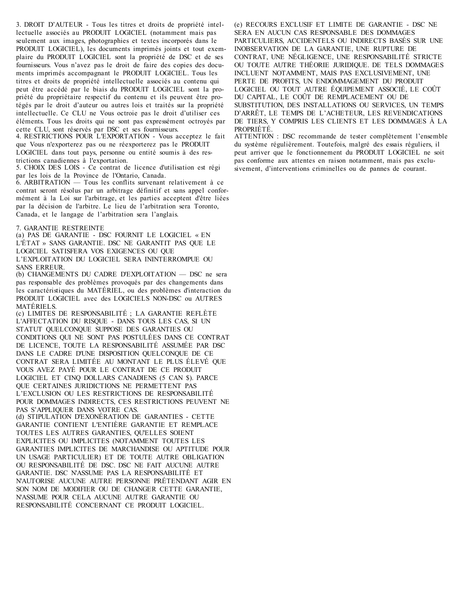3. DROIT D'AUTEUR - Tous les titres et droits de propriété intellectuelle associés au PRODUIT LOGICIEL (notamment mais pas seulement aux images, photographies et textes incorporés dans le PRODUIT LOGICIEL), les documents imprimés joints et tout exemplaire du PRODUIT LOGICIEL sont la propriété de DSC et de ses fournisseurs. Vous n'avez pas le droit de faire des copies des documents imprimés accompagnant le PRODUIT LOGICIEL. Tous les titres et droits de propriété intellectuelle associés au contenu qui peut être accédé par le biais du PRODUIT LOGICIEL sont la propriété du propriétaire respectif du contenu et ils peuvent être protégés par le droit d'auteur ou autres lois et traités sur la propriété intellectuelle. Ce CLU ne Vous octroie pas le droit d'utiliser ces éléments. Tous les droits qui ne sont pas expressément octroyés par cette CLU, sont réservés par DSC et ses fournisseurs.

4. RESTRICTIONS POUR L'EXPORTATION - Vous acceptez le fait que Vous n'exporterez pas ou ne réexporterez pas le PRODUIT LOGICIEL dans tout pays, personne ou entité soumis à des restrictions canadiennes à l'exportation.

5. CHOIX DES LOIS - Ce contrat de licence d'utilisation est régi par les lois de la Province de l'Ontario, Canada.

6. ARBITRATION — Tous les conflits survenant relativement à ce contrat seront résolus par un arbitrage définitif et sans appel conformément à la Loi sur l'arbitrage, et les parties acceptent d'être liées par la décision de l'arbitre. Le lieu de l'arbitration sera Toronto, Canada, et le langage de l'arbitration sera l'anglais.

7. GARANTIE RESTREINTE

(a) PAS DE GARANTIE - DSC FOURNIT LE LOGICIEL « EN L'ÉTAT » SANS GARANTIE. DSC NE GARANTIT PAS QUE LE LOGICIEL SATISFERA VOS EXIGENCES OU QUE L'EXPLOITATION DU LOGICIEL SERA ININTERROMPUE OU SANS ERREUR.

(b) CHANGEMENTS DU CADRE D'EXPLOITATION — DSC ne sera pas responsable des problèmes provoqués par des changements dans les caractéristiques du MATÉRIEL, ou des problèmes d'interaction du PRODUIT LOGICIEL avec des LOGICIELS NON-DSC ou AUTRES MATÉRIELS.

(c) LIMITES DE RESPONSABILITÉ ; LA GARANTIE REFLÈTE L'AFFECTATION DU RISQUE - DANS TOUS LES CAS, SI UN STATUT QUELCONQUE SUPPOSE DES GARANTIES OU CONDITIONS QUI NE SONT PAS POSTULÉES DANS CE CONTRAT DE LICENCE, TOUTE LA RESPONSABILITÉ ASSUMÉE PAR DSC DANS LE CADRE D'UNE DISPOSITION QUELCONQUE DE CE CONTRAT SERA LIMITÉE AU MONTANT LE PLUS ÉLEVÉ QUE VOUS AVEZ PAYÉ POUR LE CONTRAT DE CE PRODUIT LOGICIEL ET CINQ DOLLARS CANADIENS (5 CAN \$). PARCE QUE CERTAINES JURIDICTIONS NE PERMETTENT PAS L'EXCLUSION OU LES RESTRICTIONS DE RESPONSABILITÉ POUR DOMMAGES INDIRECTS, CES RESTRICTIONS PEUVENT NE PAS S'APPLIQUER DANS VOTRE CAS.

(d) STIPULATION D'EXONÉRATION DE GARANTIES - CETTE GARANTIE CONTIENT L'ENTIÈRE GARANTIE ET REMPLACE TOUTES LES AUTRES GARANTIES, QU'ELLES SOIENT EXPLICITES OU IMPLICITES (NOTAMMENT TOUTES LES GARANTIES IMPLICITES DE MARCHANDISE OU APTITUDE POUR UN USAGE PARTICULIER) ET DE TOUTE AUTRE OBLIGATION OU RESPONSABILITÉ DE DSC. DSC NE FAIT AUCUNE AUTRE GARANTIE. DSC N'ASSUME PAS LA RESPONSABILITÉ ET N'AUTORISE AUCUNE AUTRE PERSONNE PRÉTENDANT AGIR EN SON NOM DE MODIFIER OU DE CHANGER CETTE GARANTIE, N'ASSUME POUR CELA AUCUNE AUTRE GARANTIE OU RESPONSABILITÉ CONCERNANT CE PRODUIT LOGICIEL.

(e) RECOURS EXCLUSIF ET LIMITE DE GARANTIE - DSC NE SERA EN AUCUN CAS RESPONSABLE DES DOMMAGES PARTICULIERS, ACCIDENTELS OU INDIRECTS BASÉS SUR UNE INOBSERVATION DE LA GARANTIE, UNE RUPTURE DE CONTRAT, UNE NÉGLIGENCE, UNE RESPONSABILITÉ STRICTE OU TOUTE AUTRE THÉORIE JURIDIQUE. DE TELS DOMMAGES INCLUENT NOTAMMENT, MAIS PAS EXCLUSIVEMENT, UNE PERTE DE PROFITS, UN ENDOMMAGEMENT DU PRODUIT LOGICIEL OU TOUT AUTRE ÉQUIPEMENT ASSOCIÉ, LE COÛT DU CAPITAL, LE COÛT DE REMPLACEMENT OU DE SUBSTITUTION, DES INSTALLATIONS OU SERVICES, UN TEMPS D'ARRÊT, LE TEMPS DE L'ACHETEUR, LES REVENDICATIONS DE TIERS, Y COMPRIS LES CLIENTS ET LES DOMMAGES À LA PROPRIÉTÉ.

ATTENTION : DSC recommande de tester complètement l'ensemble du système régulièrement. Toutefois, malgré des essais réguliers, il peut arriver que le fonctionnement du PRODUIT LOGICIEL ne soit pas conforme aux attentes en raison notamment, mais pas exclusivement, d'interventions criminelles ou de pannes de courant.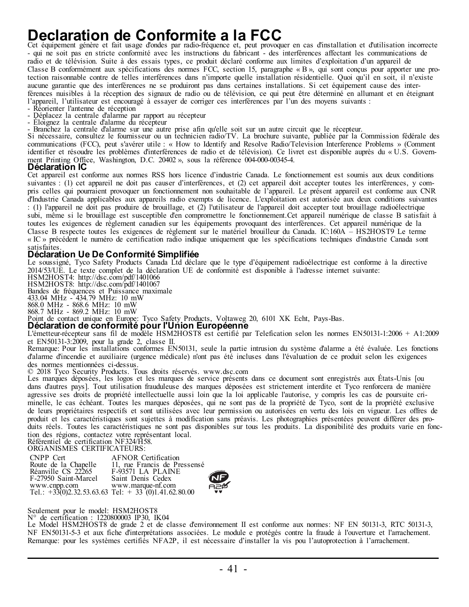**Declaration de Conformite a la FCC**<br>Cet équipement génére et fait usage dondes par radio-fréquence et, peut provoquer en cas d'installation et d'utilisation incorrecte<br>- qui ne soit pas en stricte conformité avec les inst radio et de télévision. Suite à des essais types, ce produit déclaré conforme aux limites d'exploitation d'un appareil de Classe B conformément aux spécifications des normes FCC, section 15, paragraphe « B », qui sont conçus pour apporter une protection raisonnable contre de telles interférences dans n'importe quelle installation résidentielle. Quoi qu'il en soit, il n'existe aucune garantie que des interférences ne se produiront pas dans certaines installations. Si cet équipement cause des interférences nuisibles à la réception des signaux de radio ou de télévision, ce qui peut être déterminé en allumant et en éteignant l'appareil, l'utilisateur est encouragé à essayer de corriger ces interférences par l'un des moyens suivants :

- Réorienter l'antenne de réception
- Déplacez la centrale d'alarme par rapport au récepteur
- Éloignez la centrale d'alarme du récepteur
- Branchez la centrale d'alarme sur une autre prise afin qu'elle soit sur un autre circuit que le récepteur.

Si nécessaire, consultez le fournisseur ou un technicien radio/TV. La brochure suivante, publiée par la Commission fédérale des communications (FCC), peut s'avérer utile : « How to Identify and Resolve Radio/Television Interference Problems » (Comment identifier et résoudre les problèmes d'interférences de radio et de télévision). Ce livret est disponible auprès du « U.S. Government Printing Office, Washington, D.C. 20402 », sous la référence 004-000-00345-4.

#### **Déclaration IC**

Cet appareil est conforme aux normes RSS hors licence d'industrie Canada. Le fonctionnement est soumis aux deux conditions suivantes : (1) cet appareil ne doit pas causer d'interférences, et (2) cet appareil doit accepter toutes les interférences, y compris celles qui pourraient provoquer un fonctionnement non souhaitable de l'appareil. Le présent appareil est conforme aux CNR d'Industrie Canada applicables aux appareils radio exempts de licence. L'exploitation est autorisée aux deux conditions suivantes : (1) l'appareil ne doit pas produire de brouillage, et (2) l'utilisateur de l'appareil doit accepter tout brouillage radioélectrique subi, même si le brouillage est susceptible d'en compromettre le fonctionnement.Cet appareil numérique de classe B satisfait à toutes les exigences de règlement canadien sur les équipements provoquant des interférences. Cet appareil numérique de la Classe B respecte toutes les exigences de règlement sur le matériel brouilleur du Canada. IC:160A – HS2HOST9 Le terme « IC » précédent le numéro de certification radio indique uniquement que les spécifications techniques d'industrie Canada sont satisfaites.

#### **Déclaration Ue De Conformité Simplifiée**

Le soussigné, Tyco Safety Products Canada Ltd déclare que le type d'équipement radioélectrique est conforme à la directive 2014/53/UE. Le texte complet de la déclaration UE de conformité est disponible à l'adresse internet suivante:

HSM2HOST4: http://dsc.com/pdf/1401066

HSM2HOST8: http://dsc.com/pdf/1401067

Bandes de fréquences et Puissance maximale 433.04 MHz - 434.79 MHz: 10 mW

868.0 MHz - 868.6 MHz: 10 mW 868.7 MHz - 869.2 MHz: 10 mW

Point de contact unique en Europe: Tyco Safety Products, Voltaweg 20, 6101 XK Echt, Pays-Bas.

#### **Déclaration de conformité pour l'Union Européenne**

L'émetteur-récepteur sans fil de modèle HSM2HOST8 est certifié par Telefication selon les normes EN50131-1:2006 + A1:2009 et EN50131-3:2009, pour la grade 2, classe II.

Remarque: Pour les installations conformes EN50131, seule la partie intrusion du système d'alarme a été évaluée. Les fonctions d'alarme d'incendie et auxiliaire (urgence médicale) n'ont pas été incluses dans l'évaluation de ce produit selon les exigences des normes mentionnées ci-dessus.

© 2018 Tyco Security Products. Tous droits réservés. www.dsc.com

Les marques déposées, les logos et les marques de service présents dans ce document sont enregistrés aux États-Unis [ou dans d'autres pays]. Tout utilisation frauduleuse des marques déposées est strictement interdite et Tyco renforcera de manière agressive ses droits de propriété intellectuelle aussi loin que la loi applicable l'autorise, y compris les cas de poursuite criminelle, le cas échéant. Toutes les marques déposées, qui ne sont pas de la propriété de Tyco, sont de la propriété exclusive de leurs propriétaires respectifs et sont utilisées avec leur permission ou autorisées en vertu des lois en vigueur. Les offres de produit et les caractéristiques sont sujettes à modification sans préavis. Les photographies présentées peuvent différer des produits réels. Toutes les caractéristiques ne sont pas disponibles sur tous les produits. La disponibilité des produits varie en fonction des régions, contactez votre représentant local. Référentiel de certification NF324/H58. ORGANISMES CERTIFICATEURS:

| oiwanishari canii ichiacha. |                                                        |              |
|-----------------------------|--------------------------------------------------------|--------------|
| CNPP Cert                   | <b>AFNOR Certification</b>                             |              |
| Route de la Chapelle        | 11. rue Francis de Pressensé                           |              |
| Réanville CS 22265          | F-93571 LA PLAINE                                      |              |
| F-27950 Saint-Marcel        | Saint Denis Cedex                                      |              |
| www.cnpp.com                | www.marque-nf.com                                      | AZ           |
|                             | Tel.: $+33(0)2.32.53.63.63$ Tel: $+33(0)1.41.62.80.00$ | $\mathbf{v}$ |

Seulement pour le model: HSM2HOST8

N° de certification : 1220800003 IP30, IK04

Le Model HSM2HOST8 de grade 2 et de classe d'environnement II est conforme aux normes: NF EN 50131-3, RTC 50131-3, NF EN50131-5-3 et aux fiche d'interprétations associées. Le module e protégés contre la fraude à l'ouverture et l'arrachement. Remarque: pour les systèmes certifiés NFA2P, il est nécessaire d'installer la vis pou l'autoprotection à l'arrachement.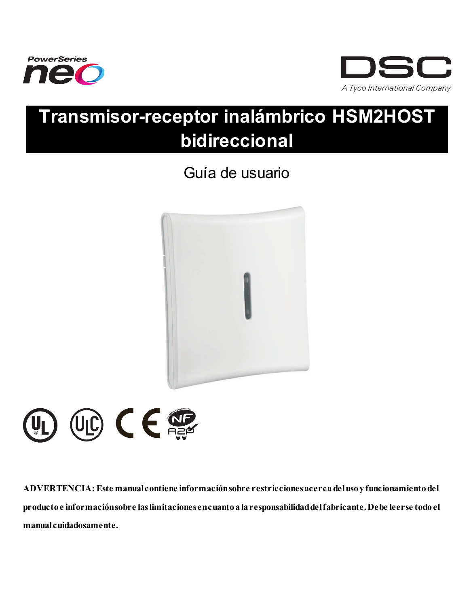



# **Transmisor-receptor inalámbrico HSM2HOST bidireccional**

## Guía de usuario





**ADVERTENCIA: Este manualcontiene informaciónsobre restriccionesacercadelusoyfuncionamientodel productoe informaciónsobre laslimitaciones encuantoalaresponsabilidaddelfabricante.Debe leerse todoel manualcuidadosamente.**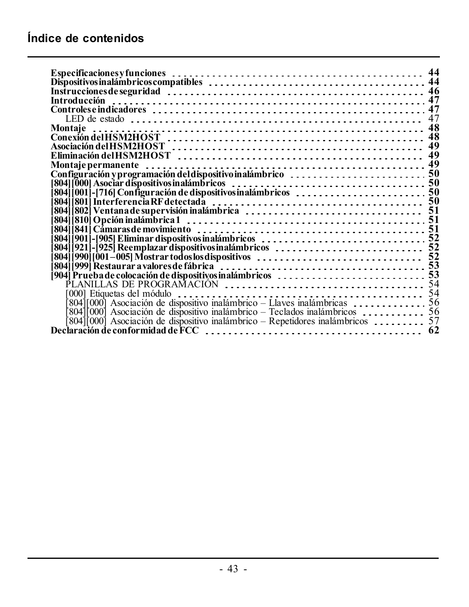| 44                                                                                                              |  |
|-----------------------------------------------------------------------------------------------------------------|--|
|                                                                                                                 |  |
|                                                                                                                 |  |
|                                                                                                                 |  |
| 47                                                                                                              |  |
| 47                                                                                                              |  |
| Montaie                                                                                                         |  |
|                                                                                                                 |  |
|                                                                                                                 |  |
|                                                                                                                 |  |
|                                                                                                                 |  |
| Configuración y programación del dispositivo inalámbrico<br>[804] [000] Asociar dispositivos inalámbricos<br>50 |  |
|                                                                                                                 |  |
|                                                                                                                 |  |
|                                                                                                                 |  |
| 804                                                                                                             |  |
| 8041                                                                                                            |  |
| 51<br>804                                                                                                       |  |
| 8041                                                                                                            |  |
| 901-1905 Eliminar dispositivos inalámbricos<br>921-1925 Reemplazar dispositivos inalámbricos<br>52<br>8041      |  |
|                                                                                                                 |  |
|                                                                                                                 |  |
|                                                                                                                 |  |
|                                                                                                                 |  |
|                                                                                                                 |  |
| 54                                                                                                              |  |
|                                                                                                                 |  |
| $804$   $ 000 $ Asociación de dispositivo inalámbrico – Teclados inalámbricos $\ldots$<br>56                    |  |
| $804$ ][000] Asociación de dispositivo inalámbrico – Repetidores inalámbricos $\ldots$<br>57                    |  |
| -62                                                                                                             |  |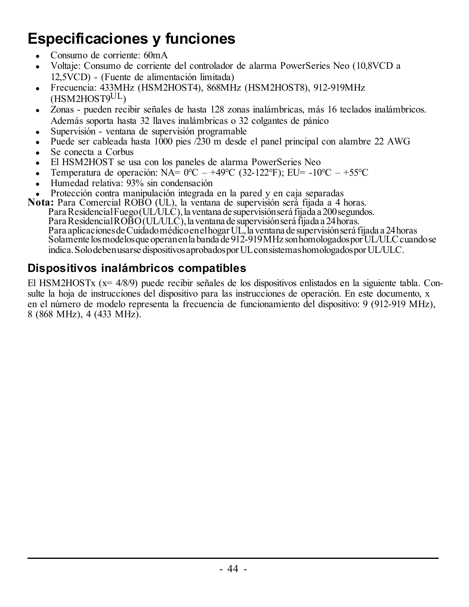## <span id="page-44-0"></span>**Especificaciones y funciones**

- Consumo de corriente: 60mA
- <sup>l</sup> Voltaje: Consumo de corriente del controlador de alarma PowerSeries Neo (10,8VCD a 12,5VCD) - (Fuente de alimentación limitada)
- <sup>l</sup> Frecuencia: 433MHz (HSM2HOST4), 868MHz (HSM2HOST8), 912-919MHz (HSM2HOST9UL)
- Zonas pueden recibir señales de hasta 128 zonas inalámbricas, más 16 teclados inalámbricos. Además soporta hasta 32 llaves inalámbricas o 32 colgantes de pánico
- Supervisión ventana de supervisión programable
- <sup>l</sup> Puede ser cableada hasta 1000 pies /230 m desde el panel principal con alambre 22 AWG
- Se conecta a Corbus
- <sup>l</sup> El HSM2HOST se usa con los paneles de alarma PowerSeries Neo
- Temperatura de operación: NA=  $0^{\circ}$ C +49 $^{\circ}$ C (32-122 $^{\circ}$ F); EU= -10 $^{\circ}$ C +55 $^{\circ}$ C
- <sup>l</sup> Humedad relativa: 93% sin condensación
- <sup>l</sup> Protección contra manipulación integrada en la pared y en caja separadas

**Nota:** Para Comercial ROBO (UL), la ventana de supervisión será fijada a 4 horas. Para Residencial Fuego (UL/ULC), la ventana de supervisión será fijada a 200 segundos. Para Residencial ROBO (UL/ULC), la ventana de supervisión será fijada a 24 horas. Para aplicaciones de Cuidado médico en el hogar UL, la ventana de supervisión será fijada a 24 horas Solamente los modelos que operan en la banda de 912-919 MHz son homologados por UL/ULC cuando se indica.Solodebenusarse dispositivosaprobadosporULconsistemashomologadosporUL/ULC.

### <span id="page-44-1"></span>**Dispositivos inalámbricos compatibles**

El HSM2HOSTx (x= 4/8/9) puede recibir señales de los dispositivos enlistados en la siguiente tabla. Consulte la hoja de instrucciones del dispositivo para las instrucciones de operación. En este documento, x en el número de modelo representa la frecuencia de funcionamiento del dispositivo: 9 (912-919 MHz), 8 (868 MHz), 4 (433 MHz).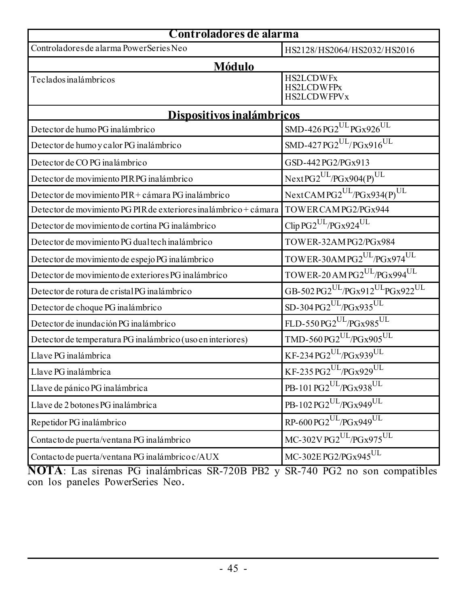| Controladores de alarma                                          |                                                                               |  |
|------------------------------------------------------------------|-------------------------------------------------------------------------------|--|
| Controladores de alarma PowerSeries Neo                          | HS2128/HS2064/HS2032/HS2016                                                   |  |
| Módulo                                                           |                                                                               |  |
| Teclados inalámbricos                                            | <b>HS2LCDWFx</b><br><b>HS2LCDWFPx</b><br><b>HS2LCDWFPVx</b>                   |  |
| Dispositivos inalámbricos                                        |                                                                               |  |
| Detector de humo PG inalámbrico                                  | $SMD-426PG2^{\overline{\mathrm{UL}}}\overline{\mathrm{PGx926}^{\mathrm{UL}}}$ |  |
| Detector de humo y calor PG inalámbrico                          | $SMD-427PG2^{UL}/PGx916^{UL}$                                                 |  |
| Detector de CO PG inalámbrico                                    | GSD-442 PG2/PGx913                                                            |  |
| Detector de movimiento PIRPG inalámbrico                         | $NextPG2^{UL}/PGx904(P)^{UL}$                                                 |  |
| Detector de movimiento PIR + cámara PG inalámbrico               | NextCAMPG2UL/PGx934(P)UL                                                      |  |
| Detector de movimiento PG PIR de exteriores inalámbrico + cámara | TOWERCAMPG2/PGx944                                                            |  |
| Detector de movimiento de cortina PG inalámbrico                 | Clip PG2 <sup>UL</sup> /PGx924 <sup>UL</sup>                                  |  |
| Detector de movimiento PG dual tech inalámbrico                  | TOWER-32AMPG2/PGx984                                                          |  |
| Detector de movimiento de espejo PG inalámbrico                  | $\text{TOWER-30AMPG2}^{\text{UL}}\text{/PGx974}^{\text{UL}}$                  |  |
| Detector de movimiento de exteriores PG inalámbrico              | TOWER-20 AMPG2 <sup>UL</sup> /PGx994 <sup>UL</sup>                            |  |
| Detector de rotura de cristal PG inalámbrico                     | GB-502 PG2 <sup>UL</sup> /PGx912 <sup>UL</sup> PGx922 <sup>UL</sup>           |  |
| Detector de choque PG inalámbrico                                | $SD-304PG2^{UL}/PGx935^{UL}$                                                  |  |
| Detector de inundación PG inalámbrico                            | FLD-550 PG2 <sup>UL</sup> /PGx985 <sup>UL</sup>                               |  |
| Detector de temperatura PG inalámbrico (uso en interiores)       | $\text{TMD-560 PG2}^{\text{UL}}\text{/PGx905}^{\text{UL}}$                    |  |
| Llave PG inalámbrica                                             | $KF-234PG2^{UL}/PGx939^{UL}$                                                  |  |
| Llave PG inalámbrica                                             | $KF-235PG2^{UL}/PGx929^{UL}$                                                  |  |
| Llave de pánico PG inalámbrica                                   | PB-101 PG2 <sup>UL</sup> /PGx938 <sup>UL</sup>                                |  |
| Llave de 2 botones PG inalámbrica                                | PB-102 PG2 <sup>UL</sup> /PGx949 <sup>UL</sup>                                |  |
| Repetidor PG inalámbrico                                         | RP-600 PG2UL/PGx949UL                                                         |  |
| Contacto de puerta/ventana PG inalámbrico                        | MC-302V PG2 <sup>UL</sup> /PGx975 <sup>UL</sup>                               |  |
| Contacto de puerta/ventana PG inalámbrico c/AUX                  | MC-302E PG2/PGx945UL                                                          |  |

**NOTA**: Las sirenas PG inalámbricas SR-720B PB2 y SR-740 PG2 no son compatibles con los paneles PowerSeries Neo.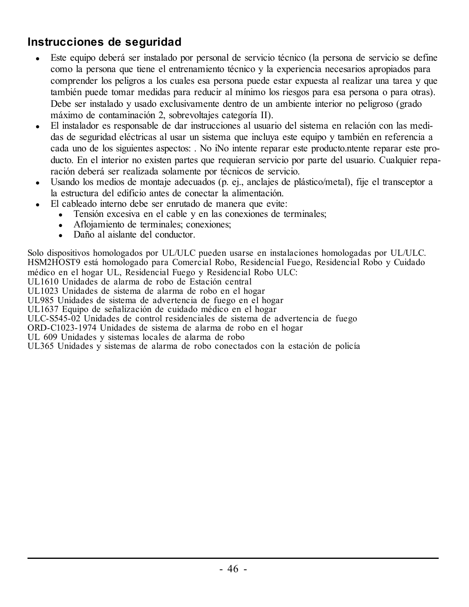### <span id="page-46-0"></span>**Instrucciones de seguridad**

- <sup>l</sup> Este equipo deberá ser instalado por personal de servicio técnico (la persona de servicio se define como la persona que tiene el entrenamiento técnico y la experiencia necesarios apropiados para comprender los peligros a los cuales esa persona puede estar expuesta al realizar una tarea y que también puede tomar medidas para reducir al mínimo los riesgos para esa persona o para otras). Debe ser instalado y usado exclusivamente dentro de un ambiente interior no peligroso (grado máximo de contaminación 2, sobrevoltajes categoría II).
- <sup>l</sup> El instalador es responsable de dar instrucciones al usuario del sistema en relación con las medidas de seguridad eléctricas al usar un sistema que incluya este equipo y también en referencia a cada uno de los siguientes aspectos: . No iNo intente reparar este producto.ntente reparar este producto. En el interior no existen partes que requieran servicio por parte del usuario. Cualquier reparación deberá ser realizada solamente por técnicos de servicio.
- <sup>l</sup> Usando los medios de montaje adecuados (p. ej., anclajes de plástico/metal), fije el transceptor a la estructura del edificio antes de conectar la alimentación.
	- <sup>l</sup> El cableado interno debe ser enrutado de manera que evite:
		- <sup>l</sup> Tensión excesiva en el cable y en las conexiones de terminales;
		- Aflojamiento de terminales; conexiones;
		- Daño al aislante del conductor.

Solo dispositivos homologados por UL/ULC pueden usarse en instalaciones homologadas por UL/ULC. HSM2HOST9 está homologado para Comercial Robo, Residencial Fuego, Residencial Robo y Cuidado médico en el hogar UL, Residencial Fuego y Residencial Robo ULC: UL1610 Unidades de alarma de robo de Estación central UL1023 Unidades de sistema de alarma de robo en el hogar UL985 Unidades de sistema de advertencia de fuego en el hogar UL1637 Equipo de señalización de cuidado médico en el hogar ULC-S545-02 Unidades de control residenciales de sistema de advertencia de fuego ORD-C1023-1974 Unidades de sistema de alarma de robo en el hogar UL 609 Unidades y sistemas locales de alarma de robo UL365 Unidades y sistemas de alarma de robo conectados con la estación de policía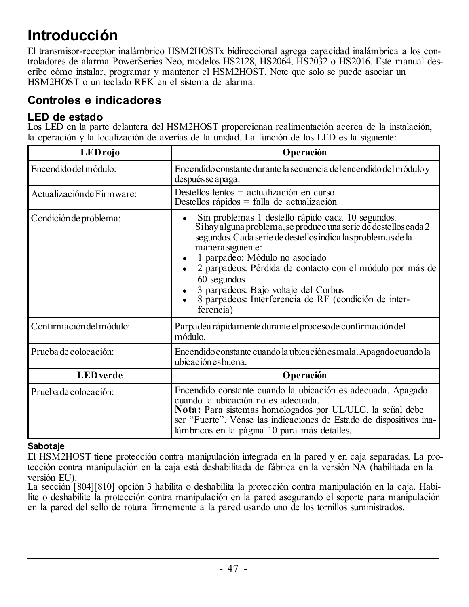## <span id="page-47-0"></span>**Introducción**

El transmisor-receptor inalámbrico HSM2HOSTx bidireccional agrega capacidad inalámbrica a los controladores de alarma PowerSeries Neo, modelos HS2128, HS2064, HS2032 o HS2016. Este manual describe cómo instalar, programar y mantener el HSM2HOST. Note que solo se puede asociar un HSM2HOST o un teclado RFK en el sistema de alarma.

### <span id="page-47-2"></span><span id="page-47-1"></span>**Controles e indicadores**

### **LED de estado**

Los LED en la parte delantera del HSM2HOST proporcionan realimentación acerca de la instalación, la operación y la localización de averías de la unidad. La función de los LED es la siguiente:

| <b>LEDrojo</b>             | Operación                                                                                                                                                                                                                                                                                                                                                                                                                              |
|----------------------------|----------------------------------------------------------------------------------------------------------------------------------------------------------------------------------------------------------------------------------------------------------------------------------------------------------------------------------------------------------------------------------------------------------------------------------------|
| Encendido del módulo:      | Encendido constante durante la secuencia del encendido del módulo y<br>después se apaga.                                                                                                                                                                                                                                                                                                                                               |
| Actualización de Firmware: | Destellos lentos = actualización en curso<br>Destellos rápidos = falla de actualización                                                                                                                                                                                                                                                                                                                                                |
| Condición de problema:     | Sin problemas 1 destello rápido cada 10 segundos.<br>Si hay alguna problema, se produce una serie de destellos cada 2<br>segundos. Cada serie de destellos indica las problemas de la<br>manera siguiente:<br>1 parpadeo: Módulo no asociado<br>2 parpadeos: Pérdida de contacto con el módulo por más de<br>60 segundos<br>3 parpadeos: Bajo voltaje del Corbus<br>8 parpadeos: Interferencia de RF (condición de inter-<br>ferencia) |
| Confirmación del módulo:   | Parpadea rápidamente durante el proceso de confirmación del<br>módulo                                                                                                                                                                                                                                                                                                                                                                  |
| Prueba de colocación:      | Encendido constante cuando la ubicación es mala. Apagado cuando la<br>ubicación es buena.                                                                                                                                                                                                                                                                                                                                              |
| <b>LED</b> verde           | Operación                                                                                                                                                                                                                                                                                                                                                                                                                              |
| Prueba de colocación:      | Encendido constante cuando la ubicación es adecuada. Apagado<br>cuando la ubicación no es adecuada.<br><b>Nota:</b> Para sistemas homologados por UL/ULC, la señal debe<br>ser "Fuerte". Véase las indicaciones de Estado de dispositivos ina-<br>lámbricos en la página 10 para más detalles.                                                                                                                                         |

### **Sabotaje**

El HSM2HOST tiene protección contra manipulación integrada en la pared y en caja separadas. La protección contra manipulación en la caja está deshabilitada de fábrica en la versión NA (habilitada en la versión EU).

La sección [804][810] opción 3 habilita o deshabilita la protección contra manipulación en la caja. Habilite o deshabilite la protección contra manipulación en la pared asegurando el soporte para manipulación en la pared del sello de rotura firmemente a la pared usando uno de los tornillos suministrados.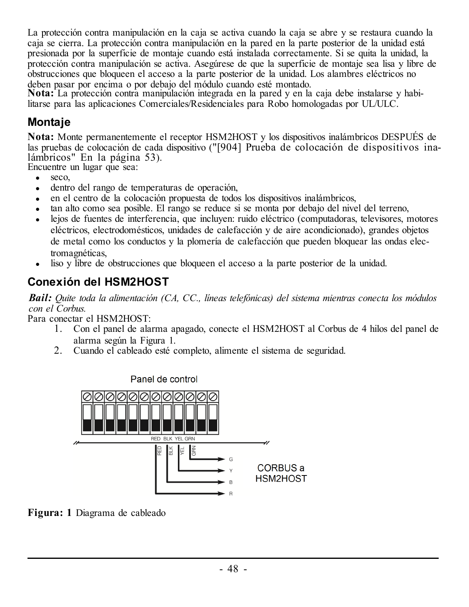La protección contra manipulación en la caja se activa cuando la caja se abre y se restaura cuando la caja se cierra. La protección contra manipulación en la pared en la parte posterior de la unidad está presionada por la superficie de montaje cuando está instalada correctamente. Si se quita la unidad, la protección contra manipulación se activa. Asegúrese de que la superficie de montaje sea lisa y libre de obstrucciones que bloqueen el acceso a la parte posterior de la unidad. Los alambres eléctricos no deben pasar por encima o por debajo del módulo cuando esté montado.

**Nota:** La protección contra manipulación integrada en la pared y en la caja debe instalarse y habilitarse para las aplicaciones Comerciales/Residenciales para Robo homologadas por UL/ULC.

### <span id="page-48-0"></span>**Montaje**

**Nota:** Monte permanentemente el receptor HSM2HOST y los dispositivos inalámbricos DESPUÉS de las pruebas de colocación de cada dispositivo ("[904] Prueba de colocación de [dispositivos](#page-53-1) ina[lámbricos"](#page-53-1) En la página 53).

Encuentre un lugar que sea:

- seco.
- $\bullet$  dentro del rango de temperaturas de operación.
- <sup>l</sup> en el centro de la colocación propuesta de todos los dispositivos inalámbricos,
- tan alto como sea posible. El rango se reduce si se monta por debajo del nivel del terreno,
- lejos de fuentes de interferencia, que incluyen: ruido eléctrico (computadoras, televisores, motores eléctricos, electrodomésticos, unidades de calefacción y de aire acondicionado), grandes objetos de metal como los conductos y la plomería de calefacción que pueden bloquear las ondas electromagnéticas,
- liso y libre de obstrucciones que bloqueen el acceso a la parte posterior de la unidad.

### <span id="page-48-1"></span>**Conexión del HSM2HOST**

*Bail: Quite toda la alimentación (CA, CC., líneas telefónicas) del sistema mientras conecta los módulos con el Corbus.*

Para conectar el HSM2HOST:

- 1. Con el panel de alarma apagado, conecte el HSM2HOST al Corbus de 4 hilos del panel de alarma según la Figura 1.
- 2. Cuando el cableado esté completo, alimente el sistema de seguridad.



**Figura: 1** Diagrama de cableado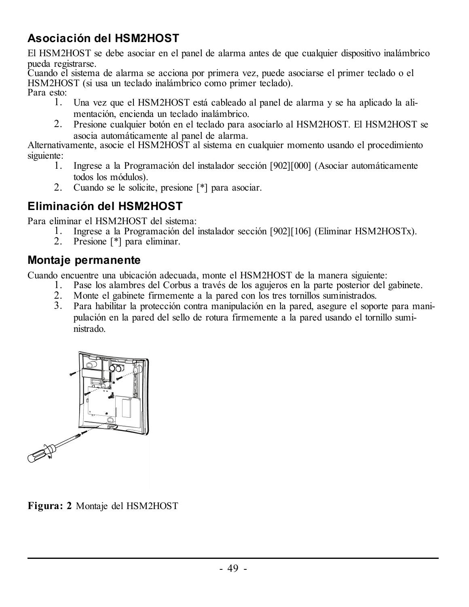### <span id="page-49-0"></span>**Asociación del HSM2HOST**

El HSM2HOST se debe asociar en el panel de alarma antes de que cualquier dispositivo inalámbrico pueda registrarse.

Cuando el sistema de alarma se acciona por primera vez, puede asociarse el primer teclado o el HSM2HOST (si usa un teclado inalámbrico como primer teclado). Para esto:

- 1. Una vez que el HSM2HOST está cableado al panel de alarma y se ha aplicado la alimentación, encienda un teclado inalámbrico.
- 2. Presione cualquier botón en el teclado para asociarlo al HSM2HOST. El HSM2HOST se asocia automáticamente al panel de alarma.

Alternativamente, asocie el HSM2HOST al sistema en cualquier momento usando el procedimiento siguiente:

- 1. Ingrese a la Programación del instalador sección [902][000] (Asociar automáticamente todos los módulos).
- 2. Cuando se le solicite, presione [\*] para asociar.

### <span id="page-49-1"></span>**Eliminación del HSM2HOST**

Para eliminar el HSM2HOST del sistema:

- 1. Ingrese a la Programación del instalador sección [902][106] (Eliminar HSM2HOSTx).
- 2. Presione [\*] para eliminar.

### <span id="page-49-2"></span>**Montaje permanente**

Cuando encuentre una ubicación adecuada, monte el HSM2HOST de la manera siguiente:

- 1. Pase los alambres del Corbus a través de los agujeros en la parte posterior del gabinete.
- 2. Monte el gabinete firmemente a la pared con los tres tornillos suministrados.<br>3. Para habilitar la protección contra manipulación en la pared, asegure el sono
- 3. Para habilitar la protección contra manipulación en la pared, asegure el soporte para manipulación en la pared del sello de rotura firmemente a la pared usando el tornillo suministrado.



**Figura: 2** Montaje del HSM2HOST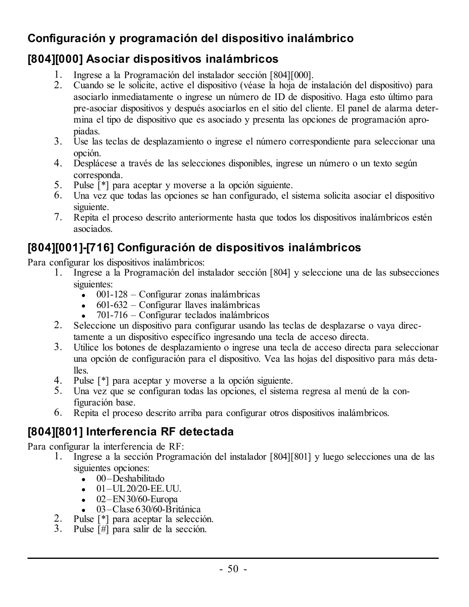### <span id="page-50-0"></span>**Configuración y programación del dispositivo inalámbrico**

### <span id="page-50-1"></span>**[804][000] Asociar dispositivos inalámbricos**

- 1. Ingrese a la Programación del instalador sección [804][000].
- 2. Cuando se le solicite, active el dispositivo (véase la hoja de instalación del dispositivo) para asociarlo inmediatamente o ingrese un número de ID de dispositivo. Haga esto último para pre-asociar dispositivos y después asociarlos en el sitio del cliente. El panel de alarma determina el tipo de dispositivo que es asociado y presenta las opciones de programación apropiadas.
- 3. Use las teclas de desplazamiento o ingrese el número correspondiente para seleccionar una opción.
- 4. Desplácese a través de las selecciones disponibles, ingrese un número o un texto según corresponda.
- 5. Pulse [\*] para aceptar y moverse a la opción siguiente.
- 6. Una vez que todas las opciones se han configurado, el sistema solicita asociar el dispositivo siguiente.
- 7. Repita el proceso descrito anteriormente hasta que todos los dispositivos inalámbricos estén asociados.

### <span id="page-50-2"></span>**[804][001]-[716] Configuración de dispositivos inalámbricos**

Para configurar los dispositivos inalámbricos:

- 1. Ingrese a la Programación del instalador sección [804] y seleccione una de las subsecciones siguientes:
	- $\sim$  001-128 Configurar zonas inalámbricas
	- $\cdot$  601-632 Configurar llaves inalámbricas
	- $\bullet$  701-716 Configurar teclados inalámbricos
- 2. Seleccione un dispositivo para configurar usando las teclas de desplazarse o vaya directamente a un dispositivo específico ingresando una tecla de acceso directa.
- 3. Utilice los botones de desplazamiento o ingrese una tecla de acceso directa para seleccionar una opción de configuración para el dispositivo. Vea las hojas del dispositivo para más detalles.
- 4. Pulse [\*] para aceptar y moverse a la opción siguiente.
- 5. Una vez que se configuran todas las opciones, el sistema regresa al menú de la configuración base.
- 6. Repita el proceso descrito arriba para configurar otros dispositivos inalámbricos.

### <span id="page-50-3"></span>**[804][801] Interferencia RF detectada**

Para configurar la interferencia de RF:

- 1. Ingrese a la sección Programación del instalador [804][801] y luego selecciones una de las siguientes opciones:
	- $\bullet$  00–Deshabilitado
	- $-01 -$ UL20/20-EE.UU.
	- $-$  02–EN 30/60-Europa
	- $\cdot$  03–Clase 630/60-Británica
- 2. Pulse [\*] para aceptar la selección.
- 3. Pulse [#] para salir de la sección.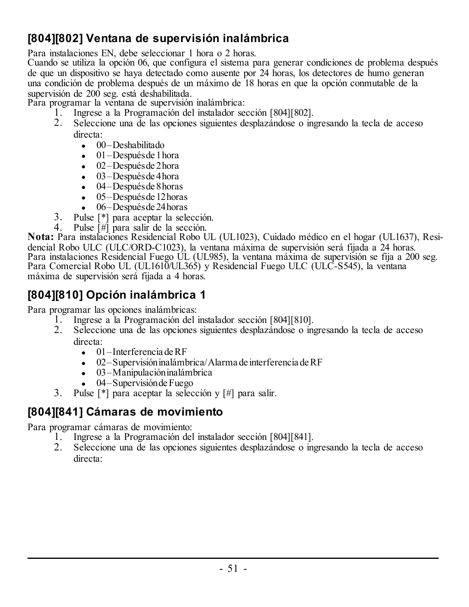### <span id="page-51-0"></span>**[804][802] Ventana de supervisión inalámbrica**

Para instalaciones EN, debe seleccionar 1 hora o 2 horas.

Cuando se utiliza la opción 06, que configura el sistema para generar condiciones de problema después de que un dispositivo se haya detectado como ausente por 24 horas, los detectores de humo generan una condición de problema después de un máximo de 18 horas en que la opción conmutable de la supervisión de 200 seg. está deshabilitada.

Para programar la ventana de supervisión inalámbrica:

- 1. Ingrese a la Programación del instalador sección [804][802].
- 2. Seleccione una de las opciones siguientes desplazándose o ingresando la tecla de acceso directa:
	- $\bullet$  00–Deshabilitado
	- $\bullet$  01–Después de 1 hora
	- $\bullet$  02–Después de 2 hora
	- $\bullet$  03–Después de 4 hora
	- $-04$ –Después de 8 horas
	- $\bullet$  05–Después de 12 horas
	- $\bullet$  06–Después de 24 horas
- 3. Pulse  $[!]$  para aceptar la selección.<br>4 Pulse  $[!]$  para salir de la sección.
	- Pulse [#] para salir de la sección.

**Nota:** Para instalaciones Residencial Robo UL (UL1023), Cuidado médico en el hogar (UL1637), Residencial Robo ULC (ULC/ORD-C1023), la ventana máxima de supervisión será fijada a 24 horas. Para instalaciones Residencial Fuego UL (UL985), la ventana máxima de supervisión se fija a 200 seg. Para Comercial Robo UL (UL1610/UL365) y Residencial Fuego ULC (ULC-S545), la ventana máxima de supervisión será fijada a 4 horas.

### <span id="page-51-1"></span>**[804][810] Opción inalámbrica 1**

Para programar las opciones inalámbricas:

- 1. Ingrese a la Programación del instalador sección [804][810].
- 2. Seleccione una de las opciones siguientes desplazándose o ingresando la tecla de acceso directa:
	- $\bullet$  01 Interferencia de RF
	- <sup>l</sup> 02–Supervisióninalámbrica/Alarma de interferencia deRF
	- $\bullet$  03–Manipulación inalámbrica
	- $\bullet$  04–Supervisión de Fuego
- 3. Pulse [\*] para aceptar la selección y [#] para salir.

### <span id="page-51-2"></span>**[804][841] Cámaras de movimiento**

Para programar cámaras de movimiento:

- 1. Ingrese a la Programación del instalador sección [804][841].
- 2. Seleccione una de las opciones siguientes desplazándose o ingresando la tecla de acceso directa: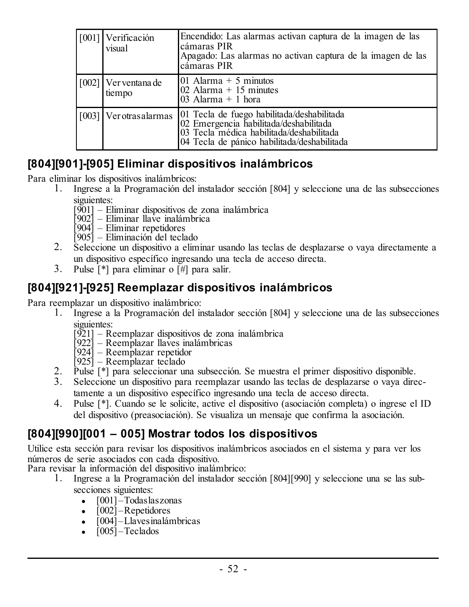|  | [001] Verificación<br>visual   | Encendido: Las alarmas activan captura de la imagen de las<br>cámaras PIR<br>Apagado: Las alarmas no activan captura de la imagen de las<br>cámaras PIR                         |
|--|--------------------------------|---------------------------------------------------------------------------------------------------------------------------------------------------------------------------------|
|  | [002] Ver ventana de<br>tiempo | 01 Alarma $+5$ minutos<br>02 Alarma $+15$ minutes<br>03 Alarma $+1$ hora                                                                                                        |
|  | [003] Ver otras alarmas        | 01 Tecla de fuego habilitada/deshabilitada<br>02 Emergencia habilitada/deshabilitada<br>03 Tecla médica habilitada/deshabilitada<br>04 Tecla de pánico habilitada/deshabilitada |

### <span id="page-52-0"></span>**[804][901]-[905] Eliminar dispositivos inalámbricos**

Para eliminar los dispositivos inalámbricos:<br>1. Ingrese a la Programación del i

- 1. Ingrese a la Programación del instalador sección [804] y seleccione una de las subsecciones siguientes:
	- [901] Eliminar dispositivos de zona inalámbrica [902] Eliminar llave inalámbrica [904] Eliminar repetidores
	-
	-
	- [905] Eliminación del teclado
- 2. Seleccione un dispositivo a eliminar usando las teclas de desplazarse o vaya directamente a un dispositivo específico ingresando una tecla de acceso directa.
- 3. Pulse [\*] para eliminar o [#] para salir.

### <span id="page-52-1"></span>**[804][921]-[925] Reemplazar dispositivos inalámbricos**

Para reemplazar un dispositivo inalámbrico:<br>1. Ingrese a la Programación del in

- 1. Ingrese a la Programación del instalador sección [804] y seleccione una de las subsecciones siguientes:
	- [921] Reemplazar dispositivos de zona inalámbrica
	- [922] Reemplazar llaves inalámbricas
	- [924] Reemplazar repetidor [925] Reemplazar teclado
	-
- 2. Pulse [\*] para seleccionar una subsección. Se muestra el primer dispositivo disponible.<br>3. Seleccione un dispositivo para reemplazar usando las teclas de desplazarse o vava dire
- 3. Seleccione un dispositivo para reemplazar usando las teclas de desplazarse o vaya directamente a un dispositivo específico ingresando una tecla de acceso directa.
- 4. Pulse [\*]. Cuando se le solicite, active el dispositivo (asociación completa) o ingrese el ID del dispositivo (preasociación). Se visualiza un mensaje que confirma la asociación.

### <span id="page-52-2"></span>**[804][990][001 – 005] Mostrar todos los dispositivos**

Utilice esta sección para revisar los dispositivos inalámbricos asociados en el sistema y para ver los números de serie asociados con cada dispositivo.

Para revisar la información del dispositivo inalámbrico:

- 1. Ingrese a la Programación del instalador sección [804][990] y seleccione una se las subsecciones siguientes:
	- $\bullet$   $[001]$  Todas laszonas
	- $\cdot$  [002] Repetidores
	- $\cdot$  [004] Llavesinalámbricas
	- $\cdot$  [005] Teclados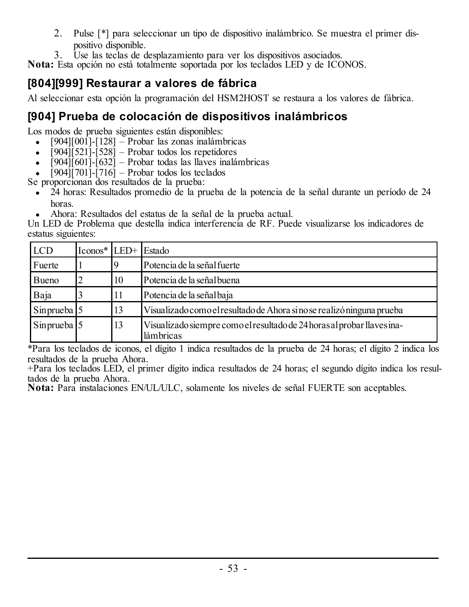- 2. Pulse [\*] para seleccionar un tipo de dispositivo inalámbrico. Se muestra el primer dispositivo disponible.
- 3. Use las teclas de desplazamiento para ver los dispositivos asociados.

**Nota:** Esta opción no está totalmente soportada por los teclados LED y de ICONOS.

### <span id="page-53-0"></span>**[804][999] Restaurar a valores de fábrica**

Al seleccionar esta opción la programación del HSM2HOST se restaura a los valores de fábrica.

### <span id="page-53-1"></span>**[904] Prueba de colocación de dispositivos inalámbricos**

Los modos de prueba siguientes están disponibles:

- $[904][001]$ - $[128]$  Probar las zonas inalámbricas
- $\left[904\right]\left[521\right]\left[528\right]$  Probar todos los repetidores
- $\sqrt{19041}$ [601]-[632] Probar todas las llaves inalámbricas
- $\bullet$  [904][701]-[716] Probar todos los teclados

Se proporcionan dos resultados de la prueba:

 $\cdot$  24 horas: Resultados promedio de la prueba de la potencia de la señal durante un período de 24 horas.

<sup>l</sup> Ahora: Resultados del estatus de la señal de la prueba actual.

Un LED de Problema que destella indica interferencia de RF. Puede visualizarse los indicadores de estatus siguientes:

| <b>LCD</b>              | Iconos* LED+ Estado |    |                                                                                      |
|-------------------------|---------------------|----|--------------------------------------------------------------------------------------|
| Fuerte                  |                     |    | Potencia de la señal fuerte                                                          |
| Bueno                   |                     | 10 | Potencia de la señal buena                                                           |
| Baja                    |                     | 11 | Potencia de la señal baja                                                            |
| Sinprueba <sup>15</sup> |                     | 13 | Visualizado como el resultado de Ahora si no se realizó ninguna prueba               |
| Sinprueba <sup>5</sup>  |                     | 13 | Visualizado siempre como el resultado de 24 horas al probar llaves ina-<br>lámbricas |

\*Para los teclados de iconos, el dígito 1 indica resultados de la prueba de 24 horas; el dígito 2 indica los resultados de la prueba Ahora.

+Para los teclados LED, el primer dígito indica resultados de 24 horas; el segundo dígito indica los resultados de la prueba Ahora.

**Nota:** Para instalaciones EN/UL/ULC, solamente los niveles de señal FUERTE son aceptables.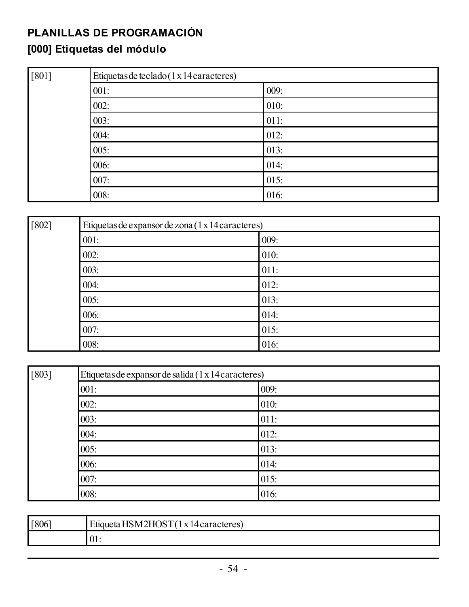### <span id="page-54-0"></span>**PLANILLAS DE PROGRAMACIÓN**

### <span id="page-54-1"></span>**[000] Etiquetas del módulo**

| $[801]$ | Etiquetas de teclado (1 x 14 caracteres) |      |  |
|---------|------------------------------------------|------|--|
|         | 001:                                     | 009: |  |
|         | 002:                                     | 010: |  |
|         | 003:                                     | 011: |  |
|         | 004:                                     | 012: |  |
|         | 005:                                     | 013: |  |
|         | 006:                                     | 014: |  |
|         | 007:                                     | 015: |  |
|         | 008:                                     | 016: |  |

| $[802]$ | Etiquetas de expansor de zona (1 x 14 caracteres) |      |
|---------|---------------------------------------------------|------|
|         | 001:                                              | 009: |
|         | 002:                                              | 010: |
|         | 003:                                              | 011: |
|         | 004:                                              | 012: |
|         | 005:                                              | 013: |
|         | 006:                                              | 014: |
|         | 007:                                              | 015: |
|         | 008:                                              | 016: |

| $[803]$ | Etiquetas de expansor de salida (1 x 14 caracteres) |      |  |
|---------|-----------------------------------------------------|------|--|
|         | 001:                                                | 009: |  |
|         | 002:                                                | 010: |  |
|         | 003:                                                | 011: |  |
|         | 004:                                                | 012: |  |
|         | 005:                                                | 013: |  |
|         | 006:                                                | 014: |  |
|         | 007:                                                | 015: |  |
|         | 008:                                                | 016: |  |

| $[806]$ | HSM2HOST(<br>Etimieta:<br>l x 14 caracteres) |
|---------|----------------------------------------------|
|         | UI.                                          |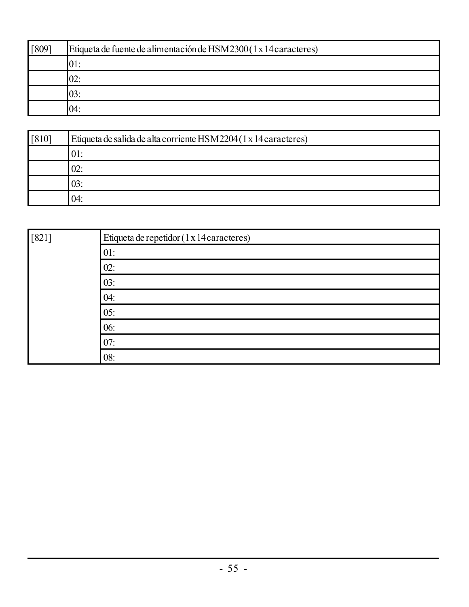| [809] | Etiqueta de fuente de alimentación de HSM2300(1 x 14 caracteres) |
|-------|------------------------------------------------------------------|
|       | .UI.                                                             |
|       | 02                                                               |
|       | 03:                                                              |
|       | 04:                                                              |

| $[810]$ | Etiqueta de salida de alta corriente HSM2204 (1 x 14 caracteres) |  |  |
|---------|------------------------------------------------------------------|--|--|
|         | 01:                                                              |  |  |
|         | 02:                                                              |  |  |
|         | 03:                                                              |  |  |
|         | 04:                                                              |  |  |

| $[821]$ | Etiqueta de repetidor (1 x 14 caracteres) |
|---------|-------------------------------------------|
|         | 01:                                       |
|         | 02:                                       |
|         | 03:                                       |
|         | 04:                                       |
|         | 05:                                       |
|         | 06:                                       |
|         | 07:                                       |
|         | 08:                                       |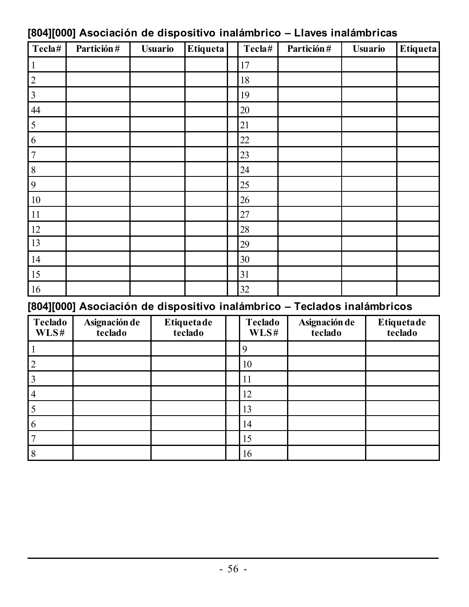| Tecla#                  | Partición# | <b>Usuario</b> | <b>Etiqueta</b> | Tecla# | Partición# | <b>Usuario</b> | Etiqueta |
|-------------------------|------------|----------------|-----------------|--------|------------|----------------|----------|
|                         |            |                |                 | 17     |            |                |          |
| $\boldsymbol{2}$        |            |                |                 | 18     |            |                |          |
| $\overline{\mathbf{3}}$ |            |                |                 | 19     |            |                |          |
| 44                      |            |                |                 | 20     |            |                |          |
| 5                       |            |                |                 | 21     |            |                |          |
| 6                       |            |                |                 | 22     |            |                |          |
| $\overline{7}$          |            |                |                 | 23     |            |                |          |
| 8                       |            |                |                 | 24     |            |                |          |
| 9                       |            |                |                 | 25     |            |                |          |
| $10\,$                  |            |                |                 | 26     |            |                |          |
| $11\,$                  |            |                |                 | 27     |            |                |          |
| 12                      |            |                |                 | 28     |            |                |          |
| 13                      |            |                |                 | 29     |            |                |          |
| 14                      |            |                |                 | 30     |            |                |          |
| 15                      |            |                |                 | 31     |            |                |          |
| 16                      |            |                |                 | 32     |            |                |          |

### <span id="page-56-0"></span>**[804][000] Asociación de dispositivo inalámbrico – Llaves inalámbricas**

### <span id="page-56-1"></span>**[804][000] Asociación de dispositivo inalámbrico – Teclados inalámbricos**

| Teclado<br>WLSH | Asignación de<br>teclado | Etiquetade<br>teclado | Teclado<br>WLSH | Asignación de<br>teclado | Etiquetade<br>teclado |
|-----------------|--------------------------|-----------------------|-----------------|--------------------------|-----------------------|
|                 |                          |                       | Q               |                          |                       |
|                 |                          |                       | 10              |                          |                       |
|                 |                          |                       | 11              |                          |                       |
|                 |                          |                       | 12              |                          |                       |
|                 |                          |                       | 13              |                          |                       |
|                 |                          |                       | 14              |                          |                       |
|                 |                          |                       | 15              |                          |                       |
|                 |                          |                       | 16              |                          |                       |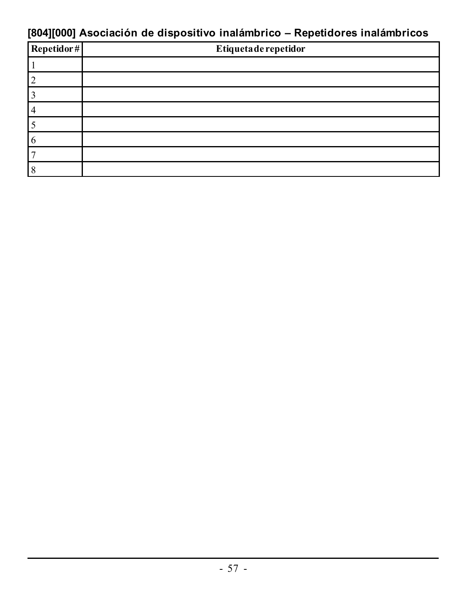### <span id="page-57-0"></span>**[804][000] Asociación de dispositivo inalámbrico – Repetidores inalámbricos**

| Repetidor# | Etiqueta de repetidor |
|------------|-----------------------|
|            |                       |
|            |                       |
|            |                       |
|            |                       |
|            |                       |
|            |                       |
|            |                       |
|            |                       |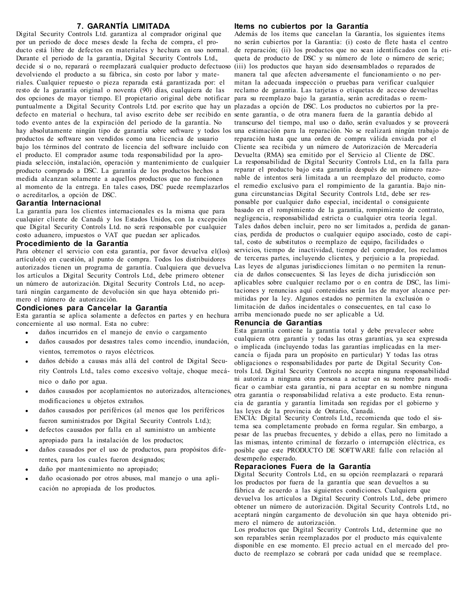#### **7. GARANTÍA LIMITADA**

Digital Security Controls Ltd. garantiza al comprador original que por un periodo de doce meses desde la fecha de compra, el producto está libre de defectos en materiales y hechura en uso normal. Durante el periodo de la garantía, Digital Security Controls Ltd., decide sí o no, reparará o reemplazará cualquier producto defectuoso devolviendo el producto a su fábrica, sin costo por labor y materiales. Cualquier repuesto o pieza reparada está garantizada por: el resto de la garantía original o noventa (90) días, cualquiera de las dos opciones de mayor tiempo. El propietario original debe notificar puntualmente a Digital Security Controls Ltd. por escrito que hay un plazadas a opción de DSC. Los productos no cubiertos por la predefecto en material o hechura, tal aviso escrito debe ser recibido en sente garantía, o de otra manera fuera de la garantía debido al todo evento antes de la expiración del periodo de la garantía. No hay absolutamente ningún tipo de garantía sobre software y todos los productos de software son vendidos como una licencia de usuario bajo los términos del contrato de licencia del software incluido con el producto. El comprador asume toda responsabilidad por la apropiada selección, instalación, operación y mantenimiento de cualquier producto comprado a DSC. La garantía de los productos hechos a medida alcanzan solamente a aquellos productos que no funcionen al momento de la entrega. En tales casos, DSC puede reemplazarlos o acreditarlos, a opción de DSC.

#### **Garantía Internacional**

La garantía para los clientes internacionales es la misma que para cualquier cliente de Canadá y los Estados Unidos, con la excepción que Digital Security Controls Ltd. no será responsable por cualquier costo aduanero, impuestos o VAT que puedan ser aplicados.

#### **Procedimiento de la Garantía**

Para obtener el servicio con esta garantía, por favor devuelva el(los) artículo(s) en cuestión, al punto de compra. Todos los distribuidores autorizados tienen un programa de garantía. Cualquiera que devuelva los artículos a Digital Security Controls Ltd., debe primero obtener un número de autorización. Digital Security Controls Ltd., no aceptará ningún cargamento de devolución sin que haya obtenido primero el número de autorización.

#### **Condiciones para Cancelar la Garantía**

Esta garantía se aplica solamente a defectos en partes y en hechura concerniente al uso normal. Esta no cubre:

- <sup>l</sup> daños incurridos en el manejo de envío o cargamento
- daños causados por desastres tales como incendio, inundación, vientos, terremotos o rayos eléctricos.
- daños debido a causas más allá del control de Digital Security Controls Ltd., tales como excesivo voltaje, choque mecánico o daño por agua.
- daños causados por acoplamientos no autorizados, alteraciones, modificaciones u objetos extraños.
- daños causados por periféricos (al menos que los periféricos fueron suministrados por Digital Security Controls Ltd.);
- <sup>l</sup> defectos causados por falla en al suministro un ambiente apropiado para la instalación de los productos;
- daños causados por el uso de productos, para propósitos diferentes, para los cuales fueron designados;
- daño por mantenimiento no apropiado;
- daño ocasionado por otros abusos, mal manejo o una aplicación no apropiada de los productos.

#### **Items no cubiertos por la Garantía**

Además de los ítems que cancelan la Garantía, los siguientes ítems no serán cubiertos por la Garantía: (i) costo de flete hasta el centro de reparación; (ii) los productos que no sean identificados con la etiqueta de producto de DSC y su número de lote o número de serie; (iii) los productos que hayan sido desensamblados o reparados de manera tal que afecten adversamente el funcionamiento o no permitan la adecuada inspección o pruebas para verificar cualquier reclamo de garantía. Las tarjetas o etiquetas de acceso devueltas para su reemplazo bajo la garantía, serán acreditadas o reemtranscurso del tiempo, mal uso o daño, serán evaluados y se proveerá una estimación para la reparación. No se realizará ningún trabajo de reparación hasta que una orden de compra válida enviada por el Cliente sea recibida y un número de Autorización de Mercadería Devuelta (RMA) sea emitido por el Servicio al Cliente de DSC. La responsabilidad de Digital Security Controls Ltd., en la falla para reparar el producto bajo esta garantía después de un número razonable de intentos será limitada a un reemplazo del producto, como el remedio exclusivo para el rompimiento de la garantía. Bajo ninguna circunstancias Digital Security Controls Ltd., debe ser responsable por cualquier daño especial, incidental o consiguiente basado en el rompimiento de la garantía, rompimiento de contrato, negligencia, responsabilidad estricta o cualquier otra teoría legal. Tales daños deben incluir, pero no ser limitados a, perdida de ganancias, perdida de productos o cualquier equipo asociado, costo de capital, costo de substitutos o reemplazo de equipo, facilidades o servicios, tiempo de inactividad, tiempo del comprador, los reclamos de terceras partes, incluyendo clientes, y perjuicio a la propiedad. Las leyes de algunas jurisdicciones limitan o no permiten la renuncia de daños consecuentes. Si las leyes de dicha jurisdicción son aplicables sobre cualquier reclamo por o en contra de DSC, las limitaciones y renuncias aquí contenidas serán las de mayor alcance permitidas por la ley. Algunos estados no permiten la exclusión o limitación de daños incidentales o consecuentes, en tal caso lo arriba mencionado puede no ser aplicable a Ud.

#### **Renuncia de Garantías**

Esta garantía contiene la garantía total y debe prevalecer sobre cualquiera otra garantía y todas las otras garantías, ya sea expresada o implicada (incluyendo todas las garantías implicadas en la mercancía o fijada para un propósito en particular) Y todas las otras obligaciones o responsabilidades por parte de Digital Security Controls Ltd. Digital Security Controls no acepta ninguna responsabilidad ni autoriza a ninguna otra persona a actuar en su nombre para modificar o cambiar esta garantía, ni para aceptar en su nombre ninguna otra garantía o responsabilidad relativa a este producto. Esta renuncia de garantía y garantía limitada son regidas por el gobierno y las leyes de la provincia de Ontario, Canadá.

ENCIA: Digital Security Controls Ltd., recomienda que todo el sistema sea completamente probado en forma regular. Sin embargo, a pesar de las pruebas frecuentes, y debido a ellas, pero no limitado a las mismas, intento criminal de forzarlo o interrupción eléctrica, es posible que este PRODUCTO DE SOFTWARE falle con relación al desempeño esperado.

#### **Reparaciones Fuera de la Garantía**

Digital Security Controls Ltd., en su opción reemplazará o reparará los productos por fuera de la garantía que sean devueltos a su fábrica de acuerdo a las siguientes condiciones. Cualquiera que devuelva los artículos a Digital Security Controls Ltd., debe primero obtener un número de autorización. Digital Security Controls Ltd., no aceptará ningún cargamento de devolución sin que haya obtenido primero el número de autorización.

Los productos que Digital Security Controls Ltd., determine que no son reparables serán reemplazados por el producto más equivalente disponible en ese momento. El precio actual en el mercado del producto de reemplazo se cobrará por cada unidad que se reemplace.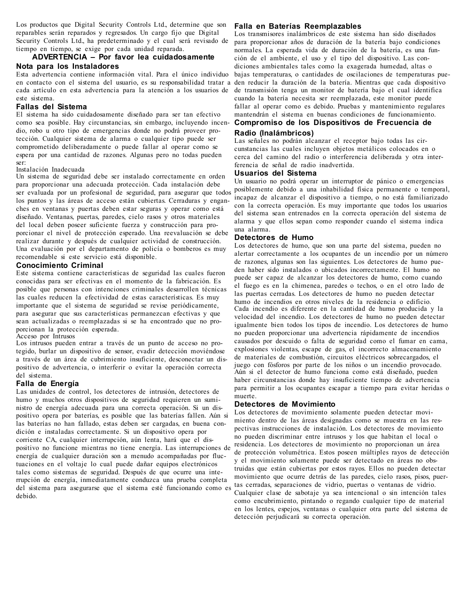Los productos que Digital Security Controls Ltd., determine que son reparables serán reparados y regresados. Un cargo fijo que Digital Security Controls Ltd., ha predeterminado y el cual será revisado de tiempo en tiempo, se exige por cada unidad reparada.

#### **ADVERTENCIA – Por favor lea cuidadosamente Nota para los Instaladores**

Esta advertencia contiene información vital. Para el único individuo en contacto con el sistema del usuario, es su responsabilidad tratar a den reducir la duración de la batería. Mientras que cada dispositivo cada artículo en esta advertencia para la atención a los usuarios de de transmisión tenga un monitor de batería bajo el cual identifica este sistema.

#### **Fallas del Sistema**

El sistema ha sido cuidadosamente diseñado para ser tan efectivo como sea posible. Hay circunstancias, sin embargo, incluyendo incendio, robo u otro tipo de emergencias donde no podrá proveer protección. Cualquier sistema de alarma o cualquier tipo puede ser comprometido deliberadamente o puede fallar al operar como se espera por una cantidad de razones. Algunas pero no todas pueden ser:

#### Instalación Inadecuada

Un sistema de seguridad debe ser instalado correctamente en orden para proporcionar una adecuada protección. Cada instalación debe ser evaluada por un profesional de seguridad, para asegurar que todos los puntos y las áreas de acceso están cubiertas. Cerraduras y enganches en ventanas y puertas deben estar seguras y operar como está diseñado. Ventanas, puertas, paredes, cielo rasos y otros materiales del local deben poseer suficiente fuerza y construcción para proporcionar el nivel de protección esperado. Una reevaluación se debe realizar durante y después de cualquier actividad de construcción. Una evaluación por el departamento de policía o bomberos es muy recomendable si este servicio está disponible.

#### **Conocimiento Criminal**

Este sistema contiene características de seguridad las cuales fueron conocidas para ser efectivas en el momento de la fabricación. Es posible que personas con intenciones criminales desarrollen técnicas las cuales reducen la efectividad de estas características. Es muy importante que el sistema de seguridad se revise periódicamente, para asegurar que sus características permanezcan efectivas y que sean actualizadas o reemplazadas si se ha encontrado que no proporcionan la protección esperada.

#### Acceso por Intrusos

Los intrusos pueden entrar a través de un punto de acceso no protegido, burlar un dispositivo de sensor, evadir detección moviéndose a través de un área de cubrimiento insuficiente, desconectar un dispositivo de advertencia, o interferir o evitar la operación correcta del sistema.

#### **Falla de Energía**

Las unidades de control, los detectores de intrusión, detectores de humo y muchos otros dispositivos de seguridad requieren un suministro de energía adecuada para una correcta operación. Si un dispositivo opera por baterías, es posible que las baterías fallen. Aún si las baterías no han fallado, estas deben ser cargadas, en buena condición e instaladas correctamente. Si un dispositivo opera por corriente CA, cualquier interrupción, aún lenta, hará que el dispositivo no funcione mientras no tiene energía. Las interrupciones de energía de cualquier duración son a menudo acompañadas por fluctuaciones en el voltaje lo cual puede dañar equipos electrónicos tales como sistemas de seguridad. Después de que ocurre una interrupción de energía, inmediatamente conduzca una prueba completa del sistema para asegurarse que el sistema esté funcionando como es debido.

#### **Falla en Baterías Reemplazables**

Los transmisores inalámbricos de este sistema han sido diseñados para proporcionar años de duración de la batería bajo condiciones normales. La esperada vida de duración de la batería, es una función de el ambiente, el uso y el tipo del dispositivo. Las condiciones ambientales tales como la exagerada humedad, altas o bajas temperaturas, o cantidades de oscilaciones de temperaturas puecuando la batería necesita ser reemplazada, este monitor puede fallar al operar como es debido. Pruebas y mantenimiento regulares mantendrán el sistema en buenas condiciones de funcionamiento. **Compromiso de los Dispositivos de Frecuencia de**

#### **Radio (Inalámbricos)**

Las señales no podrán alcanzar el receptor bajo todas las circunstancias las cuales incluyen objetos metálicos colocados en o cerca del camino del radio o interferencia deliberada y otra interferencia de señal de radio inadvertida.

#### **Usuarios del Sistema**

Un usuario no podrá operar un interruptor de pánico o emergencias posiblemente debido a una inhabilidad física permanente o temporal, incapaz de alcanzar el dispositivo a tiempo, o no está familiarizado con la correcta operación. Es muy importante que todos los usuarios del sistema sean entrenados en la correcta operación del sistema de alarma y que ellos sepan como responder cuando el sistema indica una alarma.

#### **Detectores de Humo**

Los detectores de humo, que son una parte del sistema, pueden no alertar correctamente a los ocupantes de un incendio por un número de razones, algunas son las siguientes. Los detectores de humo pueden haber sido instalados o ubicados incorrectamente. El humo no puede ser capaz de alcanzar los detectores de humo, como cuando el fuego es en la chimenea, paredes o techos, o en el otro lado de las puertas cerradas. Los detectores de humo no pueden detectar humo de incendios en otros niveles de la residencia o edificio. Cada incendio es diferente en la cantidad de humo producida y la velocidad del incendio. Los detectores de humo no pueden detectar igualmente bien todos los tipos de incendio. Los detectores de humo no pueden proporcionar una advertencia rápidamente de incendios causados por descuido o falta de seguridad como el fumar en cama, explosiones violentas, escape de gas, el incorrecto almacenamiento de materiales de combustión, circuitos eléctricos sobrecargados, el juego con fósforos por parte de los niños o un incendio provocado. Aún si el detector de humo funciona como está diseñado, pueden haber circunstancias donde hay insuficiente tiempo de advertencia para permitir a los ocupantes escapar a tiempo para evitar heridas o muerte.

#### **Detectores de Movimiento**

Los detectores de movimiento solamente pueden detectar movimiento dentro de las áreas designadas como se muestra en las respectivas instrucciones de instalación. Los detectores de movimiento no pueden discriminar entre intrusos y los que habitan el local o residencia. Los detectores de movimiento no proporcionan un área de protección volumétrica. Estos poseen múltiples rayos de detección y el movimiento solamente puede ser detectado en áreas no obstruidas que están cubiertas por estos rayos. Ellos no pueden detectar movimiento que ocurre detrás de las paredes, cielo rasos, pisos, puertas cerradas, separaciones de vidrio, puertas o ventanas de vidrio. Cualquier clase de sabotaje ya sea intencional o sin intención tales como encubrimiento, pintando o regando cualquier tipo de material en los lentes, espejos, ventanas o cualquier otra parte del sistema de detección perjudicará su correcta operación.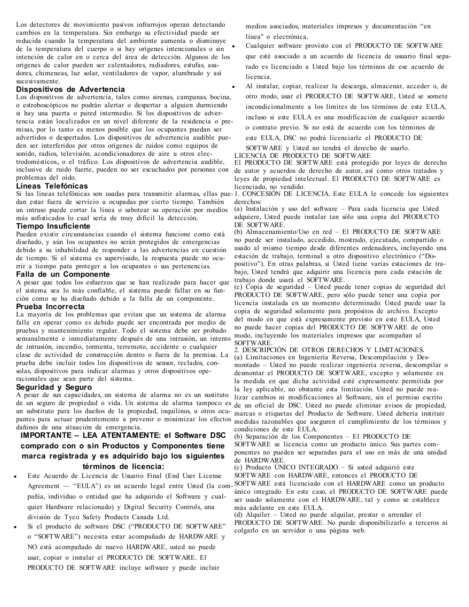Los detectores de movimiento pasivos infrarrojos operan detectando cambios en la temperatura. Sin embargo su efectividad puede ser reducida cuando la temperatura del ambiente aumenta o disminuye de la temperatura del cuerpo o si hay orígenes intencionales o sin intención de calor en o cerca del área de detección. Algunos de los orígenes de calor pueden ser calentadores, radiadores, estufas, asadores, chimeneas, luz solar, ventiladores de vapor, alumbrado y así sucesivamente.

#### **Dispositivos de Advertencia**

Los dispositivos de advertencia, tales como sirenas, campanas, bocina, o estroboscópicos no podrán alertar o despertar a alguien durmiendo si hay una puerta o pared intermedio. Si los dispositivos de advertencia están localizados en un nivel diferente de la residencia o premisas, por lo tanto es menos posible que los ocupantes puedan ser advertidos o despertados. Los dispositivos de advertencia audible pueden ser interferidos por otros orígenes de ruidos como equipos de sonido, radios, televisión, acondicionadores de aire u otros electrodomésticos., o el tráfico. Los dispositivos de advertencia audible, inclusive de ruido fuerte, pueden no ser escuchados por personas con problemas del oído.

#### **Lineas Telefónicas**

dan estar fuera de servicio u ocupadas por cierto tiempo. También un intruso puede cortar la línea o sabotear su operación por medios más sofisticados lo cual sería de muy difícil la detección.

#### **Tiempo Insuficiente**

Pueden existir circunstancias cuando el sistema funcione como está diseñado, y aún los ocupantes no serán protegidos de emergencias debido a su inhabilidad de responder a las advertencias en cuestión de tiempo. Si el sistema es supervisado, la respuesta puede no ocurrir a tiempo para proteger a los ocupantes o sus pertenencias.

#### **Falla de un Componente**

A pesar que todos los esfuerzos que se han realizado para hacer que el sistema sea lo más confiable, el sistema puede fallar en su función como se ha diseñado debido a la falla de un componente.

#### **Prueba Incorrecta**

La mayoría de los problemas que evitan que un sistema de alarma falle en operar como es debido puede ser encontrada por medio de pruebas y mantenimiento regular. Todo el sistema debe ser probado semanalmente e inmediatamente después de una intrusión, un intento de intrusión, incendio, tormenta, terremoto, accidente o cualquier clase de actividad de construcción dentro o fuera de la premisa. La prueba debe incluir todos los dispositivos de sensor, teclados, consolas, dispositivos para indicar alarmas y otros dispositivos operacionales que sean parte del sistema.

#### **Seguridad y Seguro**

A pesar de sus capacidades, un sistema de alarma no es un sustituto de un seguro de propiedad o vida. Un sistema de alarma tampoco es de un oficial de DSC. Usted no puede eliminar avisos de propiedad, un substituto para los dueños de la propiedad, inquilinos, u otros ocu-marcas o etiquetas del Producto de Software. Usted debería instituir pantes para actuar prudentemente a prevenir o minimizar los efectos medidas razonables que aseguren el cumplimiento de los términos y dañinos de una situación de emergencia.

### **IMPORTANTE – LEA ATENTAMENTE: el Software DSC comprado con o sin Productos y Componentes tiene marca registrada y es adquirido bajo los siguientes términos de licencia:**

- <sup>l</sup> Este Acuerdo de Licencia de Usuario Final (End User License pañía, individuo o entidad que ha adquirido el Software y cualquier Hardware relacionado) y Digital Security Controls, una división de Tyco Safety Products Canada Ltd.
- Si el producto de software DSC ("PRODUCTO DE SOFTWARE" o "SOFTWARE") necesita estar acompañado de HARDWARE y NO está acompañado de nuevo HARDWARE, usted no puede usar, copiar o instalar el PRODUCTO DE SOFTWARE. El PRODUCTO DE SOFTWARE incluye software y puede incluir

medios asociados, materiales impresos y documentación "en línea" o electrónica.

- Cualquier software provisto con el PRODUCTO DE SOFTWARE que esté asociado a un acuerdo de licencia de usuario final separado es licenciado a Usted bajo los términos de ese acuerdo de licencia.
- <sup>l</sup> Al instalar, copiar, realizar la descarga, almacenar, acceder o, de otro modo, usar el PRODUCTO DE SOFTWARE, Usted se somete incondicionalmente a los límites de los términos de este EULA, incluso si este EULA es una modificación de cualquier acuerdo o contrato previo. Si no está de acuerdo con los términos de
- este EULA, DSC no podrá licenciarle el PRODUCTO DE
- SOFTWARE y Usted no tendrá el derecho de usarlo.
- LICENCIA DE PRODUCTO DE SOFTWARE

El PRODUCTO DE SOFTWARE está protegido por leyes de derecho de autor y acuerdos de derecho de autor, así como otros tratados y leyes de propiedad intelectual. El PRODUCTO DE SOFTWARE es licenciado, no vendido.

Si las líneas telefónicas son usadas para transmitir alarmas, ellas pue-1. CONCESIÓN DE LICENCIA. Este EULA le concede los siguientes derechos:

(a) Instalación y uso del software – Para cada licencia que Usted adquiere, Usted puede instalar tan sólo una copia del PRODUCTO DE SOFTWARE.

(b) Almacenamiento/Uso en red – El PRODUCTO DE SOFTWARE no puede ser instalado, accedido, mostrado, ejecutado, compartido o usado al mismo tiempo desde diferentes ordenadores, incluyendo una estación de trabajo, terminal u otro dispositivo electrónico ("Dispositivo"). En otras palabras, si Usted tiene varias estaciones de trabajo, Usted tendrá que adquirir una licencia para cada estación de trabajo donde usará el SOFTWARE.

(c) Copia de seguridad – Usted puede tener copias de seguridad del PRODUCTO DE SOFTWARE, pero sólo puede tener una copia por licencia instalada en un momento determinado. Usted puede usar la copia de seguridad solamente para propósitos de archivo. Excepto del modo en que está expresamente previsto en este EULA, Usted no puede hacer copias del PRODUCTO DE SOFTWARE de otro modo, incluyendo los materiales impresos que acompañan al **SOFTWARE** 

2. DESCRIPCIÓN DE OTROS DERECHOS Y LIMITACIONES. (a) Limitaciones en Ingeniería Reversa, Descompilación y Desmontado – Usted no puede realizar ingeniería reversa, descompilar o desmontar el PRODUCTO DE SOFTWARE, excepto y solamente en la medida en que dicha actividad esté expresamente permitida por la ley aplicable, no obstante esta limitación. Usted no puede realizar cambios ni modificaciones al Software, sin el permiso escrito condiciones de este EULA.

(b) Separación de los Componentes – El PRODUCTO DE SOFTWARE se licencia como un producto único. Sus partes componentes no pueden ser separadas para el uso en más de una unidad de HARDWARE.

(c) Producto ÚNICO INTEGRADO – Si usted adquirió este SOFTWARE con HARDWARE, entonces el PRODUCTO DE

Agreement — "EULA") es un acuerdo legal entre Usted (la com-SOFTWARE está licenciado con el HARDWARE como un producto único integrado. En este caso, el PRODUCTO DE SOFTWARE puede ser usado solamente con el HARDWARE, tal y como se establece más adelante en este EULA.

(d) Alquiler – Usted no puede alquilar, prestar o arrendar el PRODUCTO DE SOFTWARE. No puede disponibilizarlo a terceros ni colgarlo en un servidor o una página web.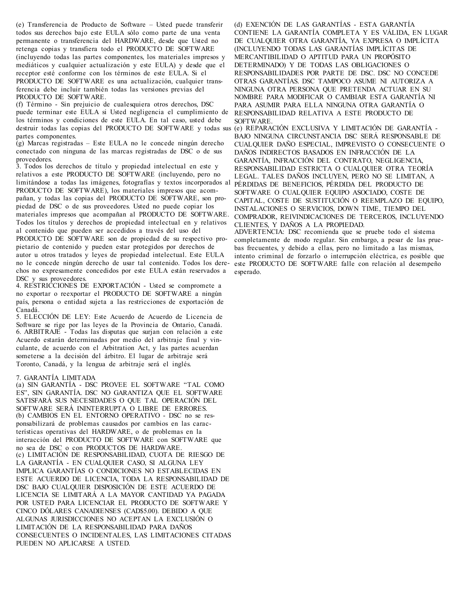(e) Transferencia de Producto de Software – Usted puede transferir todos sus derechos bajo este EULA sólo como parte de una venta permanente o transferencia del HARDWARE, desde que Usted no retenga copias y transfiera todo el PRODUCTO DE SOFTWARE (incluyendo todas las partes componentes, los materiales impresos y mediáticos y cualquier actualización y este EULA) y desde que el receptor esté conforme con los términos de este EULA. Si el PRODUCTO DE SOFTWARE es una actualización, cualquier transferencia debe incluir también todas las versiones previas del PRODUCTO DE SOFTWARE.

(f) Término - Sin prejuicio de cualesquiera otros derechos, DSC puede terminar este EULA si Usted negligencia el cumplimiento de los términos y condiciones de este EULA. En tal caso, usted debe destruir todas las copias del PRODUCTO DE SOFTWARE y todas sus (e) REPARACIÓN EXCLUSIVA Y LIMITACIÓN DE GARANTÍA partes componentes.

(g) Marcas registradas – Este EULA no le concede ningún derecho conectado con ninguna de las marcas registradas de DSC o de sus proveedores.

3. Todos los derechos de título y propiedad intelectual en este y relativos a este PRODUCTO DE SOFTWARE (incluyendo, pero no limitándose a todas las imágenes, fotografías y textos incorporados al PRODUCTO DE SOFTWARE), los materiales impresos que acompañan, y todas las copias del PRODUCTO DE SOFTWARE, son propiedad de DSC o de sus proveedores. Usted no puede copiar los materiales impresos que acompañan al PRODUCTO DE SOFTWARE. Todos los títulos y derechos de propiedad intelectual en y relativos al contenido que pueden ser accedidos a través del uso del PRODUCTO DE SOFTWARE son de propiedad de su respectivo propietario de contenido y pueden estar protegidos por derechos de autor u otros tratados y leyes de propiedad intelectual. Este EULA no le concede ningún derecho de usar tal contenido. Todos los dere-este PRODUCTO DE SOFTWARE falle con relación al desempeño chos no expresamente concedidos por este EULA están reservados a esperado.DSC y sus proveedores.

4. RESTRICCIONES DE EXPORTACIÓN - Usted se compromete a no exportar o reexportar el PRODUCTO DE SOFTWARE a ningún país, persona o entidad sujeta a las restricciones de exportación de Canadá.

5. ELECCIÓN DE LEY: Este Acuerdo de Acuerdo de Licencia de Software se rige por las leyes de la Provincia de Ontario, Canadá. 6. ARBITRAJE - Todas las disputas que surjan con relación a este Acuerdo estarán determinadas por medio del arbitraje final y vinculante, de acuerdo con el Arbitration Act, y las partes acuerdan someterse a la decisión del árbitro. El lugar de arbitraje será Toronto, Canadá, y la lengua de arbitraje será el inglés.

#### 7. GARANTÍA LIMITADA

(a) SIN GARANTÍA - DSC PROVEE EL SOFTWARE "TAL COMO ES", SIN GARANTÍA. DSC NO GARANTIZA QUE EL SOFTWARE SATISFARÁ SUS NECESIDADES O QUE TAL OPERACIÓN DEL SOFTWARE SERÁ ININTERRUPTA O LIBRE DE ERRORES. (b) CAMBIOS EN EL ENTORNO OPERATIVO - DSC no se responsabilizará de problemas causados por cambios en las características operativas del HARDWARE, o de problemas en la interacción del PRODUCTO DE SOFTWARE con SOFTWARE que no sea de DSC o con PRODUCTOS DE HARDWARE. (c) LIMITACIÓN DE RESPONSABILIDAD, CUOTA DE RIESGO DE LA GARANTÍA - EN CUALQUIER CASO, SI ALGUNA LEY IMPLICA GARANTÍAS O CONDICIONES NO ESTABLECIDAS EN ESTE ACUERDO DE LICENCIA, TODA LA RESPONSABILIDAD DE DSC BAJO CUALQUIER DISPOSICIÓN DE ESTE ACUERDO DE LICENCIA SE LIMITARÁ A LA MAYOR CANTIDAD YA PAGADA POR USTED PARA LICENCIAR EL PRODUCTO DE SOFTWARE Y CINCO DÓLARES CANADIENSES (CAD\$5.00). DEBIDO A QUE ALGUNAS JURISDICCIONES NO ACEPTAN LA EXCLUSIÓN O LIMITACIÓN DE LA RESPONSABILIDAD PARA DAÑOS CONSECUENTES O INCIDENTALES, LAS LIMITACIONES CITADAS PUEDEN NO APLICARSE A USTED.

(d) EXENCIÓN DE LAS GARANTÍAS - ESTA GARANTÍA CONTIENE LA GARANTÍA COMPLETA Y ES VÁLIDA, EN LUGAR DE CUALQUIER OTRA GARANTÍA, YA EXPRESA O IMPLÍCITA (INCLUYENDO TODAS LAS GARANTÍAS IMPLÍCITAS DE MERCANTIBILIDAD O APTITUD PARA UN PROPÓSITO DETERMINADO) Y DE TODAS LAS OBLIGACIONES O RESPONSABILIDADES POR PARTE DE DSC. DSC NO CONCEDE OTRAS GARANTÍAS. DSC TAMPOCO ASUME NI AUTORIZA A NINGUNA OTRA PERSONA QUE PRETENDA ACTUAR EN SU NOMBRE PARA MODIFICAR O CAMBIAR ESTA GARANTÍA NI PARA ASUMIR PARA ELLA NINGUNA OTRA GARANTÍA O RESPONSABILIDAD RELATIVA A ESTE PRODUCTO DE SOFTWARE.

BAJO NINGUNA CIRCUNSTANCIA DSC SERÁ RESPONSABLE DE CUALQUIER DAÑO ESPECIAL, IMPREVISTO O CONSECUENTE O DAÑOS INDIRECTOS BASADOS EN INFRACCIÓN DE LA GARANTÍA, INFRACCIÓN DEL CONTRATO, NEGLIGENCIA, RESPONSABILIDAD ESTRICTA O CUALQUIER OTRA TEORÍA LEGAL. TALES DAÑOS INCLUYEN, PERO NO SE LIMITAN, A PÉRDIDAS DE BENEFICIOS, PÉRDIDA DEL PRODUCTO DE SOFTWARE O CUALQUIER EQUIPO ASOCIADO, COSTE DE CAPITAL, COSTE DE SUSTITUCIÓN O REEMPLAZO DE EQUIPO, INSTALACIONES O SERVICIOS, DOWN TIME, TIEMPO DEL COMPRADOR, REIVINDICACIONES DE TERCEROS, INCLUYENDO CLIENTES, Y DAÑOS A LA PROPIEDAD.

ADVERTENCIA: DSC recomienda que se pruebe todo el sistema completamente de modo regular. Sin embargo, a pesar de las pruebas frecuentes, y debido a ellas, pero no limitado a las mismas, intento criminal de forzarlo o interrupción eléctrica, es posible que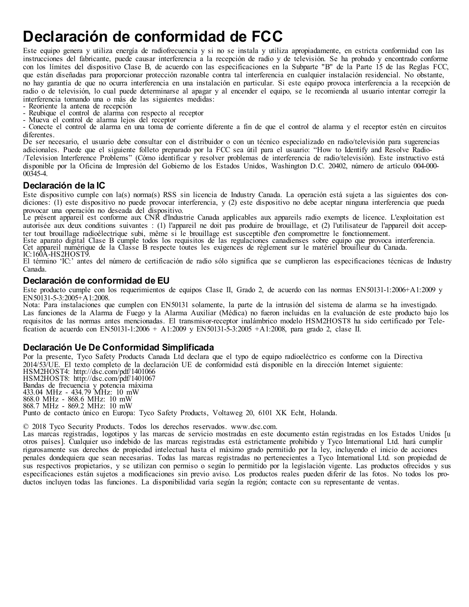## <span id="page-62-0"></span>**Declaración de conformidad de FCC**

Este equipo genera y utiliza energía de radiofrecuencia y si no se instala y utiliza apropiadamente, en estricta conformidad con las instrucciones del fabricante, puede causar interferencia a la recepción de radio y de televisión. Se ha probado y encontrado conforme con los límites del dispositivo Clase B, de acuerdo con las especificaciones en la Subparte "B" de la Parte 15 de las Reglas FCC, que están diseñadas para proporcionar protección razonable contra tal interferencia en cualquier instalación residencial. No obstante no hay garantía de que no ocurra interferencia en una instalación en particular. Si este equipo provoca interferencia a la recepción de radio o de televisión, lo cual puede determinarse al apagar y al encender el equipo, se le recomienda al usuario intentar corregir la interferencia tomando una o más de las siguientes medidas:

- Reoriente la antena de recepción

- Reubique el control de alarma con respecto al receptor

- Mueva el control de alarma lejos del receptor

- Conecte el control de alarma en una toma de corriente diferente a fin de que el control de alarma y el receptor estén en circuitos diferentes.

De ser necesario, el usuario debe consultar con el distribuidor o con un técnico especializado en radio/televisión para sugerencias adicionales. Puede que el siguiente folleto preparado por la FCC sea útil para el usuario: "How to Identify and Resolve Radio- /Television Interference Problems" (Cómo identificar y resolver problemas de interferencia de radio/televisión). Este instructivo está disponible por la Oficina de Impresión del Gobierno de los Estados Unidos, Washington D.C. 20402, número de artículo 004-000- 00345-4.

#### **Declaración de la IC**

Este dispositivo cumple con la(s) norma(s) RSS sin licencia de Industry Canada. La operación está sujeta a las siguientes dos condiciones: (1) este dispositivo no puede provocar interferencia, y (2) este dispositivo no debe aceptar ninguna interferencia que pueda provocar una operación no deseada del dispositivo.

Le présent appareil est conforme aux CNR d'Industrie Canada applicables aux appareils radio exempts de licence. L'exploitation est autorisée aux deux conditions suivantes : (1) l'appareil ne doit pas produire de brouillage, et (2) l'utilisateur de l'appareil doit accepter tout brouillage radioélectrique subi, même si le brouillage est susceptible d'en compromettre le fonctionnement.

Este aparato digital Clase B cumple todos los requisitos de las regulaciones canadienses sobre equipo que provoca interferencia. Cet appareil numérique de la Classe B respecte toutes les exigences de règlement sur le matériel brouilleur du Canada. IC:160A-HS2HOST9.

El término 'IC:' antes del número de certificación de radio sólo significa que se cumplieron las especificaciones técnicas de Industry Canada.

#### **Declaración de conformidad de EU**

Este producto cumple con los requerimientos de equipos Clase II, Grado 2, de acuerdo con las normas EN50131-1:2006+A1:2009 y EN50131-5-3:2005+A1:2008.

Nota: Para instalaciones que cumplen con EN50131 solamente, la parte de la intrusión del sistema de alarma se ha investigado. Las funciones de la Alarma de Fuego y la Alarma Auxiliar (Médica) no fueron incluidas en la evaluación de este producto bajo los requisitos de las normas antes mencionadas. El transmisor-receptor inalámbrico modelo HSM2HOST8 ha sido certificado por Telefication de acuerdo con EN50131-1:2006 + A1:2009 y EN50131-5-3:2005 +A1:2008, para grado 2, clase II.

#### **Declaración Ue De Conformidad Simplificada**

Por la presente, Tyco Safety Products Canada Ltd declara que el typo de equipo radioeléctrico es conforme con la Directiva 2014/53/UE. El texto completo de la declaración UE de conformidad está disponible en la dirección Internet siguiente: HSM2HOST4: http://dsc.com/pdf/1401066 HSM2HOST8: http://dsc.com/pdf/1401067 Bandas de frecuencia y potencia máxima 433.04 MHz - 434.79 MHz: 10 mW 868.0 MHz - 868.6 MHz: 10 mW 868.7 MHz - 869.2 MHz: 10 mW Punto de contacto único en Europa: Tyco Safety Products, Voltaweg 20, 6101 XK Echt, Holanda.

© 2018 Tyco Security Products. Todos los derechos reservados. www.dsc.com.

Las marcas registradas, logotipos y las marcas de servicio mostradas en este documento están registradas en los Estados Unidos [u otros países]. Cualquier uso indebido de las marcas registradas está estrictamente prohibido y Tyco International Ltd. hará cumplir rigurosamente sus derechos de propiedad intelectual hasta el máximo grado permitido por la ley, incluyendo el inicio de acciones penales dondequiera que sean necesarias. Todas las marcas registradas no pertenecientes a Tyco International Ltd. son propiedad de sus respectivos propietarios, y se utilizan con permiso o según lo permitido por la legislación vigente. Las productos ofrecidos y sus especificaciones están sujetos a modificaciones sin previo aviso. Los productos reales pueden diferir de las fotos. No todos los productos incluyen todas las funciones. La disponibilidad varía según la región; contacte con su representante de ventas.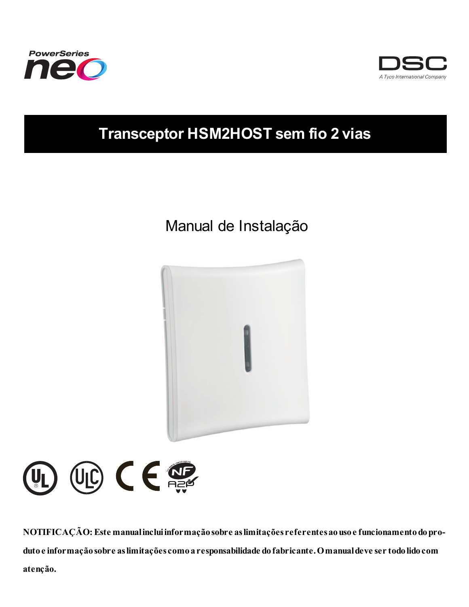



## **Transceptor HSM2HOST sem fio 2 vias**

## Manual de Instalação





**NOTIFICAÇÃO: Este manualincluiinformaçãosobre aslimitações referentesaousoe funcionamentodoprodutoe informaçãosobre aslimitações comoaresponsabilidade dofabricante.Omanualdeve ser todolidocom atenção.**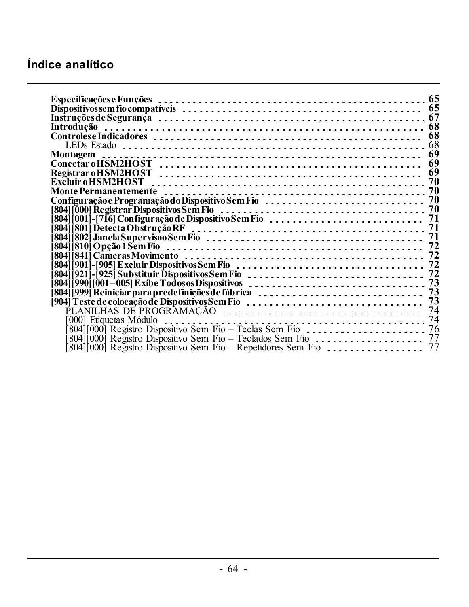## **Índice analítico**

| 68                                                                                                                                                                                                                                |    |  |  |  |  |
|-----------------------------------------------------------------------------------------------------------------------------------------------------------------------------------------------------------------------------------|----|--|--|--|--|
|                                                                                                                                                                                                                                   |    |  |  |  |  |
|                                                                                                                                                                                                                                   |    |  |  |  |  |
|                                                                                                                                                                                                                                   |    |  |  |  |  |
|                                                                                                                                                                                                                                   |    |  |  |  |  |
|                                                                                                                                                                                                                                   |    |  |  |  |  |
| Monte Permanentemente <i>experiments</i> and the content of the content of the content of the content of the content o                                                                                                            |    |  |  |  |  |
|                                                                                                                                                                                                                                   |    |  |  |  |  |
| 804   000  Registrar Dispositivos Sem Fio $\ldots \ldots \ldots \ldots \ldots \ldots \ldots \ldots \ldots \ldots \ldots$<br>  804   000  Registrar Dispositivos Sem Fio $\ldots \ldots \ldots \ldots \ldots \ldots \ldots \ldots$ |    |  |  |  |  |
|                                                                                                                                                                                                                                   |    |  |  |  |  |
|                                                                                                                                                                                                                                   |    |  |  |  |  |
|                                                                                                                                                                                                                                   |    |  |  |  |  |
|                                                                                                                                                                                                                                   |    |  |  |  |  |
|                                                                                                                                                                                                                                   | 72 |  |  |  |  |
|                                                                                                                                                                                                                                   |    |  |  |  |  |
| 804   901  -   905  Excluir Dispositivos Sem Fio<br>  804   921  -   925  Substituir Dispositivos Sem Fio                                                                                                                         |    |  |  |  |  |
|                                                                                                                                                                                                                                   |    |  |  |  |  |
|                                                                                                                                                                                                                                   |    |  |  |  |  |
| [904] Teste de colocação de Dispositivos Sem Fio $\dots\dots\dots\dots\dots\dots\dots\dots\dots\dots\dots$                                                                                                                        |    |  |  |  |  |
|                                                                                                                                                                                                                                   |    |  |  |  |  |
|                                                                                                                                                                                                                                   |    |  |  |  |  |
|                                                                                                                                                                                                                                   |    |  |  |  |  |
| 804 [000] Registro Dispositivo Sem Fio - Teclados Sem Fio                                                                                                                                                                         |    |  |  |  |  |
|                                                                                                                                                                                                                                   |    |  |  |  |  |
|                                                                                                                                                                                                                                   |    |  |  |  |  |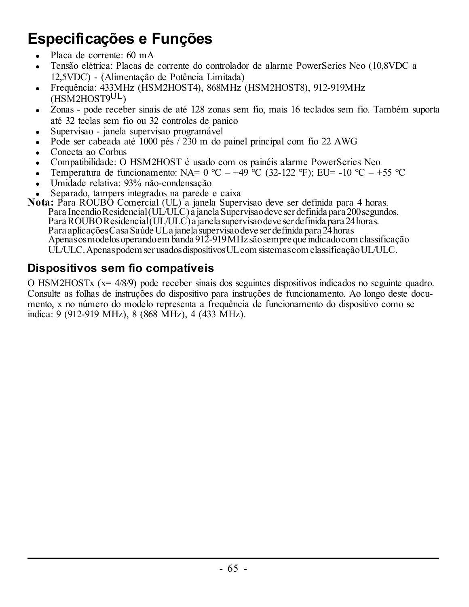## <span id="page-65-0"></span>**Especificações e Funções**

- <sup>l</sup> Placa de corrente: 60 mA
- <sup>l</sup> Tensão elétrica: Placas de corrente do controlador de alarme PowerSeries Neo (10,8VDC a 12,5VDC) - (Alimentação de Potência Limitada)
- <sup>l</sup> Frequência: 433MHz (HSM2HOST4), 868MHz (HSM2HOST8), 912-919MHz (HSM2HOST9UL)
- Zonas pode receber sinais de até 128 zonas sem fio, mais 16 teclados sem fio. Também suporta até 32 teclas sem fio ou 32 controles de panico
- Supervisao janela supervisao programável
- <sup>l</sup> Pode ser cabeada até 1000 pés / 230 m do painel principal com fio 22 AWG
- <sup>l</sup> Conecta ao Corbus
- <sup>l</sup> Compatibilidade: O HSM2HOST é usado com os painéis alarme PowerSeries Neo
- Temperatura de funcionamento: NA=  $0^{\circ}C 49^{\circ}C$  (32-122 °F); EU= -10 °C +55 °C
- <sup>l</sup> Umidade relativa: 93% não-condensação
- <sup>l</sup> Separado, tampers integrados na parede e caixa

**Nota:** Para ROUBO Comercial (UL) a janela Supervisao deve ser definida para 4 horas. Para Incendio Residencial (UL/ULC) a janela Supervisao deve ser definida para 200 segundos. ParaROUBOResidencial(UL/ULC) a janela supervisaodeve ser definida para 24horas. Para aplicações Casa Saúde UL a janela supervisao deve ser definida para 24 horas<br>Apenas os modelos operando em banda 912-919 MHz são sempre que indicado com classificação UL/ULC.Apenaspodemser usadosdispositivosULcomsistemascomclassificaçãoUL/ULC.

### <span id="page-65-1"></span>**Dispositivos sem fio compatíveis**

O HSM2HOSTx (x= 4/8/9) pode receber sinais dos seguintes dispositivos indicados no seguinte quadro. Consulte as folhas de instruções do dispositivo para instruções de funcionamento. Ao longo deste documento, x no número do modelo representa a frequência de funcionamento do dispositivo como se indica: 9 (912-919 MHz), 8 (868 MHz), 4 (433 MHz).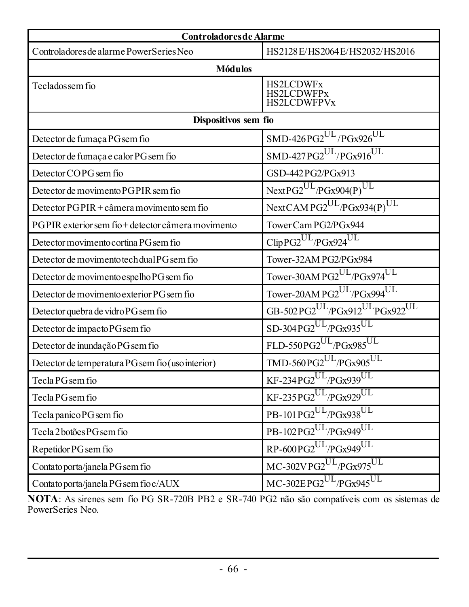| <b>Controladores de Alarme</b>                    |                                                                    |  |  |  |
|---------------------------------------------------|--------------------------------------------------------------------|--|--|--|
| Controladores de alarme PowerSeries Neo           | HS2128E/HS2064E/HS2032/HS2016                                      |  |  |  |
| <b>Módulos</b>                                    |                                                                    |  |  |  |
| Teclados sem fio                                  | <b>HS2LCDWFx</b><br><b>HS2LCDWFPx</b><br><b>HS2LCDWFPVx</b>        |  |  |  |
| Dispositivos sem fio                              |                                                                    |  |  |  |
| Detector de fumaça PG sem fio                     | $SMD-426PG2^{UL}/PGx926^{UL}$                                      |  |  |  |
| Detector de fumaça e calor PG sem fio             | $SMD-427PG2^{UL}/PGx916^{UL}$                                      |  |  |  |
| Detector COPG sem fio                             | GSD-442PG2/PGx913                                                  |  |  |  |
| Detector de movimento PGPIR sem fio               | $NextPG2^{UL}/PGx904(P)^{UL}$                                      |  |  |  |
| Detector $PGPIR + càmera$ movimento sem fio       | NextCAMPG2UL/PGx934(P)UL                                           |  |  |  |
| PGPIR exterior sem fio+detector câmera movimento  | Tower Cam PG2/PGx944                                               |  |  |  |
| Detector movimento cortina PG sem fio             | $ClipPG2UL/PGx924UL$                                               |  |  |  |
| Detector de movimento tech dual PG sem fio        | Tower-32AM PG2/PGx984                                              |  |  |  |
| Detector de movimento espelho PG sem fio          | Tower-30AM PG2 <sup>UL</sup> /PGx974 <sup>UL</sup>                 |  |  |  |
| Detector de movimento exterior PG sem fio         | Tower-20AM PG2UL/PGx994UL                                          |  |  |  |
| Detector quebra de vidro PG sem fio               | GB-502PG2 <sup>UL</sup> /PGx912 <sup>UL</sup> PGx922 <sup>UL</sup> |  |  |  |
| Detector de impacto PG sem fio                    | SD-304PG2UL/PGx935UL                                               |  |  |  |
| Detector de inundação PG sem fio                  | FLD-550PG2UL/PGx985UL                                              |  |  |  |
| Detector de temperatura PG sem fio (uso interior) | TMD-560PG2UL/PGx905UL                                              |  |  |  |
| Tecla PG sem fio                                  | $KF$ -234PG2 $^{UL}$ /PGx939 $^{UL}$                               |  |  |  |
| Tecla PG sem fio                                  | $KF-235PG2^{UL}/PGx929^{UL}$                                       |  |  |  |
| Tecla panico PG sem fio                           | PB-101 $\overline{PG2^{UL}/PGx938^{UL}}$                           |  |  |  |
| Tecla 2 botões PG sem fio                         | PB-102PG2UL/PGx949UL                                               |  |  |  |
| Repetidor PG sem fio                              | RP-600PG2UL/PGx949UL                                               |  |  |  |
| Contato porta/janela PG sem fio                   | $MC-302VPG2^{UL}/PGx975^{UL}$                                      |  |  |  |
| Contato porta/janela PG sem fio c/AUX             | $MC-302EPG2$ <sup>UL</sup> /PGx945 <sup>UL</sup>                   |  |  |  |

**NOTA**: As sirenes sem fio PG SR-720B PB2 e SR-740 PG2 não são compatíveis com os sistemas de PowerSeries Neo.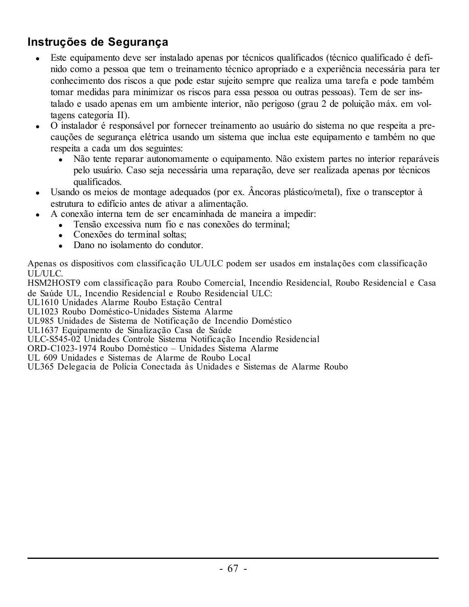### <span id="page-67-0"></span>**Instruções de Segurança**

- <sup>l</sup> Este equipamento deve ser instalado apenas por técnicos qualificados (técnico qualificado é definido como a pessoa que tem o treinamento técnico apropriado e a experiência necessária para ter conhecimento dos riscos a que pode estar sujeito sempre que realiza uma tarefa e pode também tomar medidas para minimizar os riscos para essa pessoa ou outras pessoas). Tem de ser instalado e usado apenas em um ambiente interior, não perigoso (grau 2 de poluição máx. em voltagens categoria II).
- <sup>l</sup> O instalador é responsável por fornecer treinamento ao usuário do sistema no que respeita a precauções de segurança elétrica usando um sistema que inclua este equipamento e também no que respeita a cada um dos seguintes:
	- Não tente reparar autonomamente o equipamento. Não existem partes no interior reparáveis pelo usuário. Caso seja necessária uma reparação, deve ser realizada apenas por técnicos qualificados.
- $\bullet$  Usando os meios de montage adequados (por ex. Âncoras plástico/metal), fixe o transceptor à estrutura to edifício antes de ativar a alimentação.
- <sup>l</sup> A conexão interna tem de ser encaminhada de maneira a impedir:
	- Tensão excessiva num fio e nas conexões do terminal:
		- Conexões do terminal soltas;
		- **Dano no isolamento do condutor**

Apenas os dispositivos com classificação UL/ULC podem ser usados em instalações com classificação UL/ULC.

HSM2HOST9 com classificação para Roubo Comercial, Incendio Residencial, Roubo Residencial e Casa de Saúde UL, Incendio Residencial e Roubo Residencial ULC:

UL1610 Unidades Alarme Roubo Estação Central

UL1023 Roubo Doméstico-Unidades Sistema Alarme

UL985 Unidades de Sistema de Notificação de Incendio Doméstico

UL1637 Equipamento de Sinalização Casa de Saúde

ULC-S545-02 Unidades Controle Sistema Notificação Incendio Residencial

ORD-C1023-1974 Roubo Doméstico – Unidades Sistema Alarme

UL 609 Unidades e Sistemas de Alarme de Roubo Local

UL365 Delegacia de Polícia Conectada às Unidades e Sistemas de Alarme Roubo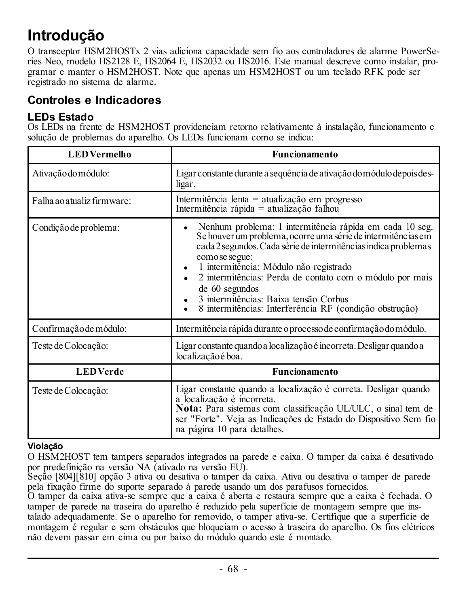## <span id="page-68-0"></span>**Introdução**

O transceptor HSM2HOSTx 2 vias adiciona capacidade sem fio aos controladores de alarme PowerSeries Neo, modelo HS2128 E, HS2064 E, HS2032 ou HS2016. Este manual descreve como instalar, programar e manter o HSM2HOST. Note que apenas um HSM2HOST ou um teclado RFK pode ser registrado no sistema de alarme.

### <span id="page-68-2"></span><span id="page-68-1"></span>**Controles e Indicadores**

### **LEDs Estado**

Os LEDs na frente de HSM2HOST providenciam retorno relativamente à instalação, funcionamento e solução de problemas do aparelho. Os LEDs funcionam como se indica:

| <b>LEDVermelho</b>         | <b>Funcionamento</b>                                                                                                                                                                                                                                                                                                                                                                                                                                      |
|----------------------------|-----------------------------------------------------------------------------------------------------------------------------------------------------------------------------------------------------------------------------------------------------------------------------------------------------------------------------------------------------------------------------------------------------------------------------------------------------------|
| Ativação do módulo:        | Ligar constante durante a sequência de ativação do módulo depois des-<br>ligar.                                                                                                                                                                                                                                                                                                                                                                           |
| Falha ao atualiz firmware: | Intermitência lenta = atualização em progresso<br>Intermitência rápida = atualização falhou                                                                                                                                                                                                                                                                                                                                                               |
| Condição de problema:      | Nenhum problema: 1 intermitência rápida em cada 10 seg.<br>$\bullet$<br>Se houver um problema, ocorre uma série de intermitências em<br>cada 2 segundos. Cada série de intermitências indica problemas<br>como se segue:<br>1 intermitência: Módulo não registrado<br>٠<br>2 intermitências: Perda de contato com o módulo por mais<br>de 60 segundos<br>3 intermitências: Baixa tensão Corbus<br>8 intermitências: Interferência RF (condição obstrução) |
| Confirmação de módulo:     | Intermitência rápida durante o processo de confirmação do módulo.                                                                                                                                                                                                                                                                                                                                                                                         |
| Teste de Colocação:        | Ligar constante quando a localização é incorreta. Desligar quando a<br>localização é boa.                                                                                                                                                                                                                                                                                                                                                                 |
| <b>LEDVerde</b>            | <b>Funcionamento</b>                                                                                                                                                                                                                                                                                                                                                                                                                                      |
| Teste de Colocação:        | Ligar constante quando a localização é correta. Desligar quando<br>a localização é incorreta.<br>Nota: Para sistemas com classificação UL/ULC, o sinal tem de<br>ser "Forte". Veja as Indicações de Estado do Dispositivo Sem fio<br>na página 10 para detalhes.                                                                                                                                                                                          |

### **Violação**

O HSM2HOST tem tampers separados integrados na parede e caixa. O tamper da caixa é desativado por predefinição na versão NA (ativado na versão EU).

Seção [804][810] opção 3 ativa ou desativa o tamper da caixa. Ativa ou desativa o tamper de parede pela fixação firme do suporte separado à parede usando um dos parafusos fornecidos.

O tamper da caixa ativa-se sempre que a caixa é aberta e restaura sempre que a caixa é fechada. O tamper de parede na traseira do aparelho é reduzido pela superfície de montagem sempre que instalado adequadamente. Se o aparelho for removido, o tamper ativa-se. Certifique que a superfície de montagem é regular e sem obstáculos que bloqueiam o acesso à traseira do aparelho. Os fios elétricos não devem passar em cima ou por baixo do módulo quando este é montado.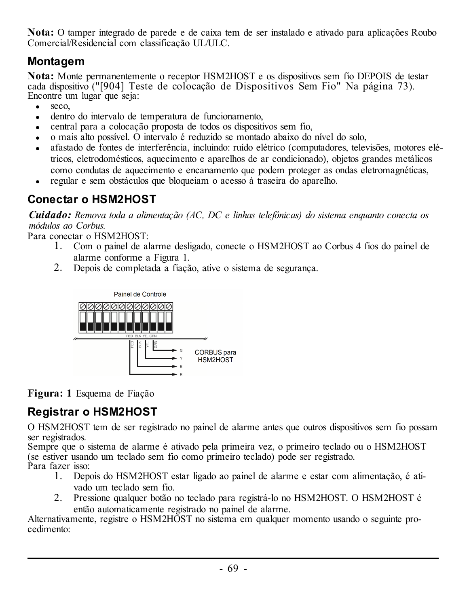**Nota:** O tamper integrado de parede e de caixa tem de ser instalado e ativado para aplicações Roubo Comercial/Residencial com classificação UL/ULC.

### <span id="page-69-0"></span>**Montagem**

**Nota:** Monte permanentemente o receptor HSM2HOST e os dispositivos sem fio DEPOIS de testar cada dispositivo ("[904] Teste de colocação de [Dispositivos](#page-73-2) Sem Fio" Na página 73). Encontre um lugar que seja:

- $\bullet$  seco.
- $\bullet$  dentro do intervalo de temperatura de funcionamento.
- <sup>l</sup> central para a colocação proposta de todos os dispositivos sem fio,
- <sup>l</sup> o mais alto possível. O intervalo é reduzido se montado abaixo do nível do solo,
- <sup>l</sup> afastado de fontes de interferência, incluindo: ruído elétrico (computadores, televisões, motores elétricos, eletrodomésticos, aquecimento e aparelhos de ar condicionado), objetos grandes metálicos como condutas de aquecimento e encanamento que podem proteger as ondas eletromagnéticas,
- <sup>l</sup> regular e sem obstáculos que bloqueiam o acesso à traseira do aparelho.

### <span id="page-69-1"></span>**Conectar o HSM2HOST**

*Cuidado: Remova toda a alimentação (AC, DC e linhas telefônicas) do sistema enquanto conecta os módulos ao Corbus.*

Para conectar o HSM2HOST:

- 1. Com o painel de alarme desligado, conecte o HSM2HOST ao Corbus 4 fios do painel de alarme conforme a Figura 1.
- 2. Depois de completada a fiação, ative o sistema de segurança.



**Figura: 1** Esquema de Fiação

## <span id="page-69-2"></span>**Registrar o HSM2HOST**

O HSM2HOST tem de ser registrado no painel de alarme antes que outros dispositivos sem fio possam ser registrados.

Sempre que o sistema de alarme é ativado pela primeira vez, o primeiro teclado ou o HSM2HOST (se estiver usando um teclado sem fio como primeiro teclado) pode ser registrado. Para fazer isso:

- 1. Depois do HSM2HOST estar ligado ao painel de alarme e estar com alimentação, é ativado um teclado sem fio.
- 2. Pressione qualquer botão no teclado para registrá-lo no HSM2HOST. O HSM2HOST é então automaticamente registrado no painel de alarme.

Alternativamente, registre o HSM2HOST no sistema em qualquer momento usando o seguinte procedimento: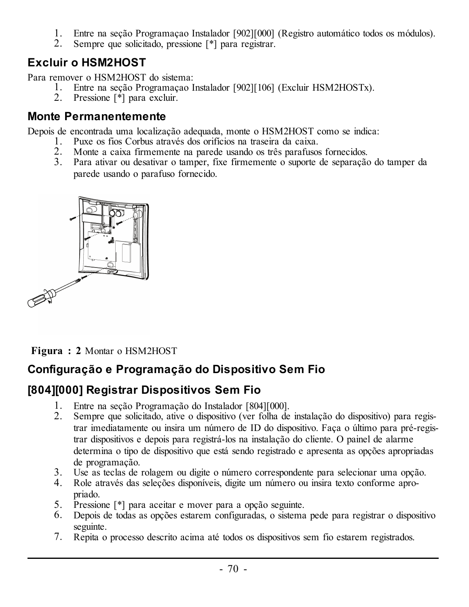- 1. Entre na seção Programaçao Instalador [902][000] (Registro automático todos os módulos).
- 2. Sempre que solicitado, pressione [\*] para registrar.

### <span id="page-70-0"></span>**Excluir o HSM2HOST**

Para remover o HSM2HOST do sistema:

- 1. Entre na seção Programaçao Instalador [902][106] (Excluir HSM2HOSTx).
- 2. Pressione [\*] para excluir.

### <span id="page-70-1"></span>**Monte Permanentemente**

Depois de encontrada uma localização adequada, monte o HSM2HOST como se indica:

- 1. Puxe os fios Corbus através dos orifícios na traseira da caixa.
- 2. Monte a caixa firmemente na parede usando os três parafusos fornecidos.
- 3. Para ativar ou desativar o tamper, fixe firmemente o suporte de separação do tamper da parede usando o parafuso fornecido.



**Figura : 2** Montar o HSM2HOST

### <span id="page-70-2"></span>**Configuração e Programação do Dispositivo Sem Fio**

### <span id="page-70-3"></span>**[804][000] Registrar Dispositivos Sem Fio**

- 1. Entre na seção Programação do Instalador [804][000].
- 2. Sempre que solicitado, ative o dispositivo (ver folha de instalação do dispositivo) para registrar imediatamente ou insira um número de ID do dispositivo. Faça o último para pré-registrar dispositivos e depois para registrá-los na instalação do cliente. O painel de alarme determina o tipo de dispositivo que está sendo registrado e apresenta as opções apropriadas de programação.
- 3. Use as teclas de rolagem ou digite o número correspondente para selecionar uma opção.
- 4. Role através das seleções disponíveis, digite um número ou insira texto conforme apropriado.
- 5. Pressione [\*] para aceitar e mover para a opção seguinte.
- 6. Depois de todas as opções estarem configuradas, o sistema pede para registrar o dispositivo seguinte.
- 7. Repita o processo descrito acima até todos os dispositivos sem fio estarem registrados.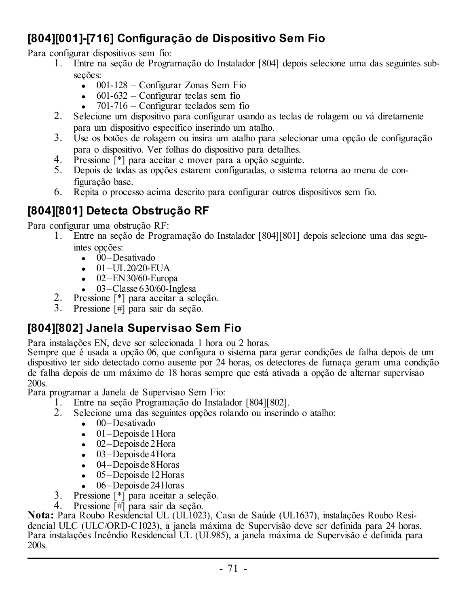### <span id="page-71-0"></span>**[804][001]-[716] Configuração de Dispositivo Sem Fio**

Para configurar dispositivos sem fio:

- 1. Entre na seção de Programação do Instalador [804] depois selecione uma das seguintes subseções:
	- $\bullet$  001-128 Configurar Zonas Sem Fio
	- $\bullet$  601-632 Configurar teclas sem fio
	- $\bullet$  701-716 Configurar teclados sem fio
- 2. Selecione um dispositivo para configurar usando as teclas de rolagem ou vá diretamente para um dispositivo específico inserindo um atalho.
- 3. Use os botões de rolagem ou insira um atalho para selecionar uma opção de configuração para o dispositivo. Ver folhas do dispositivo para detalhes.
- 4. Pressione [\*] para aceitar e mover para a opção seguinte.
- 5. Depois de todas as opções estarem configuradas, o sistema retorna ao menu de configuração base.
- 6. Repita o processo acima descrito para configurar outros dispositivos sem fio.

### <span id="page-71-1"></span>**[804][801] Detecta Obstrução RF**

Para configurar uma obstrução RF:

- 1. Entre na seção de Programação do Instalador [804][801] depois selecione uma das seguintes opções:
	- $\cdot$  00–Desativado
	- $-01 UL20/20 EUA$
	- $-02$ –EN30/60-Europa
	- $\cdot$  03–Classe 630/60-Inglesa
	- Pressione [\*] para aceitar a seleção.
- 3. Pressione [#] para sair da seção.

### <span id="page-71-2"></span>**[804][802] Janela Supervisao Sem Fio**

Para instalações EN, deve ser selecionada 1 hora ou 2 horas.

Sempre que é usada a opção 06, que configura o sistema para gerar condições de falha depois de um dispositivo ter sido detectado como ausente por 24 horas, os detectores de fumaça geram uma condição de falha depois de um máximo de 18 horas sempre que está ativada a opção de alternar supervisao 200s.

Para programar a Janela de Supervisao Sem Fio:

- 1. Entre na seção Programação do Instalador [804][802].
- 2. Selecione uma das seguintes opções rolando ou inserindo o atalho:
	- $\bullet$  00–Desativado
	- $\bullet$  01–Depoisde 1 Hora
	- $\bullet$  02–Depoisde 2Hora
	- $\bullet$  03–Depoisde 4 Hora
	- $-04$ –Depoisde 8 Horas
	- $\bullet$  05–Depoisde 12 Horas
	- $\bullet$  06–Depoisde 24 Horas
- 3. Pressione [\*] para aceitar a seleção.
- 4. Pressione [#] para sair da seção.

**Nota:** Para Roubo Residencial UL (UL1023), Casa de Saúde (UL1637), instalações Roubo Residencial ULC (ULC/ORD-C1023), a janela máxima de Supervisão deve ser definida para 24 horas. Para instalações Incêndio Residencial UL (UL985), a janela máxima de Supervisão é definida para 200s.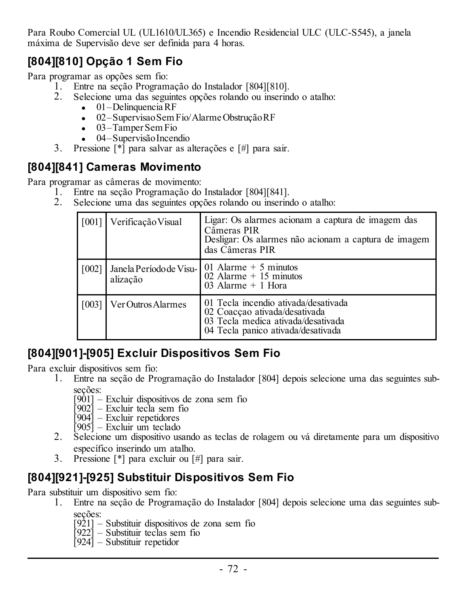Para Roubo Comercial UL (UL1610/UL365) e Incendio Residencial ULC (ULC-S545), a janela máxima de Supervisão deve ser definida para 4 horas.

# **[804][810] Opção 1 Sem Fio**

Para programar as opções sem fio:

- 1. Entre na seção Programação do Instalador [804][810].
- 2. Selecione uma das seguintes opções rolando ou inserindo o atalho:
	- $\bullet$  01–Delinquencia RF
	- · 02–Supervisao Sem Fio/Alarme Obstrução RF
	- $\bullet$  03–Tamper Sem Fio
	- 04–Supervisão Incendio
- 3. Pressione [\*] para salvar as alterações e [#] para sair.

## **[804][841] Cameras Movimento**

Para programar as câmeras de movimento:

- 1. Entre na seção Programação do Instalador [804][841].
- 2. Selecione uma das seguintes opções rolando ou inserindo o atalho:

|       | [001] Verificação Visual | Ligar: Os alarmes acionam a captura de imagem das<br>Câmeras PIR<br>Desligar: Os alarmes não acionam a captura de imagem<br>das Câmeras PIR       |
|-------|--------------------------|---------------------------------------------------------------------------------------------------------------------------------------------------|
| [002] | alização                 | Janela Período de Visu- 01 Alarme + 5 minutos<br>02 Alarme + $15$ minutos<br>03 Alarme $+1$ Hora                                                  |
|       | [003] Ver Outros Alarmes | 01 Tecla incendio ativada/desativada<br>02 Coaccao ativada/desativada<br>03 Tecla medica ativada/desativada<br>04 Tecla panico ativada/desativada |

## **[804][901]-[905] Excluir Dispositivos Sem Fio**

Para excluir dispositivos sem fio:

- 1. Entre na seção de Programação do Instalador [804] depois selecione uma das seguintes subseções:
	- [901] Excluir dispositivos de zona sem fio
	-
	- [902] Excluir tecla sem fio [904] Excluir repetidores
	- [905] Excluir um teclado
- 2. Selecione um dispositivo usando as teclas de rolagem ou vá diretamente para um dispositivo específico inserindo um atalho.
- 3. Pressione [\*] para excluir ou [#] para sair.

## **[804][921]-[925] Substituir Dispositivos Sem Fio**

Para substituir um dispositivo sem fio:

- 1. Entre na seção de Programação do Instalador [804] depois selecione uma das seguintes subseções:
	- [921] Substituir dispositivos de zona sem fio [922] Substituir teclas sem fio
	-
	- [924] Substituir repetidor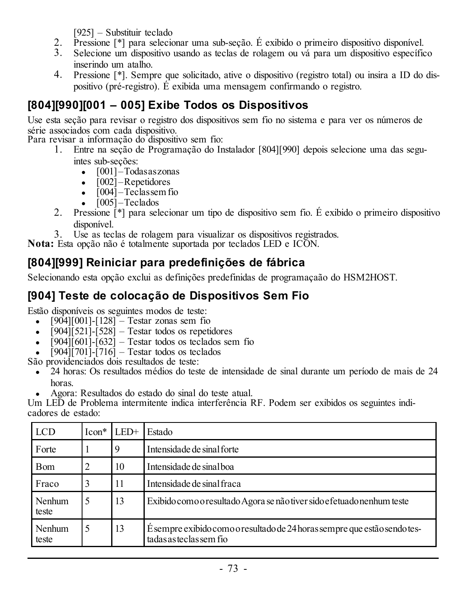[925] – Substituir teclado

- 2. Pressione [\*] para selecionar uma sub-seção. É exibido o primeiro dispositivo disponível.
- 3. Selecione um dispositivo usando as teclas de rolagem ou vá para um dispositivo específico inserindo um atalho.
- 4. Pressione [\*]. Sempre que solicitado, ative o dispositivo (registro total) ou insira a ID do dispositivo (pré-registro). É exibida uma mensagem confirmando o registro.

# **[804][990][001 – 005] Exibe Todos os Dispositivos**

Use esta seção para revisar o registro dos dispositivos sem fio no sistema e para ver os números de série associados com cada dispositivo.

Para revisar a informação do dispositivo sem fio:

- 1. Entre na seção de Programação do Instalador [804][990] depois selecione uma das seguintes sub-seções:
	- $\bullet$   $[001]$  Todas as zonas
	- $\cdot$  [002] Repetidores
	- $\bullet$   $[004]$  Teclassem fio
	- $\cdot$  [005] Teclados
- 2. Pressione [\*] para selecionar um tipo de dispositivo sem fio. É exibido o primeiro dispositivo disponível.
- 3. Use as teclas de rolagem para visualizar os dispositivos registrados.

**Nota:** Esta opção não é totalmente suportada por teclados LED e ICON.

# **[804][999] Reiniciar para predefinições de fábrica**

Selecionando esta opção exclui as definições predefinidas de programaçaão do HSM2HOST.

# **[904] Teste de colocação de Dispositivos Sem Fio**

Estão disponíveis os seguintes modos de teste:

- $[904] [001] [128] -$  Testar zonas sem fio
- $\cdot$  [904][521]-[528] Testar todos os repetidores
- $\cdot$  [904][601]-[632] Testar todos os teclados sem fio
- $\bullet$  [904][701]-[716] Testar todos os teclados

São providenciados dois resultados de teste:

- 24 horas: Os resultados médios do teste de intensidade de sinal durante um período de mais de 24
- horas. <sup>l</sup> Agora: Resultados do estado do sinal do teste atual.

Um LED de Problema intermitente indica interferência RF. Podem ser exibidos os seguintes indicadores de estado:

| <b>LCD</b>      | $Icon*$ | $LED+$      | Estado                                                                                               |  |
|-----------------|---------|-------------|------------------------------------------------------------------------------------------------------|--|
| Forte           |         | $\mathbf Q$ | Intensidade de sinal forte                                                                           |  |
| Bom             | 2       | 10          | Intensidade de sinal boa                                                                             |  |
| Fraco           |         | 11          | Intensidade de sinal fraca                                                                           |  |
| Nenhum<br>teste | 5       | 13          | Exibido como o resultado Agora se não tiver sido e fetuado nenhum teste                              |  |
| Nenhum<br>teste | 5       | 13          | É sempre exibido como o resultado de 24 horas sempre que estão sendo tes-<br>tadas as teclas sem fio |  |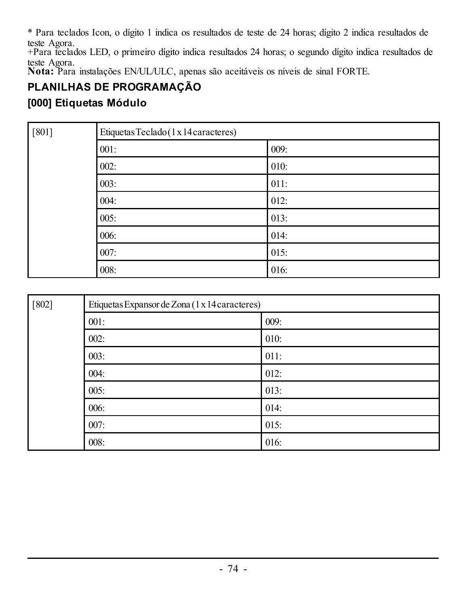\* Para teclados Icon, o dígito 1 indica os resultados de teste de 24 horas; dígito 2 indica resultados de teste Agora.

+Para teclados LED, o primeiro dígito indica resultados 24 horas; o segundo dígito indica resultados de teste Agora.

**Nota:** Para instalações EN/UL/ULC, apenas são aceitáveis os níveis de sinal FORTE.

# **PLANILHAS DE PROGRAMAÇÃO**

### **[000] Etiquetas Módulo**

| $[801]$ | Etiquetas Teclado (1 x 14 caracteres) |      |  |  |  |  |  |
|---------|---------------------------------------|------|--|--|--|--|--|
|         | 001:                                  | 009: |  |  |  |  |  |
|         | 002:                                  | 010: |  |  |  |  |  |
|         | 003:                                  | 011: |  |  |  |  |  |
|         | 004:                                  | 012: |  |  |  |  |  |
|         | 005:                                  | 013: |  |  |  |  |  |
|         | 006:                                  | 014: |  |  |  |  |  |
|         | 007:                                  | 015: |  |  |  |  |  |
|         | 008:                                  | 016: |  |  |  |  |  |

| $[802]$ | Etiquetas Expansor de Zona (1 x 14 caracteres) |      |  |  |  |  |  |
|---------|------------------------------------------------|------|--|--|--|--|--|
|         | 001:                                           | 009: |  |  |  |  |  |
|         | 002:                                           | 010: |  |  |  |  |  |
|         | 003:                                           | 011: |  |  |  |  |  |
|         | 004:                                           | 012: |  |  |  |  |  |
|         | 005:                                           | 013: |  |  |  |  |  |
|         | 006:                                           | 014: |  |  |  |  |  |
|         | 007:                                           | 015: |  |  |  |  |  |
|         | 008:                                           | 016: |  |  |  |  |  |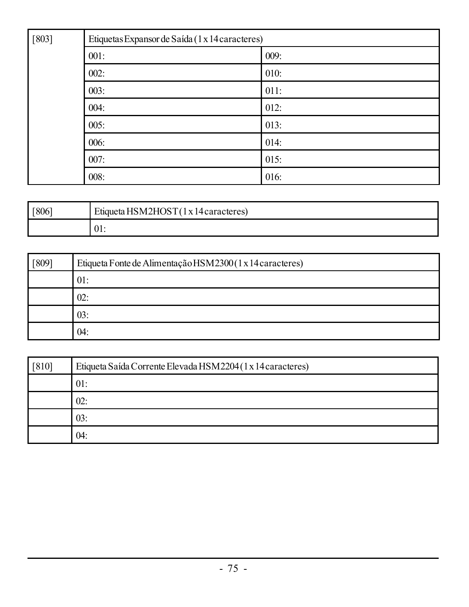| $[803]$ | Etiquetas Expansor de Saída (1 x 14 caracteres) |      |  |  |  |  |
|---------|-------------------------------------------------|------|--|--|--|--|
|         | 001:                                            | 009: |  |  |  |  |
|         | 002:                                            | 010: |  |  |  |  |
|         | 003:                                            | 011: |  |  |  |  |
|         | 004:                                            | 012: |  |  |  |  |
|         | 005:                                            | 013: |  |  |  |  |
|         | 006:                                            | 014: |  |  |  |  |
|         | 007:                                            | 015: |  |  |  |  |
|         | 008:                                            | 016: |  |  |  |  |

| [806] | Etiqueta HSM2HOST(1x14caracteres) |  |  |
|-------|-----------------------------------|--|--|
|       | 01:                               |  |  |

| 809 | Etiqueta Fonte de Alimentação HSM2300(1 x 14 caracteres) |  |  |
|-----|----------------------------------------------------------|--|--|
|     | 01:                                                      |  |  |
|     | 02:                                                      |  |  |
|     | 03:                                                      |  |  |
|     | 04:                                                      |  |  |

| $[810]$ | Etiqueta Saída Corrente Elevada HSM2204 (1 x 14 caracteres) |  |  |
|---------|-------------------------------------------------------------|--|--|
|         | 01:                                                         |  |  |
|         | 02:                                                         |  |  |
|         | 03:                                                         |  |  |
|         | 04:                                                         |  |  |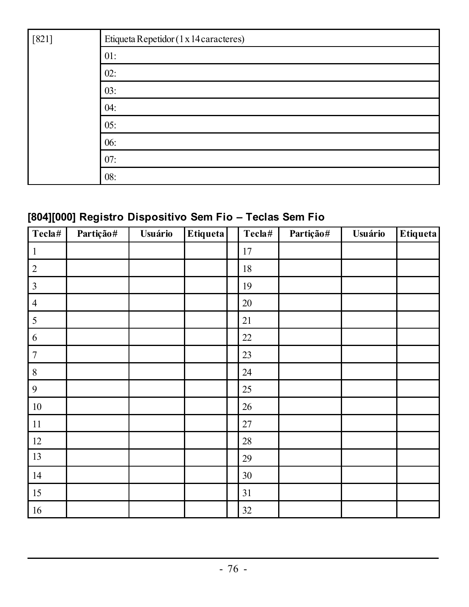| $[821]$ | Etiqueta Repetidor (1 x 14 caracteres) |
|---------|----------------------------------------|
|         | 01:                                    |
|         | 02:                                    |
|         | 03:                                    |
|         | 04:                                    |
|         | 05:                                    |
|         | 06:                                    |
|         | 07:                                    |
|         | 08:                                    |

# **[804][000] Registro Dispositivo Sem Fio – Teclas Sem Fio**

| Tecla#         | Partição# | Usuário | <b>Etiqueta</b> | Tecla# | Partição# | Usuário | Etiqueta |
|----------------|-----------|---------|-----------------|--------|-----------|---------|----------|
| 1              |           |         |                 | 17     |           |         |          |
| $\sqrt{2}$     |           |         |                 | 18     |           |         |          |
| $\mathfrak{Z}$ |           |         |                 | 19     |           |         |          |
| $\overline{4}$ |           |         |                 | 20     |           |         |          |
| 5              |           |         |                 | 21     |           |         |          |
| 6              |           |         |                 | 22     |           |         |          |
| $\overline{7}$ |           |         |                 | 23     |           |         |          |
| $\,$ 8 $\,$    |           |         |                 | 24     |           |         |          |
| 9              |           |         |                 | 25     |           |         |          |
| 10             |           |         |                 | 26     |           |         |          |
| $11\,$         |           |         |                 | 27     |           |         |          |
| 12             |           |         |                 | $28\,$ |           |         |          |
| 13             |           |         |                 | 29     |           |         |          |
| 14             |           |         |                 | 30     |           |         |          |
| 15             |           |         |                 | 31     |           |         |          |
| 16             |           |         |                 | 32     |           |         |          |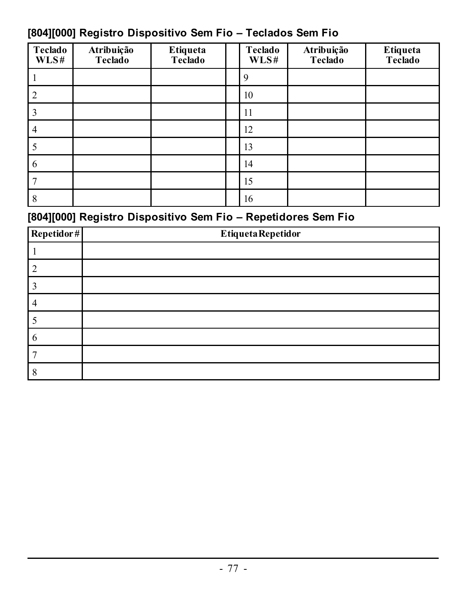# **[804][000] Registro Dispositivo Sem Fio – Teclados Sem Fio**

| Teclado<br>WLS# | Atribuição<br>Teclado | Etiqueta<br>Teclado | Teclado<br>WLS# | Atribuição<br>Teclado | Etiqueta<br>Teclado |
|-----------------|-----------------------|---------------------|-----------------|-----------------------|---------------------|
|                 |                       |                     | Q               |                       |                     |
|                 |                       |                     | 10              |                       |                     |
|                 |                       |                     | 11              |                       |                     |
| 4               |                       |                     | 12              |                       |                     |
|                 |                       |                     | 13              |                       |                     |
| 6               |                       |                     | 14              |                       |                     |
|                 |                       |                     | 15              |                       |                     |
| 8               |                       |                     | 16              |                       |                     |

# **[804][000] Registro Dispositivo Sem Fio – Repetidores Sem Fio**

| $\textbf{Repetidor}\,\text{\#}$ | <b>EtiquetaRepetidor</b> |
|---------------------------------|--------------------------|
|                                 |                          |
|                                 |                          |
|                                 |                          |
|                                 |                          |
|                                 |                          |
| n                               |                          |
|                                 |                          |
|                                 |                          |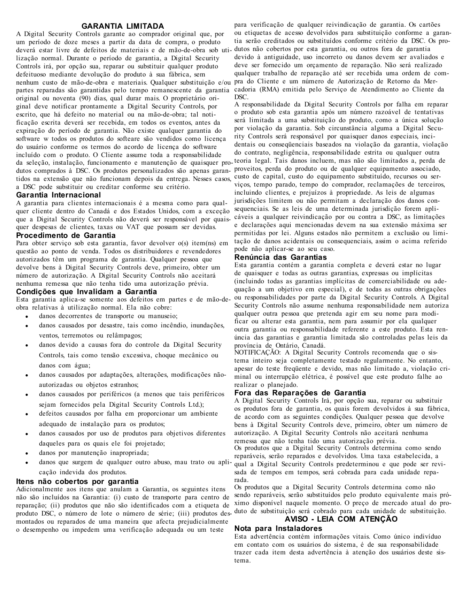### **GARANTIA LIMITADA**

A Digital Security Controls garante ao comprador original que, por um período de doze meses a partir da data de compra, o produto deverá estar livre de defeitos de materiais e de mão-de-obra sob utilização normal. Durante o período de garantia, a Digital Security Controls irá, por opção sua, reparar ou substituir qualquer produto defeituoso mediante devolução do produto à sua fábrica, sem nenhum custo de mão-de-obra e materiais. Qualquer substituição e/ou pra do Cliente e um número de Autorização de Retorno da Merpartes reparadas são garantidas pelo tempo remanescente da garantia original ou noventa (90) dias, qual durar mais. O proprietário original deve notificar prontamente a Digital Security Controls, por escrito, que há defeito no material ou na mão-de-obra; tal notificação escrita deverá ser recebida, em todos os eventos, antes da expiração do período de garantia. Não existe qualquer garantia do software w todos os produtos do softeare são vendidos como licença do usuário conforme os termos do acordo de licença do software incluído com o produto. O Cliente assume toda a responsabilidade da seleção, instalação, funcionamento e manutenção de quaisquer pro-teoria legal. Tais danos incluem, mas não são limitados a, perda de dutos comprados à DSC. Os produtos personalizados são apenas garan-proveitos, perda do produto ou de qualquer equipamento associado, tidos na extensão que não funcionam depois da entrega. Nesses casos, a DSC pode substituir ou creditar conforme seu critério.

#### **Garantia Internacional**

A garantia para clientes internacionais é a mesma como para qualquer cliente dentro do Canadá e dos Estados Unidos, com a exceção que a Digital Security Controls não deverá ser responsável por quaisquer despesas de clientes, taxas ou VAT que possam ser devidas. **Procedimento de Garantia**

Para obter serviço sob esta garantia, favor devolver o(s) item(ns) em questão ao ponto de venda. Todos os distribuidores e revendedores autorizados têm um programa de garantia. Qualquer pessoa que devolve bens à Digital Security Controls deve, primeiro, obter um número de autorização. A Digital Security Controls não aceitará nenhuma remessa que não tenha tido uma autorização prévia. **Condições que Invalidam a Garantia**

Esta garantia aplica-se somente aos defeitos em partes e de mão-deobra relativas à utilização normal. Ela não cobre:

- <sup>l</sup> danos decorrentes de transporte ou manuseio;
- danos causados por desastre, tais como incêndio, inundações, ventos, terremotos ou relâmpagos;
- danos devido a causas fora do controle da Digital Security Controls, tais como tensão excessiva, choque mecânico ou danos com água;
- <sup>l</sup> danos causados por adaptações, alterações, modificações nãoautorizadas ou objetos estranhos;
- danos causados por periféricos (a menos que tais periféricos sejam fornecidos pela Digital Security Controls Ltd.);
- <sup>l</sup> defeitos causados por falha em proporcionar um ambiente adequado de instalação para os produtos;
- <sup>l</sup> danos causados por uso de produtos para objetivos diferentes daqueles para os quais ele foi projetado;
- danos por manutenção inapropriada:
- danos que surgem de qualquer outro abuso, mau trato ou aplicação indevida dos produtos.

#### **Itens não cobertos por garantia**

Adicionalmente aos itens que anulam a Garantia, os seguintes itens não são incluídos na Garantia: (i) custo de transporte para centro de reparação; (ii) produtos que não são identificados com a etiqueta de produto DSC, o número de lote o número de série; (iii) produtos des-duto de substituição será cobrado para cada unidade de substituição. montados ou reparados de uma maneira que afecta prejudicialmente o desempenho ou impedem uma verificação adequada ou um teste

para verificação de qualquer reivindicação de garantia. Os cartões ou etiquetas de acesso devolvidos para substituição conforme a garantia serão creditados ou substituídos conforme critério da DSC. Os produtos não cobertos por esta garantia, ou outros fora de garantia devido à antiguidade, uso incorreto ou danos devem ser avaliados e deve ser fornecido um orçamento de reparação. Não será realizado qualquer trabalho de reparação até ser recebida uma ordem de comcadoria (RMA) emitida pelo Serviço de Atendimento ao Cliente da DSC.

A responsabilidade da Digital Security Controls por falha em reparar o produto sob esta garantia após um número razoável de tentativas será limitada a uma substituição do produto, como a única solução por violação da garantia. Sob circunstância alguma a Digital Security Controls será responsável por quaisquer danos especiais, incidentais ou conseqüenciais baseados na violação da garantia, violação do contrato, negligência, responsabilidade estrita ou qualquer outra custo de capital, custo do equipamento substituído, recursos ou serviços, tempo parado, tempo do comprador, reclamações de terceiros, incluindo clientes, e prejuízos à propriedade. As leis de algumas jurisdições limitem ou não permitam a declaração dos danos consequenciais. Se as leis de uma determinada jurisdição forem aplicáveis a qualquer reivindicação por ou contra a DSC, as limitações e declarações aqui mencionadas devem na sua extensão máxima ser permitidas por lei. Alguns estados não permitem a exclusão ou limitação de danos acidentais ou consequenciais, assim o acima referido pode não aplicar-se ao seu caso.

#### **Renúncia das Garantias**

Esta garantia contém a garantia completa e deverá estar no lugar de quaisquer e todas as outras garantias, expressas ou implícitas (incluindo todas as garantias implícitas de comerciabilidade ou adequação a um objetivo em especial), e de todas as outras obrigações ou responsabilidades por parte da Digital Security Controls. A Digital Security Controls não assume nenhuma responsabilidade nem autoriza qualquer outra pessoa que pretenda agir em seu nome para modificar ou alterar esta garantia, nem para assumir por ela qualquer outra garantia ou responsabilidade referente a este produto. Esta renúncia das garantias e garantia limitada são controladas pelas leis da província de Ontário, Canadá.

NOTIFICAÇÃO: A Digital Security Controls recomenda que o sistema inteiro seja completamente testado regularmente. No entanto, apesar do teste freqüente e devido, mas não limitado a, violação criminal ou interrupção elétrica, é possível que este produto falhe ao realizar o planejado.

#### **Fora das Reparações de Garantia**

A Digital Security Controls Irá, por opção sua, reparar ou substituir os produtos fora de garantia, os quais forem devolvidos à sua fábrica, de acordo com as seguintes condições. Qualquer pessoa que devolve bens à Digital Security Controls deve, primeiro, obter um número de autorização. A Digital Security Controls não aceitará nenhuma remessa que não tenha tido uma autorização prévia.

Os produtos que a Digital Security Controls determina como sendo reparáveis, serão reparados e devolvidos. Uma taxa estabelecida, a qual a Digital Security Controls predeterminou e que pode ser revisada de tempos em tempos, será cobrada para cada unidade reparada.

Os produtos que a Digital Security Controls determina como não sendo reparáveis, serão substituídos pelo produto equivalente mais próximo disponível naquele momento. O preço de mercado atual do pro-**AVISO - LEIA COM ATENÇÃO**

### **Nota para Instaladores**

Esta advertência contém informações vitais. Como único indivíduo em contato com os usuários do sistema, é de sua responsabilidade trazer cada item desta advertência à atenção dos usuários deste sistema.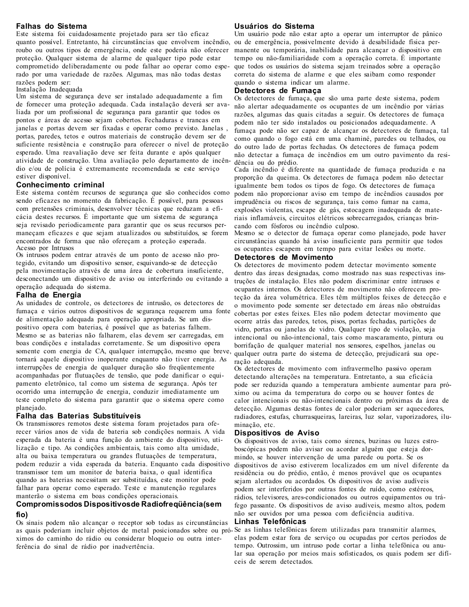#### **Falhas do Sistema**

Este sistema foi cuidadosamente projetado para ser tão eficaz quanto possível. Entretanto, há circunstâncias que envolvem incêndio, roubo ou outros tipos de emergência, onde este poderia não oferecer proteção. Qualquer sistema de alarme de qualquer tipo pode estar comprometido deliberadamente ou pode falhar ao operar como esperado por uma variedade de razões. Algumas, mas não todas destas razões podem ser:

Instalação Inadequada

Um sistema de segurança deve ser instalado adequadamente a fim de fornecer uma proteção adequada. Cada instalação deverá ser avaliada por um profissional de segurança para garantir que todos os pontos e áreas de acesso sejam cobertos. Fechaduras e trancas em janelas e portas devem ser fixadas e operar como previsto. Janelas , portas, paredes, tetos e outros materiais de construção devem ser de suficiente resistência e construção para oferecer o nível de proteção esperado. Uma reavaliação deve ser feita durante e após qualquer atividade de construção. Uma avaliação pelo departamento de incêndio e/ou de polícia é extremamente recomendada se este serviço estiver disponível.

### **Conhecimento criminal**

Este sistema contém recursos de segurança que são conhecidos como sendo eficazes no momento da fabricação. É possível, para pessoas com pretensões criminais, desenvolver técnicas que reduzam a eficácia destes recursos. É importante que um sistema de segurança seja revisado periodicamente para garantir que os seus recursos permaneçam eficazes e que sejam atualizados ou substituídos, se forem encontrados de forma que não ofereçam a proteção esperada. Acesso por Intrusos

Os intrusos podem entrar através de um ponto de acesso não protegido, evitando um dispositivo sensor, esquivando-se de detecção pela movimentação através de uma área de cobertura insuficiente, desconectando um dispositivo de aviso ou interferindo ou evitando a operação adequada do sistema.

#### **Falha de Energia**

As unidades de controle, os detectores de intrusão, os detectores de fumaça e vários outros dispositivos de segurança requerem uma fonte de alimentação adequada para operação apropriada. Se um dispositivo opera com baterias, é possível que as baterias falhem. Mesmo se as baterias não falharem, elas devem ser carregadas, em boas condições e instaladas corretamente. Se um dispositivo opera somente com energia de CA, qualquer interrupção, mesmo que breve, tornará aquele dispositivo inoperante enquanto não tiver energia. As interrupções de energia de qualquer duração são freqüentemente acompanhadas por flutuações de tensão, que pode danificar o equipamento eletrônico, tal como um sistema de segurança. Após ter ocorrido uma interrupção de energia, conduzir imediatamente um teste completo do sistema para garantir que o sistema opere como planejado.

#### **Falha das Baterias Substituíveis**

Os transmissores remotos deste sistema foram projetados para oferecer vários anos de vida de bateria sob condições normais. A vida esperada da bateria é uma função do ambiente do dispositivo, utilização e tipo. As condições ambientais, tais como alta umidade, alta ou baixa temperatura ou grandes flutuações de temperatura, podem reduzir a vida esperada da bateria. Enquanto cada dispositivo transmissor tem um monitor de bateria baixa, o qual identifica quando as baterias necessitam ser substituídas, este monitor pode falhar para operar como esperado. Teste e manutenção regulares manterão o sistema em boas condições operacionais.

### **Compromissodos Dispositivosde Radiofreqüência(sem fio)**

Os sinais podem não alcançar o receptor sob todas as circunstâncias as quais poderiam incluir objetos de metal posicionados sobre ou pró-Se as linhas telefônicas forem utilizadas para transmitir alarmes, ximos do caminho do rádio ou considerar bloqueio ou outra interferência do sinal de rádio por inadvertência.

#### **Usuários do Sistema**

Um usuário pode não estar apto a operar um interruptor de pânico ou de emergência, possivelmente devido à desabilidade física permanente ou temporária, inabilidade para alcançar o dispositivo em tempo ou não-familiaridade com a operação correta. É importante que todos os usuários do sistema sejam treinados sobre a operação correta do sistema de alarme e que eles saibam como responder quando o sistema indicar um alarme.

### **Detectores de Fumaça**

Os detectores de fumaça, que são uma parte deste sistema, podem não alertar adequadamente os ocupantes de um incêndio por várias razões, algumas das quais citadas a seguir. Os detectores de fumaça podem não ter sido instalados ou posicionados adequadamente. A fumaça pode não ser capaz de alcançar os detectores de fumaça, tal como quando o fogo está em uma chaminé, paredes ou telhados, ou do outro lado de portas fechadas. Os detectores de fumaça podem não detectar a fumaça de incêndios em um outro pavimento da residência ou do prédio.

Cada incêndio é diferente na quantidade de fumaça produzida e na proporção da queima. Os detectores de fumaça podem não detectar igualmente bem todos os tipos de fogo. Os detectores de fumaça podem não proporcionar aviso em tempo de incêndios causados por imprudência ou riscos de segurança, tais como fumar na cama, explosões violentas, escape de gás, estocagem inadequada de materiais inflamáveis, circuitos elétricos sobrecarregados, crianças brincando com fósforos ou incêndio culposo.

Mesmo se o detector de fumaça operar como planejado, pode haver circunstâncias quando há aviso insuficiente para permitir que todos os ocupantes escapem em tempo para evitar lesões ou morte.

#### **Detectores de Movimento**

Os detectores de movimento podem detectar movimento somente dentro das áreas designadas, como mostrado nas suas respectivas instruções de instalação. Eles não podem discriminar entre intrusos e ocupantes internos. Os detectores de movimento não oferecem proteção da área volumétrica. Eles têm múltiplos feixes de detecção e o movimento pode somente ser detectado em áreas não obstruídas cobertas por estes feixes. Eles não podem detectar movimento que ocorre atrás das paredes, tetos, pisos, portas fechadas, partições de vidro, portas ou janelas de vidro. Qualquer tipo de violação, seja intencional ou não-intencional, tais como mascaramento, pintura ou borrifação de qualquer material nos sensores, espelhos, janelas ou qualquer outra parte do sistema de detecção, prejudicará sua operação adequada.

Os detectores de movimento com infravermelho passivo operam detectando alterações na temperatura. Entretanto, a sua eficácia pode ser reduzida quando a temperatura ambiente aumentar para próximo ou acima da temperatura do corpo ou se houver fontes de calor intencionais ou não-intencionais dentro ou próximas da área de detecção. Algumas destas fontes de calor poderiam ser aquecedores, radiadores, estufas, churrasqueiras, lareiras, luz solar, vaporizadores, iluminação, etc.

#### **Dispositivos de Aviso**

Os dispositivos de aviso, tais como sirenes, buzinas ou luzes estroboscópicas podem não avisar ou acordar alguém que esteja dormindo, se houver intervenção de uma parede ou porta. Se os dispositivos de aviso estiverem localizados em um nível diferente da residência ou do prédio, então, é menos provável que os ocupantes sejam alertados ou acordados. Os dispositivos de aviso audíveis podem ser interferidos por outras fontes de ruído, como estéreos, rádios, televisores, ares-condicionados ou outros equipamentos ou tráfego passante. Os dispositivos de aviso audíveis, mesmo altos, podem não ser ouvidos por uma pessoa com deficiência auditiva. **Linhas Telefônicas**

elas podem estar fora de serviço ou ocupadas por certos períodos de tempo. Outrossim, um intruso pode cortar a linha telefônica ou anular sua operação por meios mais sofisticados, os quais podem ser difíceis de serem detectados.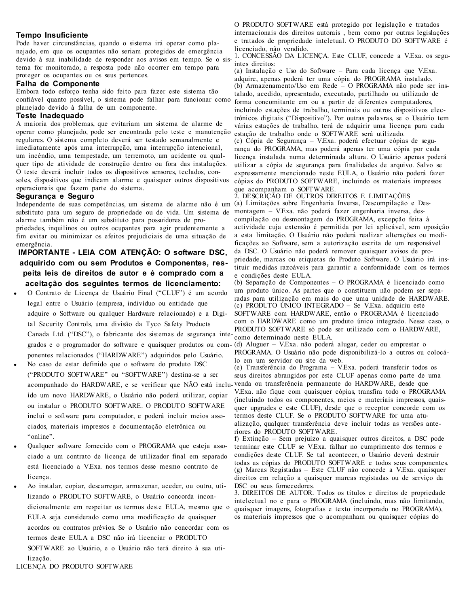#### **Tempo Insuficiente**

Pode haver circunstâncias, quando o sistema irá operar como planejado, em que os ocupantes não seriam protegidos de emergência devido à sua inabilidade de responder aos avisos em tempo. Se o sistema for monitorado, a resposta pode não ocorrer em tempo para proteger os ocupantes ou os seus pertences.

### **Falha de Componente**

Embora todo esforço tenha sido feito para fazer este sistema tão confiável quanto possível, o sistema pode falhar para funcionar como planejado devido à falha de um componente.

### **Teste Inadequado**

A maioria dos problemas, que evitariam um sistema de alarme de operar como planejado, pode ser encontrada pelo teste e manutenção regulares. O sistema completo deverá ser testado semanalmente e imediatamente após uma interrupção, uma interrupção intencional, um incêndio, uma tempestade, um terremoto, um acidente ou qualquer tipo de atividade de construção dentro ou fora das instalações. O teste deverá incluir todos os dispositivos sensores, teclados, consoles, dispositivos que indicam alarme e quaisquer outros dispositivos operacionais que fazem parte do sistema.

#### **Segurança e Seguro**

substituto para um seguro de propriedade ou de vida. Um sistema de alarme também não é um substituto para possuidores de pro-

priedades, inquilinos ou outros ocupantes para agir prudentemente a fim evitar ou minimizar os efeitos prejudiciais de uma situação de emergência.

### **IMPORTANTE - LEIA COM ATENÇÃO: O software DSC, adquirido com ou sem Produtos e Componentes, respeita leis de direitos de autor e é comprado com a aceitação dos seguintes termos de licenciamento:**

- <sup>l</sup> O Contrato de Licença de Usuário Final ("CLUF") é um acordo legal entre o Usuário (empresa, indivíduo ou entidade que adquire o Software ou qualquer Hardware relacionado) e a Digital Security Controls, uma divisão da Tyco Safety Products Canada Ltd. ("DSC"), o fabricante dos sistemas de segurança integrados e o programador do software e quaisquer produtos ou com-(d) Aluguer – V.Exa. não poderá alugar, ceder ou emprestar o ponentes relacionados ("HARDWARE") adquiridos pelo Usuário.
- <sup>l</sup> No caso de estar definido que o software do produto DSC ("PRODUTO SOFTWARE" ou "SOFTWARE") destina-se a ser acompanhado do HARDWARE, e se verificar que NÃO está inclu-venda ou transferência permanente do HARDWARE, desde que ído um novo HARDWARE, o Usuário não poderá utilizar, copiar ou instalar o PRODUTO SOFTWARE. O PRODUTO SOFTWARE inclui o software para computador, e poderá incluir meios associados, materiais impressos e documentação eletrônica ou "online".
- Qualquer software fornecido com o PROGRAMA que esteja associado a um contrato de licença de utilizador final em separado está licenciado a V.Exa. nos termos desse mesmo contrato de licença.
- Ao instalar, copiar, descarregar, armazenar, aceder, ou outro, utilizando o PRODUTO SOFTWARE, o Usuário concorda incondicionalmente em respeitar os termos deste EULA, mesmo que o EULA seja considerado como uma modificação de quaisquer acordos ou contratos prévios. Se o Usuário não concordar com os termos deste EULA a DSC não irá licenciar o PRODUTO SOFTWARE ao Usuário, e o Usuário não terá direito à sua utilização.

O PRODUTO SOFTWARE está protegido por legislação e tratados internacionais dos direitos autorais , bem como por outras legislações e tratados de propriedade inteletual. O PRODUTO DO SOFTWARE é licenciado, não vendido.

1. CONCESSÃO DA LICENÇA. Este CLUF, concede a V.Exa. os seguintes direitos:

(a) Instalação e Uso do Software – Para cada licença que V.Exa. adquire, apenas poderá ter uma cópia do PROGRAMA instalado. (b) Armazenamento/Uso em Rede – O PROGRAMA não pode ser instalado, acedido, apresentado, executado, partilhado ou utilizado de forma concomitante em ou a partir de diferentes computadores, incluindo estações de trabalho, terminais ou outros dispositivos electrónicos digitais ("Dispositivo"). Por outras palavras, se o Usuário tem várias estações de trabalho, terá de adquirir uma licença para cada estação de trabalho onde o SOFTWARE será utilizado. (c) Cópia de Segurança – V.Exa. poderá efectuar cópias de segurança do PROGRAMA, mas poderá apenas ter uma cópia por cada licença instalada numa determinada altura. O Usuário apenas poderá utilizar a cópia de segurança para finalidades de arquivo. Salvo se expressamente mencionado neste EULA, o Usuário não poderá fazer cópias do PRODUTO SOFTWARE, incluindo os materiais impressos que acompanham o SOFTWARE.

Independente de suas competências, um sistema de alarme não é um (a) Limitações sobre Engenharia Inversa, Descompilação e Des-2. DESCRIÇÃO DE OUTROS DIREITOS E LIMITAÇÕES montagem – V.Exa. não poderá fazer engenharia inversa, descompilação ou desmontagem do PROGRAMA, excepção feita à actividade cuja extensão é permitida por lei aplicável, sem oposição a esta limitação. O Usuário não poderá realizar alterações ou modificações ao Software, sem a autorização escrita de um responsável da DSC. O Usuário não poderá remover quaisquer avisos de propriedade, marcas ou etiquetas do Produto Software. O Usuário irá instituir medidas razoáveis para garantir a conformidade com os termos e condições deste EULA.

> (b) Separação de Componentes – O PROGRAMA é licenciado como um produto único. As partes que o constituem não podem ser separadas para utilização em mais do que uma unidade de HARDWARE. (c) PRODUTO ÚNICO INTEGRADO – Se V.Exa. adquiriu este SOFTWARE com HARDWARE, então o PROGRAMA é licenciado com o HARDWARE como um produto único integrado. Nesse caso, o PRODUTO SOFTWARE só pode ser utilizado com o HARDWARE, como determinado neste EULA.

> PROGRAMA. O Usuário não pode disponibilizá-lo a outros ou colocálo em um servidor ou site da web.

(e) Transferência do Programa – V.Exa. poderá transferir todos os seus direitos abrangidos por este CLUF apenas como parte de uma V.Exa. não fique com quaisquer cópias, transfira todo o PROGRAMA (incluindo todos os componentes, meios e materiais impressos, quaisquer upgrades e este CLUF), desde que o receptor concorde com os termos deste CLUF. Se o PRODUTO SOFTWARE for uma atualização, qualquer transferência deve incluir todas as versões anteriores do PRODUTO SOFTWARE.

f) Extinção – Sem prejuízo a quaisquer outros direitos, a DSC pode terminar este CLUF se V.Exa. falhar no cumprimento dos termos e condições deste CLUF. Se tal acontecer, o Usuário deverá destruir todas as cópias do PRODUTO SOFTWARE e todos seus componentes. (g) Marcas Registadas – Este CLUF não concede a V.Exa. quaisquer direitos em relação a quaisquer marcas registadas ou de serviço da DSC ou seus fornecedores.

3. DIREITOS DE AUTOR. Todos os títulos e direitos de propriedade intelectual no e para o PROGRAMA (incluindo, mas não limitando, quaisquer imagens, fotografias e texto incorporado no PROGRAMA), os materiais impressos que o acompanham ou quaisquer cópias do

LICENÇA DO PRODUTO SOFTWARE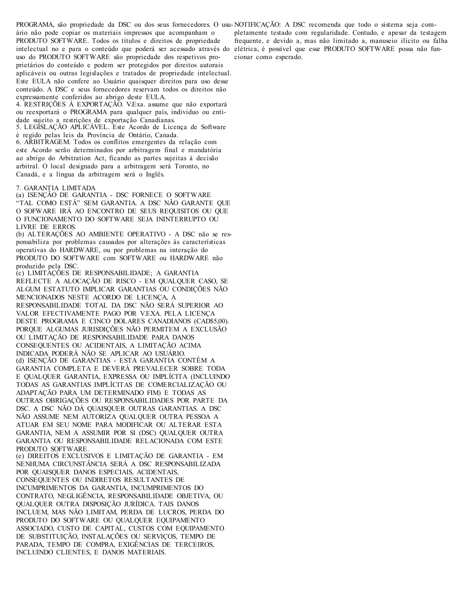PROGRAMA, são propriedade da DSC ou dos seus fornecedores. O usu-NOTIFICAÇÃO: A DSC recomenda que todo o sistema seja comário não pode copiar os materiais impressos que acompanham o PRODUTO SOFTWARE. Todos os títulos e direitos de propriedade intelectual no e para o conteúdo que poderá ser acessado através do elétrica, é possível que esse PRODUTO SOFTWARE possa não funuso do PRODUTO SOFTWARE são propriedade dos respetivos proprietários do conteúdo e podem ser protegidos por direitos autorais aplicáveis ou outras legislações e tratados de propriedade intelectual. Este EULA não confere ao Usuário quaisquer direitos para uso desse conteúdo. A DSC e seus fornecedores reservam todos os direitos não expressamente conferidos ao abrigo deste EULA. 4. RESTRIÇÕES À EXPORTAÇÃO. V.Exa. assume que não exportará

ou reexportará o PROGRAMA para qualquer país, individuo ou entidade sujeito a restrições de exportação Canadianas.

5. LEGISLAÇÃO APLICÁVEL. Este Acordo de Licença de Software é regido pelas leis da Província de Ontário, Canada.

6. ARBITRAGEM. Todos os conflitos emergentes da relação com este Acordo serão determinados por arbitragem final e mandatória ao abrigo do Arbitration Act, ficando as partes sujeitas à decisão arbitral. O local designado para a arbitragem será Toronto, no Canadá, e a língua da arbitragem será o Inglês.

#### 7. GARANTIA LIMITADA

(a) ISENÇÃO DE GARANTIA - DSC FORNECE O SOFTWARE "TAL COMO ESTÁ" SEM GARANTIA. A DSC NÃO GARANTE QUE O SOFWARE IRÁ AO ENCONTRO DE SEUS REQUISITOS OU QUE O FUNCIONAMENTO DO SOFTWARE SEJA ININTERRUPTO OU LIVRE DE ERROS.

(b) ALTERAÇÕES AO AMBIENTE OPERATIVO - A DSC não se responsabiliza por problemas causados por alterações às características operativas do HARDWARE, ou por problemas na interação do PRODUTO DO SOFTWARE com SOFTWARE ou HARDWARE não produzido pela DSC.

(c) LIMITAÇÕES DE RESPONSABILIDADE; A GARANTIA REFLECTE A ALOCAÇÃO DE RISCO - EM QUALQUER CASO, SE ALGUM ESTATUTO IMPLICAR GARANTIAS OU CONDIÇÕES NÃO MENCIONADOS NESTE ACORDO DE LICENÇA, A RESPONSABILIDADE TOTAL DA DSC NÃO SERÁ SUPERIOR AO VALOR EFECTIVAMENTE PAGO POR V.EXA. PELA LICENÇA DESTE PROGRAMA E CINCO DOLARES CANADIANOS (CAD\$5,00). PORQUE ALGUMAS JURISDIÇÕES NÃO PERMITEM A EXCLUSÃO OU LIMITAÇÃO DE RESPONSABILIDADE PARA DANOS CONSEQUENTES OU ACIDENTAIS, A LIMITAÇÃO ACIMA INDICADA PODERÁ NÃO SE APLICAR AO USUÁRIO. (d) ISENÇÃO DE GARANTIAS - ESTA GARANTIA CONTÉM A GARANTIA COMPLETA E DEVERÁ PREVALECER SOBRE TODA E QUALQUER GARANTIA, EXPRESSA OU IMPLÍCITA (INCLUINDO TODAS AS GARANTIAS IMPLÍCITAS DE COMERCIALIZAÇÃO OU ADAPTAÇÃO PARA UM DETERMINADO FIM) E TODAS AS OUTRAS OBRIGAÇÕES OU RESPONSABILIDADES POR PARTE DA DSC. A DSC NÃO DÁ QUAISQUER OUTRAS GARANTIAS. A DSC NÃO ASSUME NEM AUTORIZA QUALQUER OUTRA PESSOA A ATUAR EM SEU NOME PARA MODIFICAR OU ALTERAR ESTA GARANTIA, NEM A ASSUMIR POR SI (DSC) QUALQUER OUTRA GARANTIA OU RESPONSABILIDADE RELACIONADA COM ESTE PRODUTO SOFTWARE.

(e) DIREITOS EXCLUSIVOS E LIMITAÇÃO DE GARANTIA - EM NENHUMA CIRCUNSTÂNCIA SERÁ A DSC RESPONSABILIZADA POR QUAISQUER DANOS ESPECIAIS, ACIDENTAIS, CONSEQUENTES OU INDIRETOS RESULTANTES DE INCUMPRIMENTOS DA GARANTIA, INCUMPRIMENTOS DO CONTRATO, NEGLIGÊNCIA, RESPONSABILIDADE OBJETIVA, OU QUALQUER OUTRA DISPOSIÇÃO JURÍDICA. TAIS DANOS INCLUEM, MAS NÃO LIMITAM, PERDA DE LUCROS, PERDA DO PRODUTO DO SOFTWARE OU QUALQUER EQUIPAMENTO ASSOCIADO, CUSTO DE CAPITAL, CUSTOS COM EQUIPAMENTO DE SUBSTITUIÇÃO, INSTALAÇÕES OU SERVIÇOS, TEMPO DE PARADA, TEMPO DE COMPRA, EXIGÊNCIAS DE TERCEIROS, INCLUINDO CLIENTES, E DANOS MATERIAIS.

pletamente testado com regularidade. Contudo, e apesar da testagem frequente, e devido a, mas não limitado a, manuseio ilícito ou falha cionar como esperado.